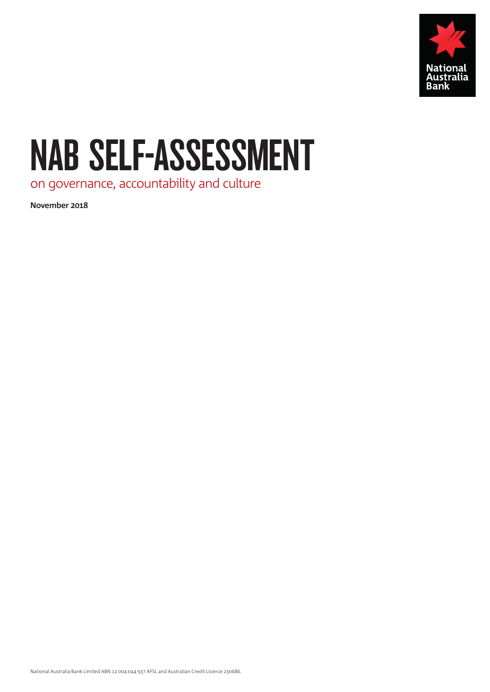

# NAB SELF-ASSESSMENT

on governance, accountability and culture

**November 2018**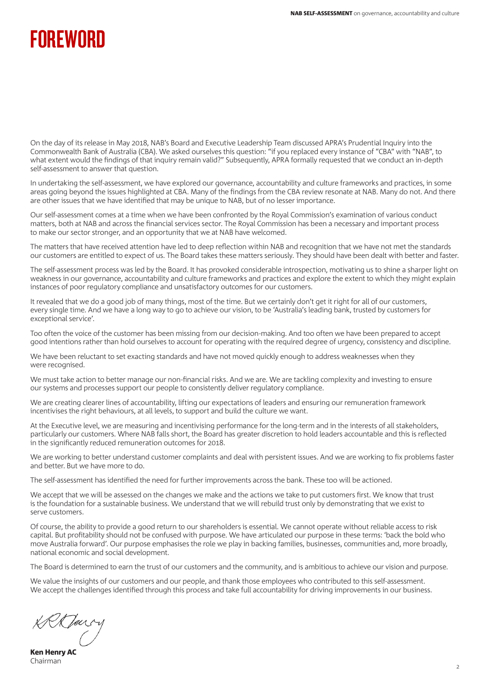# **FOREWORD**

On the day of its release in May 2018, NAB's Board and Executive Leadership Team discussed APRA's Prudential Inquiry into the Commonwealth Bank of Australia (CBA). We asked ourselves this question: "if you replaced every instance of "CBA" with "NAB", to what extent would the findings of that inquiry remain valid?" Subsequently, APRA formally requested that we conduct an in-depth self-assessment to answer that question.

In undertaking the self-assessment, we have explored our governance, accountability and culture frameworks and practices, in some areas going beyond the issues highlighted at CBA. Many of the findings from the CBA review resonate at NAB. Many do not. And there are other issues that we have identified that may be unique to NAB, but of no lesser importance.

Our self-assessment comes at a time when we have been confronted by the Royal Commission's examination of various conduct matters, both at NAB and across the financial services sector. The Royal Commission has been a necessary and important process to make our sector stronger, and an opportunity that we at NAB have welcomed.

The matters that have received attention have led to deep reflection within NAB and recognition that we have not met the standards our customers are entitled to expect of us. The Board takes these matters seriously. They should have been dealt with better and faster.

The self-assessment process was led by the Board. It has provoked considerable introspection, motivating us to shine a sharper light on weakness in our governance, accountability and culture frameworks and practices and explore the extent to which they might explain instances of poor regulatory compliance and unsatisfactory outcomes for our customers.

It revealed that we do a good job of many things, most of the time. But we certainly don't get it right for all of our customers, every single time. And we have a long way to go to achieve our vision, to be 'Australia's leading bank, trusted by customers for exceptional service'.

Too often the voice of the customer has been missing from our decision-making. And too often we have been prepared to accept good intentions rather than hold ourselves to account for operating with the required degree of urgency, consistency and discipline.

We have been reluctant to set exacting standards and have not moved quickly enough to address weaknesses when they were recognised.

We must take action to better manage our non-financial risks. And we are. We are tackling complexity and investing to ensure our systems and processes support our people to consistently deliver regulatory compliance.

We are creating clearer lines of accountability, lifting our expectations of leaders and ensuring our remuneration framework incentivises the right behaviours, at all levels, to support and build the culture we want.

At the Executive level, we are measuring and incentivising performance for the long-term and in the interests of all stakeholders, particularly our customers. Where NAB falls short, the Board has greater discretion to hold leaders accountable and this is reflected in the significantly reduced remuneration outcomes for 2018.

We are working to better understand customer complaints and deal with persistent issues. And we are working to fix problems faster and better. But we have more to do.

The self-assessment has identified the need for further improvements across the bank. These too will be actioned.

We accept that we will be assessed on the changes we make and the actions we take to put customers first. We know that trust is the foundation for a sustainable business. We understand that we will rebuild trust only by demonstrating that we exist to serve customers.

Of course, the ability to provide a good return to our shareholders is essential. We cannot operate without reliable access to risk capital. But profitability should not be confused with purpose. We have articulated our purpose in these terms: 'back the bold who move Australia forward'. Our purpose emphasises the role we play in backing families, businesses, communities and, more broadly, national economic and social development.

The Board is determined to earn the trust of our customers and the community, and is ambitious to achieve our vision and purpose.

We value the insights of our customers and our people, and thank those employees who contributed to this self-assessment. We accept the challenges identified through this process and take full accountability for driving improvements in our business.

Ken Henry AC Chairman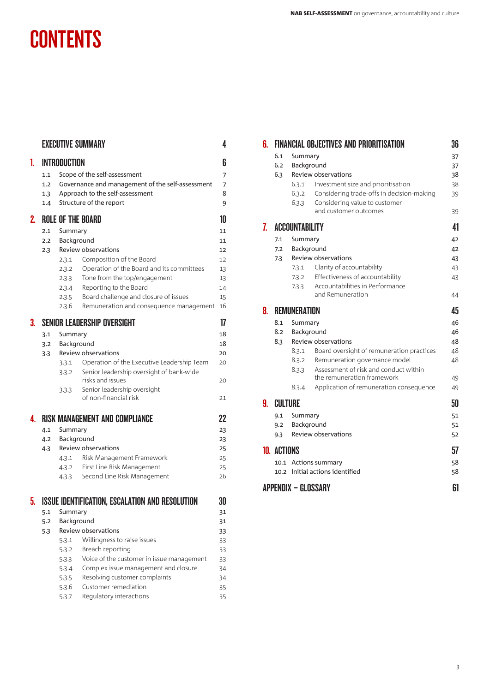# **CONTENTS**

|    |     |                              | <b>EXECUTIVE SUMMARY</b>                                        | 4        |  |
|----|-----|------------------------------|-----------------------------------------------------------------|----------|--|
| L  |     | INTRODUCTION<br>6            |                                                                 |          |  |
|    | 1.1 | Scope of the self-assessment |                                                                 |          |  |
|    | 1.2 |                              | Governance and management of the self-assessment                | 7        |  |
|    | 1.3 |                              | Approach to the self-assessment                                 | 8        |  |
|    | 1.4 |                              | Structure of the report                                         | 9        |  |
| 2. |     |                              | <b>ROLE OF THE BOARD</b>                                        | 10       |  |
|    | 2.1 | Summary                      |                                                                 | 11       |  |
|    | 2.2 | Background                   |                                                                 | 11       |  |
|    | 2.3 |                              | Review observations                                             | 12       |  |
|    |     | 2.3.1                        | Composition of the Board                                        | 12       |  |
|    |     | 2.3.2                        | Operation of the Board and its committees                       | 13       |  |
|    |     | 2.3.3                        | Tone from the top/engagement                                    | 13       |  |
|    |     | 2.3.4<br>2.3.5               | Reporting to the Board<br>Board challenge and closure of issues | 14<br>15 |  |
|    |     | 2.3.6                        | Remuneration and consequence management                         | 16       |  |
| 3. |     |                              | <b>SENIOR LEADERSHIP OVERSIGHT</b>                              | 17       |  |
|    | 3.1 | Summary                      |                                                                 | 18       |  |
|    | 3.2 | Background                   |                                                                 | 18       |  |
|    | 3.3 | Review observations          |                                                                 |          |  |
|    |     | 3.3.1                        | Operation of the Executive Leadership Team                      | 20       |  |
|    |     | 3.3.2                        | Senior leadership oversight of bank-wide<br>risks and issues    | 20       |  |
|    |     | 3.3.3                        | Senior leadership oversight                                     |          |  |
|    |     |                              | of non-financial risk                                           | 21       |  |
| 4  |     |                              | RISK MANAGEMENT AND COMPLIANCE                                  | 22       |  |
|    | 4.1 | Summary<br>Background        |                                                                 | 23       |  |
|    | 4.2 |                              |                                                                 | 23       |  |
|    | 4.3 |                              | Review observations                                             | 25       |  |
|    |     | 4.3.1                        | Risk Management Framework                                       | 25       |  |
|    |     | 4.3.2                        | First Line Risk Management                                      | 25       |  |
|    |     | 4.3.3                        | Second Line Risk Management                                     | 26       |  |
| 5. |     |                              | <b>ISSUE IDENTIFICATION. ESCALATION AND RESOLUTION</b>          | 30       |  |
|    | 5.1 | Summary                      |                                                                 | 31       |  |
|    | 5.2 | Background                   |                                                                 | 31       |  |
|    | 5.3 |                              | Review observations                                             | 33       |  |
|    |     | 5.3.1                        | Willingness to raise issues                                     | 33       |  |
|    |     | 5.3.2                        | Breach reporting                                                | 33       |  |
|    |     | 5.3.3                        | Voice of the customer in issue management                       | 33       |  |
|    |     | 5.3.4                        | Complex issue management and closure                            | 34       |  |
|    |     | 5.3.5                        | Resolving customer complaints                                   | 34       |  |
|    |     | 5.3.6                        | Customer remediation<br>Regulatory interactions                 | 35       |  |
|    |     | 5.3.7                        |                                                                 | 35       |  |

| 6.             |                      | <b>FINANCIAL OBJECTIVES AND PRIORITISATION</b>                               |                                           | 36 |
|----------------|----------------------|------------------------------------------------------------------------------|-------------------------------------------|----|
|                | 6.1<br>Summary       |                                                                              |                                           |    |
|                | 6.2                  | Background                                                                   |                                           | 37 |
|                | 6.3                  | Review observations                                                          |                                           | 38 |
|                |                      | Investment size and prioritisation<br>6.3.1                                  |                                           | 38 |
|                |                      | 6.3.2<br>Considering trade-offs in decision-making                           |                                           | 39 |
|                |                      | 6.3.3<br>Considering value to customer<br>and customer outcomes              |                                           | 39 |
|                |                      |                                                                              |                                           |    |
| 7 <sub>1</sub> |                      | <b>ACCOUNTABILITY</b>                                                        |                                           | 41 |
|                | Summary<br>7.1       |                                                                              |                                           | 42 |
|                | 7.2                  | Background                                                                   |                                           | 42 |
|                | 7.3                  | Review observations                                                          |                                           | 43 |
|                |                      | Clarity of accountability<br>7.3.1                                           |                                           | 43 |
|                |                      | Effectiveness of accountability<br>7.3.2                                     |                                           | 43 |
|                |                      | Accountabilities in Performance<br>7.3.3<br>and Remuneration                 |                                           | 44 |
|                |                      |                                                                              |                                           |    |
| 8.             | <b>REMUNERATION</b>  |                                                                              |                                           | 45 |
|                | 8.1                  | Summary                                                                      |                                           | 46 |
|                | 8.2                  | Background                                                                   |                                           |    |
|                | 8.3                  | Review observations                                                          |                                           | 48 |
|                |                      | 8.3.1                                                                        | Board oversight of remuneration practices | 48 |
|                |                      | Remuneration governance model<br>8.3.2                                       |                                           | 48 |
|                |                      | Assessment of risk and conduct within<br>8.3.3<br>the remuneration framework |                                           | 49 |
|                |                      | Application of remuneration consequence<br>8.3.4                             |                                           | 49 |
|                |                      |                                                                              |                                           |    |
| 9.             | <b>CULTURE</b>       |                                                                              |                                           | 50 |
|                | 9.1                  | Summary                                                                      |                                           |    |
|                | 9.2                  | Background                                                                   |                                           |    |
|                | 9.3                  | Review observations                                                          |                                           | 52 |
|                | <b>10. ACTIONS</b>   |                                                                              |                                           | 57 |
|                | 10.1 Actions summary |                                                                              |                                           | 58 |
|                |                      | 10.2 Initial actions identified                                              |                                           | 58 |
|                |                      |                                                                              |                                           |    |
|                |                      | <b>APPENDIX - GLOSSARY</b>                                                   |                                           | 61 |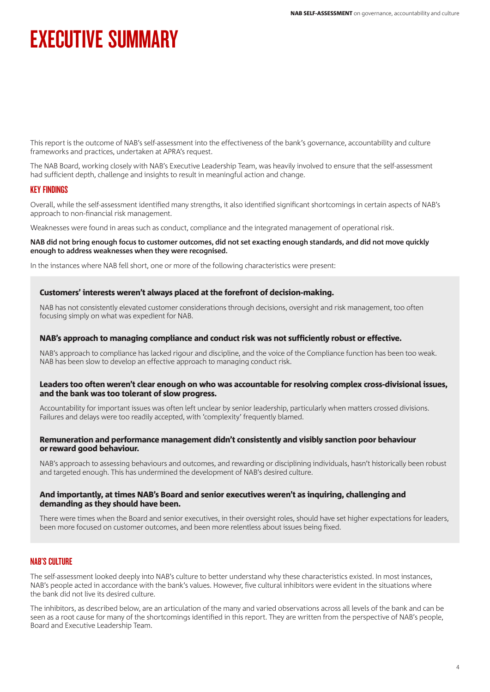# **EXECUTIVE SUMMARY**

This report is the outcome of NAB's self-assessment into the effectiveness of the bank's governance, accountability and culture frameworks and practices, undertaken at APRA's request.

The NAB Board, working closely with NAB's Executive Leadership Team, was heavily involved to ensure that the self-assessment had sufficient depth, challenge and insights to result in meaningful action and change.

## KEY FINDINGS

Overall, while the self-assessment identified many strengths, it also identified significant shortcomings in certain aspects of NAB's approach to non-financial risk management.

Weaknesses were found in areas such as conduct, compliance and the integrated management of operational risk.

#### **NAB did not bring enough focus to customer outcomes, did not set exacting enough standards, and did not move quickly enough to address weaknesses when they were recognised.**

In the instances where NAB fell short, one or more of the following characteristics were present:

## Customers' interests weren't always placed at the forefront of decision-making.

NAB has not consistently elevated customer considerations through decisions, oversight and risk management, too often focusing simply on what was expedient for NAB.

#### NAB's approach to managing compliance and conduct risk was not sufficiently robust or effective.

NAB's approach to compliance has lacked rigour and discipline, and the voice of the Compliance function has been too weak. NAB has been slow to develop an effective approach to managing conduct risk.

#### Leaders too often weren't clear enough on who was accountable for resolving complex cross-divisional issues, and the bank was too tolerant of slow progress.

Accountability for important issues was often left unclear by senior leadership, particularly when matters crossed divisions. Failures and delays were too readily accepted, with 'complexity' frequently blamed.

#### Remuneration and performance management didn't consistently and visibly sanction poor behaviour or reward good behaviour.

NAB's approach to assessing behaviours and outcomes, and rewarding or disciplining individuals, hasn't historically been robust and targeted enough. This has undermined the development of NAB's desired culture.

#### And importantly, at times NAB's Board and senior executives weren't as inquiring, challenging and demanding as they should have been.

There were times when the Board and senior executives, in their oversight roles, should have set higher expectations for leaders, been more focused on customer outcomes, and been more relentless about issues being fixed.

## NAB'S CULTURE

The self-assessment looked deeply into NAB's culture to better understand why these characteristics existed. In most instances, NAB's people acted in accordance with the bank's values. However, five cultural inhibitors were evident in the situations where the bank did not live its desired culture.

The inhibitors, as described below, are an articulation of the many and varied observations across all levels of the bank and can be seen as a root cause for many of the shortcomings identified in this report. They are written from the perspective of NAB's people, Board and Executive Leadership Team.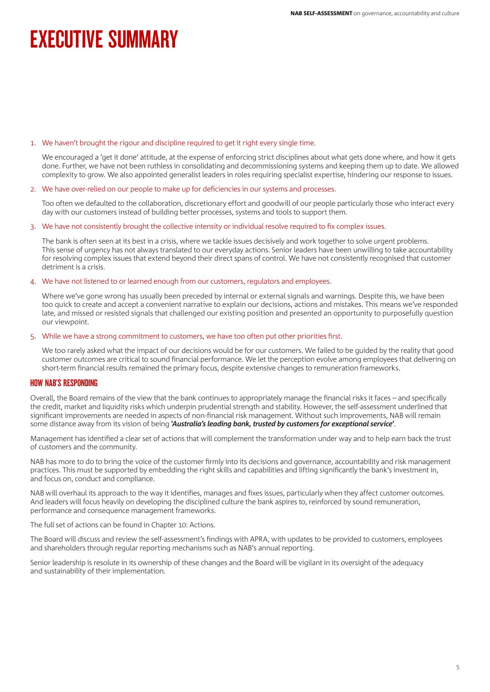# **EXECUTIVE SUMMARY**

#### 1. We haven't brought the rigour and discipline required to get it right every single time.

 We encouraged a 'get it done' attitude, at the expense of enforcing strict disciplines about what gets done where, and how it gets done. Further, we have not been ruthless in consolidating and decommissioning systems and keeping them up to date. We allowed complexity to grow. We also appointed generalist leaders in roles requiring specialist expertise, hindering our response to issues.

#### 2. We have over-relied on our people to make up for deficiencies in our systems and processes.

 Too often we defaulted to the collaboration, discretionary effort and goodwill of our people particularly those who interact every day with our customers instead of building better processes, systems and tools to support them.

#### 3. We have not consistently brought the collective intensity or individual resolve required to fix complex issues.

 The bank is often seen at its best in a crisis, where we tackle issues decisively and work together to solve urgent problems. This sense of urgency has not always translated to our everyday actions. Senior leaders have been unwilling to take accountability for resolving complex issues that extend beyond their direct spans of control. We have not consistently recognised that customer detriment is a crisis.

#### 4. We have not listened to or learned enough from our customers, regulators and employees.

Where we've gone wrong has usually been preceded by internal or external signals and warnings. Despite this, we have been too quick to create and accept a convenient narrative to explain our decisions, actions and mistakes. This means we've responded late, and missed or resisted signals that challenged our existing position and presented an opportunity to purposefully question our viewpoint.

#### 5. While we have a strong commitment to customers, we have too often put other priorities first.

 We too rarely asked what the impact of our decisions would be for our customers. We failed to be guided by the reality that good customer outcomes are critical to sound financial performance. We let the perception evolve among employees that delivering on short-term financial results remained the primary focus, despite extensive changes to remuneration frameworks.

## HOW NAB'S RESPONDING

Overall, the Board remains of the view that the bank continues to appropriately manage the financial risks it faces – and specifically the credit, market and liquidity risks which underpin prudential strength and stability. However, the self-assessment underlined that significant improvements are needed in aspects of non-financial risk management. Without such improvements, NAB will remain some distance away from its vision of being **'***Australia's leading bank, trusted by customers for exceptional service***'**.

Management has identified a clear set of actions that will complement the transformation under way and to help earn back the trust of customers and the community.

NAB has more to do to bring the voice of the customer firmly into its decisions and governance, accountability and risk management practices. This must be supported by embedding the right skills and capabilities and lifting significantly the bank's investment in, and focus on, conduct and compliance.

NAB will overhaul its approach to the way it identifies, manages and fixes issues, particularly when they affect customer outcomes. And leaders will focus heavily on developing the disciplined culture the bank aspires to, reinforced by sound remuneration, performance and consequence management frameworks.

The full set of actions can be found in Chapter 10: Actions.

The Board will discuss and review the self-assessment's findings with APRA, with updates to be provided to customers, employees and shareholders through regular reporting mechanisms such as NAB's annual reporting.

Senior leadership is resolute in its ownership of these changes and the Board will be vigilant in its oversight of the adequacy and sustainability of their implementation.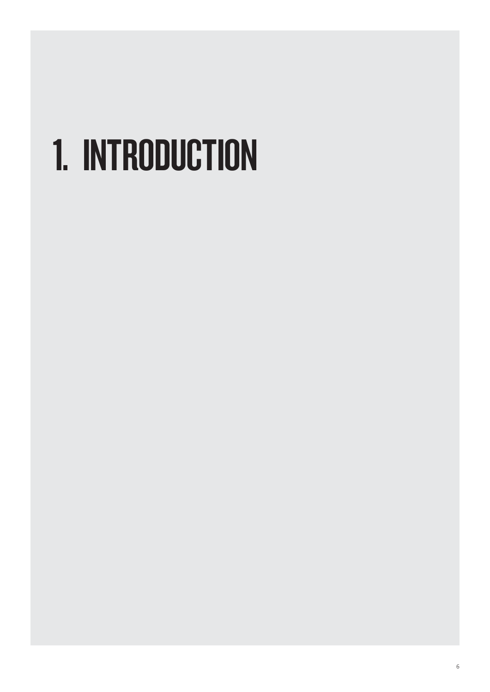# 1. INTRODUCTION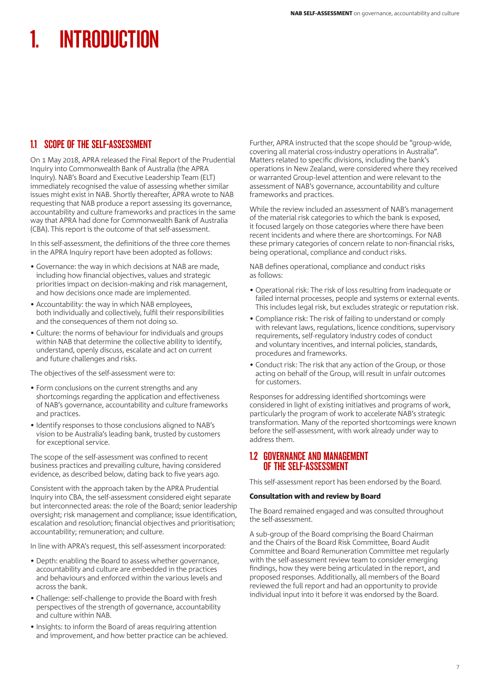# INTRODUCTION

# 1.1 SCOPE OF THE SELF-ASSESSMENT

On 1 May 2018, APRA released the Final Report of the Prudential Inquiry into Commonwealth Bank of Australia (the APRA Inquiry). NAB's Board and Executive Leadership Team (ELT) immediately recognised the value of assessing whether similar issues might exist in NAB. Shortly thereafter, APRA wrote to NAB requesting that NAB produce a report assessing its governance, accountability and culture frameworks and practices in the same way that APRA had done for Commonwealth Bank of Australia (CBA). This report is the outcome of that self-assessment.

In this self-assessment, the definitions of the three core themes in the APRA Inquiry report have been adopted as follows:

- Governance: the way in which decisions at NAB are made, including how financial objectives, values and strategic priorities impact on decision-making and risk management, and how decisions once made are implemented.
- Accountability: the way in which NAB employees, both individually and collectively, fulfil their responsibilities and the consequences of them not doing so.
- Culture: the norms of behaviour for individuals and groups within NAB that determine the collective ability to identify, understand, openly discuss, escalate and act on current and future challenges and risks.

The objectives of the self-assessment were to:

- Form conclusions on the current strengths and any shortcomings regarding the application and effectiveness of NAB's governance, accountability and culture frameworks and practices.
- Identify responses to those conclusions aligned to NAB's vision to be Australia's leading bank, trusted by customers for exceptional service.

The scope of the self-assessment was confined to recent business practices and prevailing culture, having considered evidence, as described below, dating back to five years ago.

Consistent with the approach taken by the APRA Prudential Inquiry into CBA, the self-assessment considered eight separate but interconnected areas: the role of the Board; senior leadership oversight; risk management and compliance; issue identification, escalation and resolution; financial objectives and prioritisation; accountability; remuneration; and culture.

In line with APRA's request, this self-assessment incorporated:

- Depth: enabling the Board to assess whether governance, accountability and culture are embedded in the practices and behaviours and enforced within the various levels and across the bank.
- Challenge: self-challenge to provide the Board with fresh perspectives of the strength of governance, accountability and culture within NAB.
- Insights: to inform the Board of areas requiring attention and improvement, and how better practice can be achieved.

Further, APRA instructed that the scope should be "group-wide, covering all material cross-industry operations in Australia". Matters related to specific divisions, including the bank's operations in New Zealand, were considered where they received or warranted Group-level attention and were relevant to the assessment of NAB's governance, accountability and culture frameworks and practices.

While the review included an assessment of NAB's management of the material risk categories to which the bank is exposed, it focused largely on those categories where there have been recent incidents and where there are shortcomings. For NAB these primary categories of concern relate to non-financial risks, being operational, compliance and conduct risks.

NAB defines operational, compliance and conduct risks as follows:

- Operational risk: The risk of loss resulting from inadequate or failed internal processes, people and systems or external events. This includes legal risk, but excludes strategic or reputation risk.
- Compliance risk: The risk of failing to understand or comply with relevant laws, regulations, licence conditions, supervisory requirements, self-regulatory industry codes of conduct and voluntary incentives, and internal policies, standards, procedures and frameworks.
- Conduct risk: The risk that any action of the Group, or those acting on behalf of the Group, will result in unfair outcomes for customers.

Responses for addressing identified shortcomings were considered in light of existing initiatives and programs of work, particularly the program of work to accelerate NAB's strategic transformation. Many of the reported shortcomings were known before the self-assessment, with work already under way to address them.

# 1.2 GOVERNANCE AND MANAGEMENT OF THE SELF-ASSESSMENT

This self-assessment report has been endorsed by the Board.

## Consultation with and review by Board

The Board remained engaged and was consulted throughout the self-assessment.

A sub-group of the Board comprising the Board Chairman and the Chairs of the Board Risk Committee, Board Audit Committee and Board Remuneration Committee met regularly with the self-assessment review team to consider emerging findings, how they were being articulated in the report, and proposed responses. Additionally, all members of the Board reviewed the full report and had an opportunity to provide individual input into it before it was endorsed by the Board.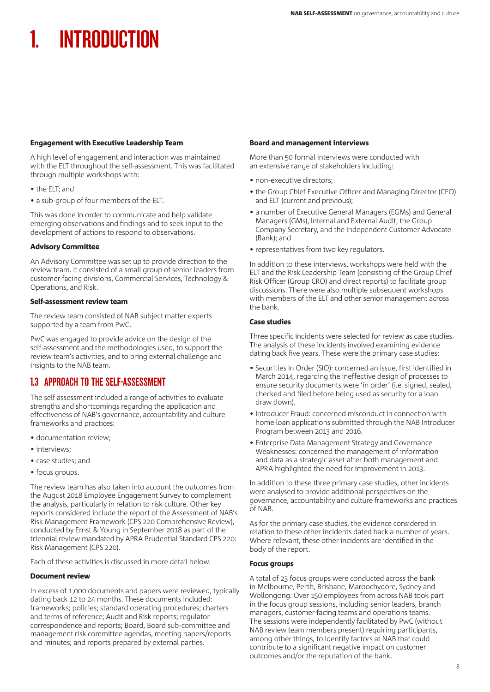# INTRODUCTION

## Engagement with Executive Leadership Team

A high level of engagement and interaction was maintained with the ELT throughout the self-assessment. This was facilitated through multiple workshops with:

- the ELT; and
- a sub-group of four members of the ELT.

This was done in order to communicate and help validate emerging observations and findings and to seek input to the development of actions to respond to observations.

## Advisory Committee

An Advisory Committee was set up to provide direction to the review team. It consisted of a small group of senior leaders from customer-facing divisions, Commercial Services, Technology & Operations, and Risk.

#### Self-assessment review team

The review team consisted of NAB subject matter experts supported by a team from PwC.

PwC was engaged to provide advice on the design of the self-assessment and the methodologies used, to support the review team's activities, and to bring external challenge and insights to the NAB team.

# 1.3 APPROACH TO THE SELF-ASSESSMENT

The self-assessment included a range of activities to evaluate strengths and shortcomings regarding the application and effectiveness of NAB's governance, accountability and culture frameworks and practices:

- documentation review;
- interviews;
- case studies; and
- focus groups.

The review team has also taken into account the outcomes from the August 2018 Employee Engagement Survey to complement the analysis, particularly in relation to risk culture. Other key reports considered include the report of the Assessment of NAB's Risk Management Framework (CPS 220 Comprehensive Review), conducted by Ernst & Young in September 2018 as part of the triennial review mandated by APRA Prudential Standard CPS 220: Risk Management (CPS 220).

Each of these activities is discussed in more detail below.

## Document review

In excess of 1,000 documents and papers were reviewed, typically dating back 12 to 24 months. These documents included: frameworks; policies; standard operating procedures; charters and terms of reference; Audit and Risk reports; regulator correspondence and reports; Board, Board sub-committee and management risk committee agendas, meeting papers/reports and minutes; and reports prepared by external parties.

#### Board and management interviews

More than 50 formal interviews were conducted with an extensive range of stakeholders including:

- non-executive directors;
- the Group Chief Executive Officer and Managing Director (CEO) and ELT (current and previous);
- a number of Executive General Managers (EGMs) and General Managers (GMs), Internal and External Audit, the Group Company Secretary, and the Independent Customer Advocate (Bank); and
- representatives from two key regulators.

In addition to these interviews, workshops were held with the ELT and the Risk Leadership Team (consisting of the Group Chief Risk Officer (Group CRO) and direct reports) to facilitate group discussions. There were also multiple subsequent workshops with members of the ELT and other senior management across the bank.

## Case studies

Three specific incidents were selected for review as case studies. The analysis of these incidents involved examining evidence dating back five years. These were the primary case studies:

- Securities in Order (SIO): concerned an issue, first identified in March 2014, regarding the ineffective design of processes to ensure security documents were 'in order' (i.e. signed, sealed, checked and filed before being used as security for a loan draw down).
- Introducer Fraud: concerned misconduct in connection with home loan applications submitted through the NAB Introducer Program between 2013 and 2016.
- Enterprise Data Management Strategy and Governance Weaknesses: concerned the management of information and data as a strategic asset after both management and APRA highlighted the need for improvement in 2013.

In addition to these three primary case studies, other incidents were analysed to provide additional perspectives on the governance, accountability and culture frameworks and practices of NAB.

As for the primary case studies, the evidence considered in relation to these other incidents dated back a number of years. Where relevant, these other incidents are identified in the body of the report.

## Focus groups

A total of 23 focus groups were conducted across the bank in Melbourne, Perth, Brisbane, Maroochydore, Sydney and Wollongong. Over 150 employees from across NAB took part in the focus group sessions, including senior leaders, branch managers, customer-facing teams and operations teams. The sessions were independently facilitated by PwC (without NAB review team members present) requiring participants, among other things, to identify factors at NAB that could contribute to a significant negative impact on customer outcomes and/or the reputation of the bank.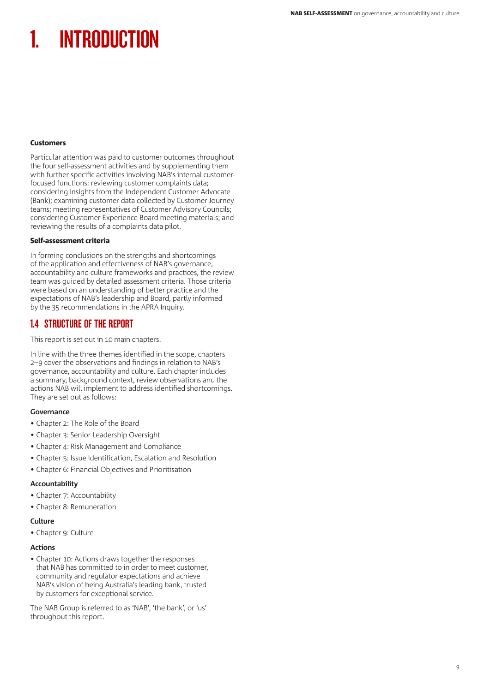# INTRODUCTION

#### **Customers**

Particular attention was paid to customer outcomes throughout the four self-assessment activities and by supplementing them with further specific activities involving NAB's internal customerfocused functions: reviewing customer complaints data; considering insights from the Independent Customer Advocate (Bank); examining customer data collected by Customer Journey teams; meeting representatives of Customer Advisory Councils; considering Customer Experience Board meeting materials; and reviewing the results of a complaints data pilot.

## Self-assessment criteria

In forming conclusions on the strengths and shortcomings of the application and effectiveness of NAB's governance, accountability and culture frameworks and practices, the review team was guided by detailed assessment criteria. Those criteria were based on an understanding of better practice and the expectations of NAB's leadership and Board, partly informed by the 35 recommendations in the APRA Inquiry.

# 1.4 STRUCTURE OF THE REPORT

This report is set out in 10 main chapters.

In line with the three themes identified in the scope, chapters 2–9 cover the observations and findings in relation to NAB's governance, accountability and culture. Each chapter includes a summary, background context, review observations and the actions NAB will implement to address identified shortcomings. They are set out as follows:

## **Governance**

- Chapter 2: The Role of the Board
- Chapter 3: Senior Leadership Oversight
- Chapter 4: Risk Management and Compliance
- Chapter 5: Issue Identification, Escalation and Resolution
- Chapter 6: Financial Objectives and Prioritisation

## **Accountability**

- Chapter 7: Accountability
- Chapter 8: Remuneration

#### **Culture**

• Chapter 9: Culture

#### **Actions**

• Chapter 10: Actions draws together the responses that NAB has committed to in order to meet customer, community and regulator expectations and achieve NAB's vision of being Australia's leading bank, trusted by customers for exceptional service.

The NAB Group is referred to as 'NAB', 'the bank', or 'us' throughout this report.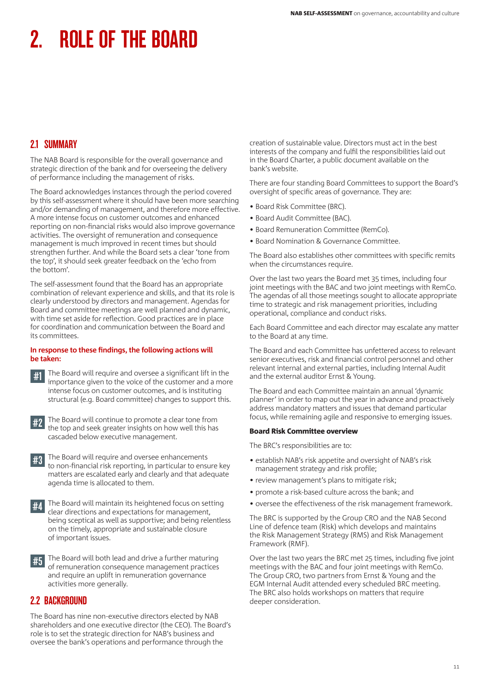# 2.1 SUMMARY

The NAB Board is responsible for the overall governance and strategic direction of the bank and for overseeing the delivery of performance including the management of risks.

The Board acknowledges instances through the period covered by this self-assessment where it should have been more searching and/or demanding of management, and therefore more effective. A more intense focus on customer outcomes and enhanced reporting on non-financial risks would also improve governance activities. The oversight of remuneration and consequence management is much improved in recent times but should strengthen further. And while the Board sets a clear 'tone from the top', it should seek greater feedback on the 'echo from the bottom'.

The self-assessment found that the Board has an appropriate combination of relevant experience and skills, and that its role is clearly understood by directors and management. Agendas for Board and committee meetings are well planned and dynamic, with time set aside for reflection. Good practices are in place for coordination and communication between the Board and its committees.

#### **In response to these findings, the following actions will be taken:**



#1 The Board will require and oversee a significant lift in the importance given to the voice of the customer and a more intense focus on customer outcomes, and is instituting structural (e.g. Board committee) changes to support this.

#2 The Board will continue to promote a clear tone from the top and seek greater insights on how well this has cascaded below executive management.

| #3 The Board will require and oversee enhancements<br>#3 to non-financial risk reporting, in particular to ensure key |  |  |  |  |
|-----------------------------------------------------------------------------------------------------------------------|--|--|--|--|
|                                                                                                                       |  |  |  |  |
| matters are escalated early and clearly and that adequate                                                             |  |  |  |  |
| agenda time is allocated to them.                                                                                     |  |  |  |  |

#4 The Board will maintain its heightened focus on setting clear directions and expectations for management, being sceptical as well as supportive; and being relentless on the timely, appropriate and sustainable closure of important issues.

#5 The Board will both lead and drive a further maturing of remuneration consequence management practices and require an uplift in remuneration governance activities more generally.

# 2.2 BACKGROUND

The Board has nine non-executive directors elected by NAB shareholders and one executive director (the CEO). The Board's role is to set the strategic direction for NAB's business and oversee the bank's operations and performance through the

creation of sustainable value. Directors must act in the best interests of the company and fulfil the responsibilities laid out in the Board Charter, a public document available on the bank's website.

There are four standing Board Committees to support the Board's oversight of specific areas of governance. They are:

- Board Risk Committee (BRC).
- Board Audit Committee (BAC).
- Board Remuneration Committee (RemCo).
- Board Nomination & Governance Committee.

The Board also establishes other committees with specific remits when the circumstances require.

Over the last two years the Board met 35 times, including four joint meetings with the BAC and two joint meetings with RemCo. The agendas of all those meetings sought to allocate appropriate time to strategic and risk management priorities, including operational, compliance and conduct risks.

Each Board Committee and each director may escalate any matter to the Board at any time.

The Board and each Committee has unfettered access to relevant senior executives, risk and financial control personnel and other relevant internal and external parties, including Internal Audit and the external auditor Ernst & Young.

The Board and each Committee maintain an annual 'dynamic planner' in order to map out the year in advance and proactively address mandatory matters and issues that demand particular focus, while remaining agile and responsive to emerging issues.

## Board Risk Committee overview

The BRC's responsibilities are to:

- establish NAB's risk appetite and oversight of NAB's risk management strategy and risk profile;
- review management's plans to mitigate risk;
- promote a risk-based culture across the bank; and
- oversee the effectiveness of the risk management framework.

The BRC is supported by the Group CRO and the NAB Second Line of defence team (Risk) which develops and maintains the Risk Management Strategy (RMS) and Risk Management Framework (RMF).

Over the last two years the BRC met 25 times, including five joint meetings with the BAC and four joint meetings with RemCo. The Group CRO, two partners from Ernst & Young and the EGM Internal Audit attended every scheduled BRC meeting. The BRC also holds workshops on matters that require deeper consideration.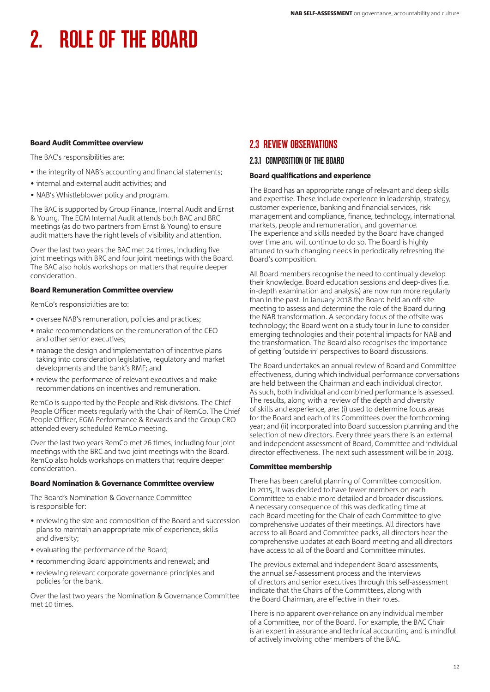## Board Audit Committee overview

The BAC's responsibilities are:

- the integrity of NAB's accounting and financial statements;
- internal and external audit activities; and
- NAB's Whistleblower policy and program.

The BAC is supported by Group Finance, Internal Audit and Ernst & Young. The EGM Internal Audit attends both BAC and BRC meetings (as do two partners from Ernst & Young) to ensure audit matters have the right levels of visibility and attention.

Over the last two years the BAC met 24 times, including five joint meetings with BRC and four joint meetings with the Board. The BAC also holds workshops on matters that require deeper consideration.

## Board Remuneration Committee overview

RemCo's responsibilities are to:

- oversee NAB's remuneration, policies and practices;
- make recommendations on the remuneration of the CEO and other senior executives;
- manage the design and implementation of incentive plans taking into consideration legislative, regulatory and market developments and the bank's RMF; and
- review the performance of relevant executives and make recommendations on incentives and remuneration.

RemCo is supported by the People and Risk divisions. The Chief People Officer meets regularly with the Chair of RemCo. The Chief People Officer, EGM Performance & Rewards and the Group CRO attended every scheduled RemCo meeting.

Over the last two years RemCo met 26 times, including four joint meetings with the BRC and two joint meetings with the Board. RemCo also holds workshops on matters that require deeper consideration.

## Board Nomination & Governance Committee overview

The Board's Nomination & Governance Committee is responsible for:

- reviewing the size and composition of the Board and succession plans to maintain an appropriate mix of experience, skills and diversity;
- evaluating the performance of the Board;
- recommending Board appointments and renewal; and
- reviewing relevant corporate governance principles and policies for the bank.

Over the last two years the Nomination & Governance Committee met 10 times.

# 2.3 REVIEW OBSERVATIONS

## 2.3.1 COMPOSITION OF THE BOARD

#### Board qualifications and experience

The Board has an appropriate range of relevant and deep skills and expertise. These include experience in leadership, strategy, customer experience, banking and financial services, risk management and compliance, finance, technology, international markets, people and remuneration, and governance. The experience and skills needed by the Board have changed over time and will continue to do so. The Board is highly attuned to such changing needs in periodically refreshing the Board's composition.

All Board members recognise the need to continually develop their knowledge. Board education sessions and deep-dives (i.e. in-depth examination and analysis) are now run more regularly than in the past. In January 2018 the Board held an off-site meeting to assess and determine the role of the Board during the NAB transformation. A secondary focus of the offsite was technology; the Board went on a study tour in June to consider emerging technologies and their potential impacts for NAB and the transformation. The Board also recognises the importance of getting 'outside in' perspectives to Board discussions.

The Board undertakes an annual review of Board and Committee effectiveness, during which individual performance conversations are held between the Chairman and each individual director. As such, both individual and combined performance is assessed. The results, along with a review of the depth and diversity of skills and experience, are: (i) used to determine focus areas for the Board and each of its Committees over the forthcoming year; and (ii) incorporated into Board succession planning and the selection of new directors. Every three years there is an external and independent assessment of Board, Committee and individual director effectiveness. The next such assessment will be in 2019.

## Committee membership

There has been careful planning of Committee composition. In 2015, it was decided to have fewer members on each Committee to enable more detailed and broader discussions. A necessary consequence of this was dedicating time at each Board meeting for the Chair of each Committee to give comprehensive updates of their meetings. All directors have access to all Board and Committee packs, all directors hear the comprehensive updates at each Board meeting and all directors have access to all of the Board and Committee minutes.

The previous external and independent Board assessments, the annual self-assessment process and the interviews of directors and senior executives through this self-assessment indicate that the Chairs of the Committees, along with the Board Chairman, are effective in their roles.

There is no apparent over-reliance on any individual member of a Committee, nor of the Board. For example, the BAC Chair is an expert in assurance and technical accounting and is mindful of actively involving other members of the BAC.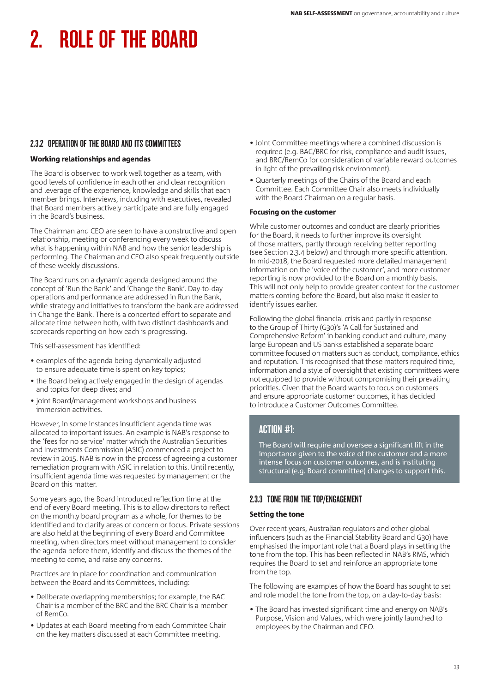# 2.3.2 OPERATION OF THE BOARD AND ITS COMMITTEES

## Working relationships and agendas

The Board is observed to work well together as a team, with good levels of confidence in each other and clear recognition and leverage of the experience, knowledge and skills that each member brings. Interviews, including with executives, revealed that Board members actively participate and are fully engaged in the Board's business.

The Chairman and CEO are seen to have a constructive and open relationship, meeting or conferencing every week to discuss what is happening within NAB and how the senior leadership is performing. The Chairman and CEO also speak frequently outside of these weekly discussions.

The Board runs on a dynamic agenda designed around the concept of 'Run the Bank' and 'Change the Bank'. Day-to-day operations and performance are addressed in Run the Bank, while strategy and initiatives to transform the bank are addressed in Change the Bank. There is a concerted effort to separate and allocate time between both, with two distinct dashboards and scorecards reporting on how each is progressing.

This self-assessment has identified:

- examples of the agenda being dynamically adjusted to ensure adequate time is spent on key topics;
- the Board being actively engaged in the design of agendas and topics for deep dives; and
- joint Board/management workshops and business immersion activities.

However, in some instances insufficient agenda time was allocated to important issues. An example is NAB's response to the 'fees for no service' matter which the Australian Securities and Investments Commission (ASIC) commenced a project to review in 2015. NAB is now in the process of agreeing a customer remediation program with ASIC in relation to this. Until recently, insufficient agenda time was requested by management or the Board on this matter.

Some years ago, the Board introduced reflection time at the end of every Board meeting. This is to allow directors to reflect on the monthly board program as a whole, for themes to be identified and to clarify areas of concern or focus. Private sessions are also held at the beginning of every Board and Committee meeting, when directors meet without management to consider the agenda before them, identify and discuss the themes of the meeting to come, and raise any concerns.

Practices are in place for coordination and communication between the Board and its Committees, including:

- Deliberate overlapping memberships; for example, the BAC Chair is a member of the BRC and the BRC Chair is a member of RemCo.
- Updates at each Board meeting from each Committee Chair on the key matters discussed at each Committee meeting.
- Joint Committee meetings where a combined discussion is required (e.g. BAC/BRC for risk, compliance and audit issues, and BRC/RemCo for consideration of variable reward outcomes in light of the prevailing risk environment).
- Quarterly meetings of the Chairs of the Board and each Committee. Each Committee Chair also meets individually with the Board Chairman on a regular basis.

## Focusing on the customer

While customer outcomes and conduct are clearly priorities for the Board, it needs to further improve its oversight of those matters, partly through receiving better reporting (see Section 2.3.4 below) and through more specific attention. In mid-2018, the Board requested more detailed management information on the 'voice of the customer', and more customer reporting is now provided to the Board on a monthly basis. This will not only help to provide greater context for the customer matters coming before the Board, but also make it easier to identify issues earlier.

Following the global financial crisis and partly in response to the Group of Thirty (G30)'s 'A Call for Sustained and Comprehensive Reform' in banking conduct and culture, many large European and US banks established a separate board committee focused on matters such as conduct, compliance, ethics and reputation. This recognised that these matters required time, information and a style of oversight that existing committees were not equipped to provide without compromising their prevailing priorities. Given that the Board wants to focus on customers and ensure appropriate customer outcomes, it has decided to introduce a Customer Outcomes Committee.

# ACTION #1:

The Board will require and oversee a significant lift in the importance given to the voice of the customer and a more intense focus on customer outcomes, and is instituting structural (e.g. Board committee) changes to support this.

## 2.3.3 TONE FROM THE TOP/ENGAGEMENT

## Setting the tone

Over recent years, Australian regulators and other global influencers (such as the Financial Stability Board and G30) have emphasised the important role that a Board plays in setting the tone from the top. This has been reflected in NAB's RMS, which requires the Board to set and reinforce an appropriate tone from the top.

The following are examples of how the Board has sought to set and role model the tone from the top, on a day-to-day basis:

• The Board has invested significant time and energy on NAB's Purpose, Vision and Values, which were jointly launched to employees by the Chairman and CEO.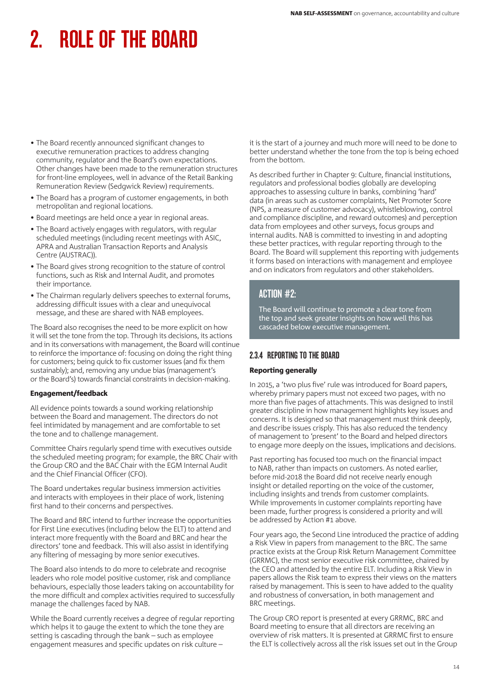- The Board recently announced significant changes to executive remuneration practices to address changing community, regulator and the Board's own expectations. Other changes have been made to the remuneration structures for front-line employees, well in advance of the Retail Banking Remuneration Review (Sedgwick Review) requirements.
- The Board has a program of customer engagements, in both metropolitan and regional locations.
- Board meetings are held once a year in regional areas.
- The Board actively engages with regulators, with regular scheduled meetings (including recent meetings with ASIC, APRA and Australian Transaction Reports and Analysis Centre (AUSTRAC)).
- The Board gives strong recognition to the stature of control functions, such as Risk and Internal Audit, and promotes their importance.
- The Chairman regularly delivers speeches to external forums, addressing difficult issues with a clear and unequivocal message, and these are shared with NAB employees.

The Board also recognises the need to be more explicit on how it will set the tone from the top. Through its decisions, its actions and in its conversations with management, the Board will continue to reinforce the importance of: focusing on doing the right thing for customers; being quick to fix customer issues (and fix them sustainably); and, removing any undue bias (management's or the Board's) towards financial constraints in decision-making.

## Engagement/feedback

All evidence points towards a sound working relationship between the Board and management. The directors do not feel intimidated by management and are comfortable to set the tone and to challenge management.

Committee Chairs regularly spend time with executives outside the scheduled meeting program; for example, the BRC Chair with the Group CRO and the BAC Chair with the EGM Internal Audit and the Chief Financial Officer (CFO).

The Board undertakes regular business immersion activities and interacts with employees in their place of work, listening first hand to their concerns and perspectives.

The Board and BRC intend to further increase the opportunities for First Line executives (including below the ELT) to attend and interact more frequently with the Board and BRC and hear the directors' tone and feedback. This will also assist in identifying any filtering of messaging by more senior executives.

The Board also intends to do more to celebrate and recognise leaders who role model positive customer, risk and compliance behaviours, especially those leaders taking on accountability for the more difficult and complex activities required to successfully manage the challenges faced by NAB.

While the Board currently receives a degree of regular reporting which helps it to gauge the extent to which the tone they are setting is cascading through the bank – such as employee engagement measures and specific updates on risk culture –

it is the start of a journey and much more will need to be done to better understand whether the tone from the top is being echoed from the bottom.

As described further in Chapter 9: Culture, financial institutions, regulators and professional bodies globally are developing approaches to assessing culture in banks, combining 'hard' data (in areas such as customer complaints, Net Promoter Score (NPS, a measure of customer advocacy), whistleblowing, control and compliance discipline, and reward outcomes) and perception data from employees and other surveys, focus groups and internal audits. NAB is committed to investing in and adopting these better practices, with regular reporting through to the Board. The Board will supplement this reporting with judgements it forms based on interactions with management and employee and on indicators from regulators and other stakeholders.

# ACTION #2:

The Board will continue to promote a clear tone from the top and seek greater insights on how well this has cascaded below executive management.

# 2.3.4 REPORTING TO THE BOARD

## Reporting generally

In 2015, a 'two plus five' rule was introduced for Board papers, whereby primary papers must not exceed two pages, with no more than five pages of attachments. This was designed to instil greater discipline in how management highlights key issues and concerns. It is designed so that management must think deeply, and describe issues crisply. This has also reduced the tendency of management to 'present' to the Board and helped directors to engage more deeply on the issues, implications and decisions.

Past reporting has focused too much on the financial impact to NAB, rather than impacts on customers. As noted earlier, before mid-2018 the Board did not receive nearly enough insight or detailed reporting on the voice of the customer, including insights and trends from customer complaints. While improvements in customer complaints reporting have been made, further progress is considered a priority and will be addressed by Action #1 above.

Four years ago, the Second Line introduced the practice of adding a Risk View in papers from management to the BRC. The same practice exists at the Group Risk Return Management Committee (GRRMC), the most senior executive risk committee, chaired by the CEO and attended by the entire ELT. Including a Risk View in papers allows the Risk team to express their views on the matters raised by management. This is seen to have added to the quality and robustness of conversation, in both management and BRC meetings.

The Group CRO report is presented at every GRRMC, BRC and Board meeting to ensure that all directors are receiving an overview of risk matters. It is presented at GRRMC first to ensure the ELT is collectively across all the risk issues set out in the Group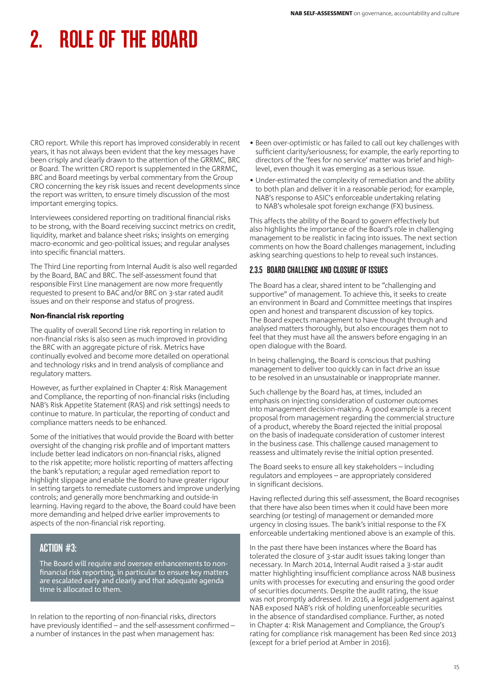CRO report. While this report has improved considerably in recent years, it has not always been evident that the key messages have been crisply and clearly drawn to the attention of the GRRMC, BRC or Board. The written CRO report is supplemented in the GRRMC, BRC and Board meetings by verbal commentary from the Group CRO concerning the key risk issues and recent developments since the report was written, to ensure timely discussion of the most important emerging topics.

Interviewees considered reporting on traditional financial risks to be strong, with the Board receiving succinct metrics on credit, liquidity, market and balance sheet risks; insights on emerging macro-economic and geo-political issues; and regular analyses into specific financial matters.

The Third Line reporting from Internal Audit is also well regarded by the Board, BAC and BRC. The self-assessment found that responsible First Line management are now more frequently requested to present to BAC and/or BRC on 3-star rated audit issues and on their response and status of progress.

## Non-financial risk reporting

The quality of overall Second Line risk reporting in relation to non-financial risks is also seen as much improved in providing the BRC with an aggregate picture of risk. Metrics have continually evolved and become more detailed on operational and technology risks and in trend analysis of compliance and regulatory matters.

However, as further explained in Chapter 4: Risk Management and Compliance, the reporting of non-financial risks (including NAB's Risk Appetite Statement (RAS) and risk settings) needs to continue to mature. In particular, the reporting of conduct and compliance matters needs to be enhanced.

Some of the initiatives that would provide the Board with better oversight of the changing risk profile and of important matters include better lead indicators on non-financial risks, aligned to the risk appetite; more holistic reporting of matters affecting the bank's reputation; a regular aged remediation report to highlight slippage and enable the Board to have greater rigour in setting targets to remediate customers and improve underlying controls; and generally more benchmarking and outside-in learning. Having regard to the above, the Board could have been more demanding and helped drive earlier improvements to aspects of the non-financial risk reporting.

# ACTION #3:

The Board will require and oversee enhancements to nonfinancial risk reporting, in particular to ensure key matters are escalated early and clearly and that adequate agenda time is allocated to them.

In relation to the reporting of non-financial risks, directors have previously identified – and the self-assessment confirmed – a number of instances in the past when management has:

- Been over-optimistic or has failed to call out key challenges with sufficient clarity/seriousness; for example, the early reporting to directors of the 'fees for no service' matter was brief and highlevel, even though it was emerging as a serious issue.
- Under-estimated the complexity of remediation and the ability to both plan and deliver it in a reasonable period; for example, NAB's response to ASIC's enforceable undertaking relating to NAB's wholesale spot foreign exchange (FX) business.

This affects the ability of the Board to govern effectively but also highlights the importance of the Board's role in challenging management to be realistic in facing into issues. The next section comments on how the Board challenges management, including asking searching questions to help to reveal such instances.

# 2.3.5 BOARD CHALLENGE AND CLOSURE OF ISSUES

The Board has a clear, shared intent to be "challenging and supportive" of management. To achieve this, it seeks to create an environment in Board and Committee meetings that inspires open and honest and transparent discussion of key topics. The Board expects management to have thought through and analysed matters thoroughly, but also encourages them not to feel that they must have all the answers before engaging in an open dialogue with the Board.

In being challenging, the Board is conscious that pushing management to deliver too quickly can in fact drive an issue to be resolved in an unsustainable or inappropriate manner.

Such challenge by the Board has, at times, included an emphasis on injecting consideration of customer outcomes into management decision-making. A good example is a recent proposal from management regarding the commercial structure of a product, whereby the Board rejected the initial proposal on the basis of inadequate consideration of customer interest in the business case. This challenge caused management to reassess and ultimately revise the initial option presented.

The Board seeks to ensure all key stakeholders – including regulators and employees – are appropriately considered in significant decisions.

Having reflected during this self-assessment, the Board recognises that there have also been times when it could have been more searching (or testing) of management or demanded more urgency in closing issues. The bank's initial response to the FX enforceable undertaking mentioned above is an example of this.

In the past there have been instances where the Board has tolerated the closure of 3-star audit issues taking longer than necessary. In March 2014, Internal Audit raised a 3-star audit matter highlighting insufficient compliance across NAB business units with processes for executing and ensuring the good order of securities documents. Despite the audit rating, the issue was not promptly addressed. In 2016, a legal judgement against NAB exposed NAB's risk of holding unenforceable securities in the absence of standardised compliance. Further, as noted in Chapter 4: Risk Management and Compliance, the Group's rating for compliance risk management has been Red since 2013 (except for a brief period at Amber in 2016).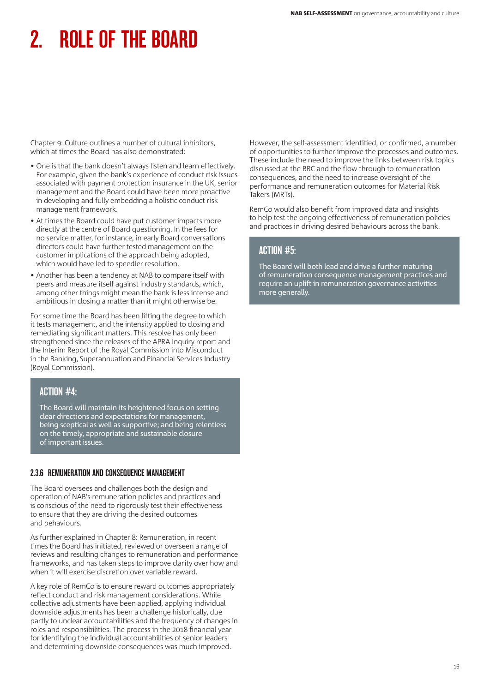Chapter 9: Culture outlines a number of cultural inhibitors, which at times the Board has also demonstrated:

- One is that the bank doesn't always listen and learn effectively. For example, given the bank's experience of conduct risk issues associated with payment protection insurance in the UK, senior management and the Board could have been more proactive in developing and fully embedding a holistic conduct risk management framework.
- At times the Board could have put customer impacts more directly at the centre of Board questioning. In the fees for no service matter, for instance, in early Board conversations directors could have further tested management on the customer implications of the approach being adopted, which would have led to speedier resolution.
- Another has been a tendency at NAB to compare itself with peers and measure itself against industry standards, which, among other things might mean the bank is less intense and ambitious in closing a matter than it might otherwise be.

For some time the Board has been lifting the degree to which it tests management, and the intensity applied to closing and remediating significant matters. This resolve has only been strengthened since the releases of the APRA Inquiry report and the Interim Report of the Royal Commission into Misconduct in the Banking, Superannuation and Financial Services Industry (Royal Commission).

# ACTION #4:

The Board will maintain its heightened focus on setting clear directions and expectations for management, being sceptical as well as supportive; and being relentless on the timely, appropriate and sustainable closure of important issues.

# 2.3.6 REMUNERATION AND CONSEQUENCE MANAGEMENT

The Board oversees and challenges both the design and operation of NAB's remuneration policies and practices and is conscious of the need to rigorously test their effectiveness to ensure that they are driving the desired outcomes and behaviours.

As further explained in Chapter 8: Remuneration, in recent times the Board has initiated, reviewed or overseen a range of reviews and resulting changes to remuneration and performance frameworks, and has taken steps to improve clarity over how and when it will exercise discretion over variable reward.

A key role of RemCo is to ensure reward outcomes appropriately reflect conduct and risk management considerations. While collective adjustments have been applied, applying individual downside adjustments has been a challenge historically, due partly to unclear accountabilities and the frequency of changes in roles and responsibilities. The process in the 2018 financial year for identifying the individual accountabilities of senior leaders and determining downside consequences was much improved.

However, the self-assessment identified, or confirmed, a number of opportunities to further improve the processes and outcomes. These include the need to improve the links between risk topics discussed at the BRC and the flow through to remuneration consequences, and the need to increase oversight of the performance and remuneration outcomes for Material Risk Takers (MRTs).

RemCo would also benefit from improved data and insights to help test the ongoing effectiveness of remuneration policies and practices in driving desired behaviours across the bank.

# ACTION #5:

The Board will both lead and drive a further maturing of remuneration consequence management practices and require an uplift in remuneration governance activities more generally.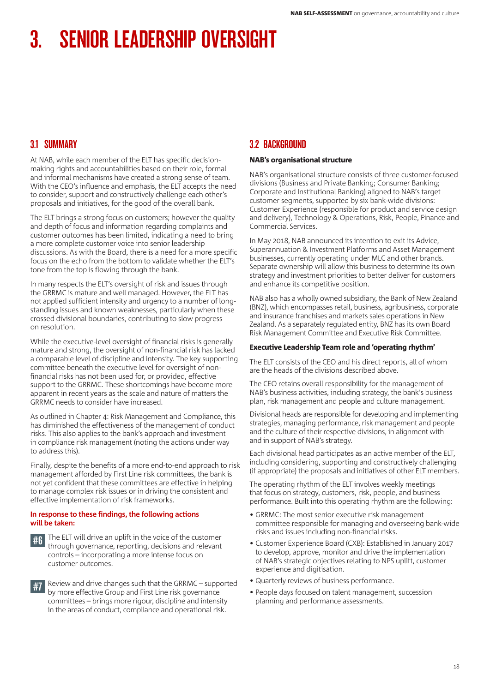# 3.1 SUMMARY

At NAB, while each member of the ELT has specific decisionmaking rights and accountabilities based on their role, formal and informal mechanisms have created a strong sense of team. With the CEO's influence and emphasis, the ELT accepts the need to consider, support and constructively challenge each other's proposals and initiatives, for the good of the overall bank.

The ELT brings a strong focus on customers; however the quality and depth of focus and information regarding complaints and customer outcomes has been limited, indicating a need to bring a more complete customer voice into senior leadership discussions. As with the Board, there is a need for a more specific focus on the echo from the bottom to validate whether the ELT's tone from the top is flowing through the bank.

In many respects the ELT's oversight of risk and issues through the GRRMC is mature and well managed. However, the ELT has not applied sufficient intensity and urgency to a number of longstanding issues and known weaknesses, particularly when these crossed divisional boundaries, contributing to slow progress on resolution.

While the executive-level oversight of financial risks is generally mature and strong, the oversight of non-financial risk has lacked a comparable level of discipline and intensity. The key supporting committee beneath the executive level for oversight of nonfinancial risks has not been used for, or provided, effective support to the GRRMC. These shortcomings have become more apparent in recent years as the scale and nature of matters the GRRMC needs to consider have increased.

As outlined in Chapter 4: Risk Management and Compliance, this has diminished the effectiveness of the management of conduct risks. This also applies to the bank's approach and investment in compliance risk management (noting the actions under way to address this).

Finally, despite the benefits of a more end-to-end approach to risk management afforded by First Line risk committees, the bank is not yet confident that these committees are effective in helping to manage complex risk issues or in driving the consistent and effective implementation of risk frameworks.

#### **In response to these findings, the following actions will be taken:**

- The ELT will drive an uplift in the voice of the customer through governance, reporting, decisions and relevant controls – incorporating a more intense focus on customer outcomes.
- #7 Review and drive changes such that the GRRMC supported by more effective Group and First Line risk governance committees – brings more rigour, discipline and intensity in the areas of conduct, compliance and operational risk.

# 3.2 BACKGROUND

## NAB's organisational structure

NAB's organisational structure consists of three customer-focused divisions (Business and Private Banking; Consumer Banking; Corporate and Institutional Banking) aligned to NAB's target customer segments, supported by six bank-wide divisions: Customer Experience (responsible for product and service design and delivery), Technology & Operations, Risk, People, Finance and Commercial Services.

In May 2018, NAB announced its intention to exit its Advice, Superannuation & Investment Platforms and Asset Management businesses, currently operating under MLC and other brands. Separate ownership will allow this business to determine its own strategy and investment priorities to better deliver for customers and enhance its competitive position.

NAB also has a wholly owned subsidiary, the Bank of New Zealand (BNZ), which encompasses retail, business, agribusiness, corporate and insurance franchises and markets sales operations in New Zealand. As a separately regulated entity, BNZ has its own Board Risk Management Committee and Executive Risk Committee.

#### Executive Leadership Team role and 'operating rhythm'

The ELT consists of the CEO and his direct reports, all of whom are the heads of the divisions described above.

The CEO retains overall responsibility for the management of NAB's business activities, including strategy, the bank's business plan, risk management and people and culture management.

Divisional heads are responsible for developing and implementing strategies, managing performance, risk management and people and the culture of their respective divisions, in alignment with and in support of NAB's strategy.

Each divisional head participates as an active member of the ELT, including considering, supporting and constructively challenging (if appropriate) the proposals and initiatives of other ELT members.

The operating rhythm of the ELT involves weekly meetings that focus on strategy, customers, risk, people, and business performance. Built into this operating rhythm are the following:

- GRRMC: The most senior executive risk management committee responsible for managing and overseeing bank-wide risks and issues including non-financial risks.
- Customer Experience Board (CXB): Established in January 2017 to develop, approve, monitor and drive the implementation of NAB's strategic objectives relating to NPS uplift, customer experience and digitisation.
- Quarterly reviews of business performance.
- People days focused on talent management, succession planning and performance assessments.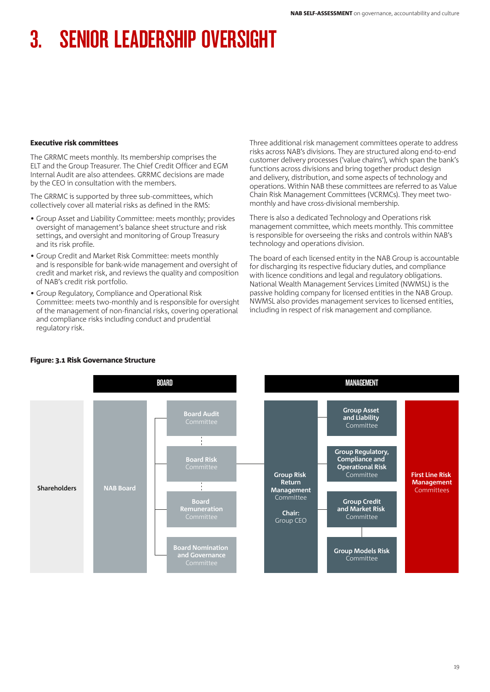#### Executive risk committees

The GRRMC meets monthly. Its membership comprises the ELT and the Group Treasurer. The Chief Credit Officer and EGM Internal Audit are also attendees. GRRMC decisions are made by the CEO in consultation with the members.

The GRRMC is supported by three sub-committees, which collectively cover all material risks as defined in the RMS:

- Group Asset and Liability Committee: meets monthly; provides oversight of management's balance sheet structure and risk settings, and oversight and monitoring of Group Treasury and its risk profile.
- Group Credit and Market Risk Committee: meets monthly and is responsible for bank-wide management and oversight of credit and market risk, and reviews the quality and composition of NAB's credit risk portfolio.
- Group Regulatory, Compliance and Operational Risk Committee: meets two-monthly and is responsible for oversight of the management of non-financial risks, covering operational and compliance risks including conduct and prudential regulatory risk.

Three additional risk management committees operate to address risks across NAB's divisions. They are structured along end-to-end customer delivery processes ('value chains'), which span the bank's functions across divisions and bring together product design and delivery, distribution, and some aspects of technology and operations. Within NAB these committees are referred to as Value Chain Risk Management Committees (VCRMCs). They meet twomonthly and have cross-divisional membership.

There is also a dedicated Technology and Operations risk management committee, which meets monthly. This committee is responsible for overseeing the risks and controls within NAB's technology and operations division.

The board of each licensed entity in the NAB Group is accountable for discharging its respective fiduciary duties, and compliance with licence conditions and legal and regulatory obligations. National Wealth Management Services Limited (NWMSL) is the passive holding company for licensed entities in the NAB Group. NWMSL also provides management services to licensed entities, including in respect of risk management and compliance.



## Figure: 3.1 Risk Governance Structure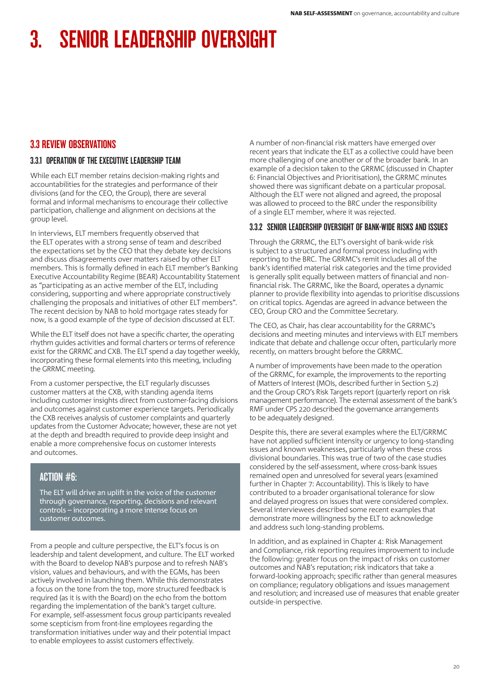# 3.3 REVIEW OBSERVATIONS

# 3.3.1 OPERATION OF THE EXECUTIVE LEADERSHIP TEAM

While each ELT member retains decision-making rights and accountabilities for the strategies and performance of their divisions (and for the CEO, the Group), there are several formal and informal mechanisms to encourage their collective participation, challenge and alignment on decisions at the group level.

In interviews, ELT members frequently observed that the ELT operates with a strong sense of team and described the expectations set by the CEO that they debate key decisions and discuss disagreements over matters raised by other ELT members. This is formally defined in each ELT member's Banking Executive Accountability Regime (BEAR) Accountability Statement as "participating as an active member of the ELT, including considering, supporting and where appropriate constructively challenging the proposals and initiatives of other ELT members". The recent decision by NAB to hold mortgage rates steady for now, is a good example of the type of decision discussed at ELT.

While the ELT itself does not have a specific charter, the operating rhythm guides activities and formal charters or terms of reference exist for the GRRMC and CXB. The ELT spend a day together weekly, incorporating these formal elements into this meeting, including the GRRMC meeting.

From a customer perspective, the ELT regularly discusses customer matters at the CXB, with standing agenda items including customer insights direct from customer-facing divisions and outcomes against customer experience targets. Periodically the CXB receives analysis of customer complaints and quarterly updates from the Customer Advocate; however, these are not yet at the depth and breadth required to provide deep insight and enable a more comprehensive focus on customer interests and outcomes.

# ACTION #6:

The ELT will drive an uplift in the voice of the customer through governance, reporting, decisions and relevant controls – incorporating a more intense focus on customer outcomes.

From a people and culture perspective, the ELT's focus is on leadership and talent development, and culture. The ELT worked with the Board to develop NAB's purpose and to refresh NAB's vision, values and behaviours, and with the EGMs, has been actively involved in launching them. While this demonstrates a focus on the tone from the top, more structured feedback is required (as it is with the Board) on the echo from the bottom regarding the implementation of the bank's target culture. For example, self-assessment focus group participants revealed some scepticism from front-line employees regarding the transformation initiatives under way and their potential impact to enable employees to assist customers effectively.

A number of non-financial risk matters have emerged over recent years that indicate the ELT as a collective could have been more challenging of one another or of the broader bank. In an example of a decision taken to the GRRMC (discussed in Chapter 6: Financial Objectives and Prioritisation), the GRRMC minutes showed there was significant debate on a particular proposal. Although the ELT were not aligned and agreed, the proposal was allowed to proceed to the BRC under the responsibility of a single ELT member, where it was rejected.

# 3.3.2 SENIOR LEADERSHIP OVERSIGHT OF BANK-WIDE RISKS AND ISSUES

Through the GRRMC, the ELT's oversight of bank-wide risk is subject to a structured and formal process including with reporting to the BRC. The GRRMC's remit includes all of the bank's identified material risk categories and the time provided is generally split equally between matters of financial and nonfinancial risk. The GRRMC, like the Board, operates a dynamic planner to provide flexibility into agendas to prioritise discussions on critical topics. Agendas are agreed in advance between the CEO, Group CRO and the Committee Secretary.

The CEO, as Chair, has clear accountability for the GRRMC's decisions and meeting minutes and interviews with ELT members indicate that debate and challenge occur often, particularly more recently, on matters brought before the GRRMC.

A number of improvements have been made to the operation of the GRRMC, for example, the improvements to the reporting of Matters of Interest (MOIs, described further in Section 5.2) and the Group CRO's Risk Targets report (quarterly report on risk management performance). The external assessment of the bank's RMF under CPS 220 described the governance arrangements to be adequately designed.

Despite this, there are several examples where the ELT/GRRMC have not applied sufficient intensity or urgency to long-standing issues and known weaknesses, particularly when these cross divisional boundaries. This was true of two of the case studies considered by the self-assessment, where cross-bank issues remained open and unresolved for several years (examined further in Chapter 7: Accountability). This is likely to have contributed to a broader organisational tolerance for slow and delayed progress on issues that were considered complex. Several interviewees described some recent examples that demonstrate more willingness by the ELT to acknowledge and address such long-standing problems.

In addition, and as explained in Chapter 4: Risk Management and Compliance, risk reporting requires improvement to include the following: greater focus on the impact of risks on customer outcomes and NAB's reputation; risk indicators that take a forward-looking approach; specific rather than general measures on compliance; regulatory obligations and issues management and resolution; and increased use of measures that enable greater outside-in perspective.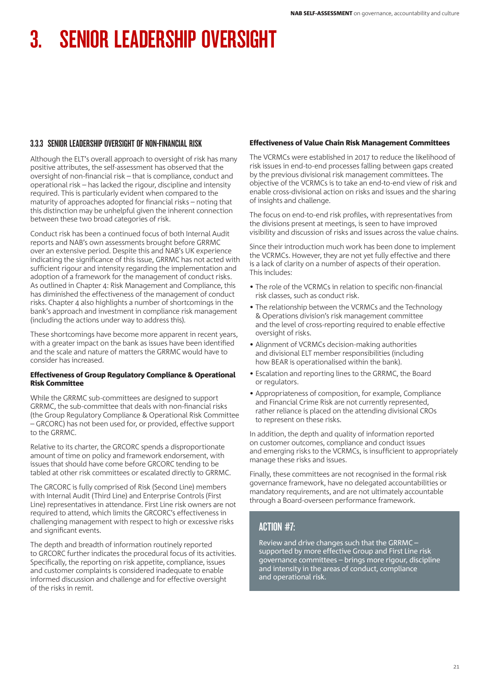## 3.3.3 SENIOR LEADERSHIP OVERSIGHT OF NON-FINANCIAL RISK

Although the ELT's overall approach to oversight of risk has many positive attributes, the self-assessment has observed that the oversight of non-financial risk – that is compliance, conduct and operational risk – has lacked the rigour, discipline and intensity required. This is particularly evident when compared to the maturity of approaches adopted for financial risks – noting that this distinction may be unhelpful given the inherent connection between these two broad categories of risk.

Conduct risk has been a continued focus of both Internal Audit reports and NAB's own assessments brought before GRRMC over an extensive period. Despite this and NAB's UK experience indicating the significance of this issue, GRRMC has not acted with sufficient rigour and intensity regarding the implementation and adoption of a framework for the management of conduct risks. As outlined in Chapter 4: Risk Management and Compliance, this has diminished the effectiveness of the management of conduct risks. Chapter 4 also highlights a number of shortcomings in the bank's approach and investment in compliance risk management (including the actions under way to address this).

These shortcomings have become more apparent in recent years, with a greater impact on the bank as issues have been identified and the scale and nature of matters the GRRMC would have to consider has increased.

#### Effectiveness of Group Regulatory Compliance & Operational Risk Committee

While the GRRMC sub-committees are designed to support GRRMC, the sub-committee that deals with non-financial risks (the Group Regulatory Compliance & Operational Risk Committee – GRCORC) has not been used for, or provided, effective support to the GRRMC.

Relative to its charter, the GRCORC spends a disproportionate amount of time on policy and framework endorsement, with issues that should have come before GRCORC tending to be tabled at other risk committees or escalated directly to GRRMC.

The GRCORC is fully comprised of Risk (Second Line) members with Internal Audit (Third Line) and Enterprise Controls (First Line) representatives in attendance. First Line risk owners are not required to attend, which limits the GRCORC's effectiveness in challenging management with respect to high or excessive risks and significant events.

The depth and breadth of information routinely reported to GRCORC further indicates the procedural focus of its activities. Specifically, the reporting on risk appetite, compliance, issues and customer complaints is considered inadequate to enable informed discussion and challenge and for effective oversight of the risks in remit.

#### Effectiveness of Value Chain Risk Management Committees

The VCRMCs were established in 2017 to reduce the likelihood of risk issues in end-to-end processes falling between gaps created by the previous divisional risk management committees. The objective of the VCRMCs is to take an end-to-end view of risk and enable cross-divisional action on risks and issues and the sharing of insights and challenge.

The focus on end-to-end risk profiles, with representatives from the divisions present at meetings, is seen to have improved visibility and discussion of risks and issues across the value chains.

Since their introduction much work has been done to implement the VCRMCs. However, they are not yet fully effective and there is a lack of clarity on a number of aspects of their operation. This includes:

- The role of the VCRMCs in relation to specific non-financial risk classes, such as conduct risk.
- The relationship between the VCRMCs and the Technology & Operations division's risk management committee and the level of cross-reporting required to enable effective oversight of risks.
- Alignment of VCRMCs decision-making authorities and divisional ELT member responsibilities (including how BEAR is operationalised within the bank).
- Escalation and reporting lines to the GRRMC, the Board or regulators.
- Appropriateness of composition, for example, Compliance and Financial Crime Risk are not currently represented, rather reliance is placed on the attending divisional CROs to represent on these risks.

In addition, the depth and quality of information reported on customer outcomes, compliance and conduct issues and emerging risks to the VCRMCs, is insufficient to appropriately manage these risks and issues.

Finally, these committees are not recognised in the formal risk governance framework, have no delegated accountabilities or mandatory requirements, and are not ultimately accountable through a Board-overseen performance framework.

# ACTION #7:

Review and drive changes such that the GRRMC – supported by more effective Group and First Line risk governance committees – brings more rigour, discipline and intensity in the areas of conduct, compliance and operational risk.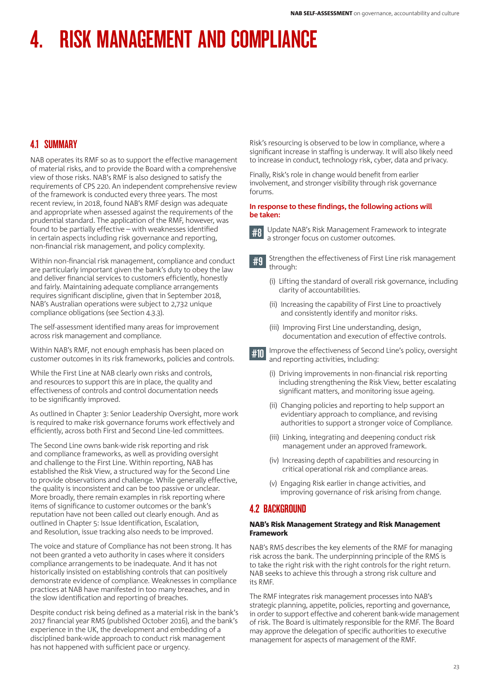# 4.1 SUMMARY

NAB operates its RMF so as to support the effective management of material risks, and to provide the Board with a comprehensive view of those risks. NAB's RMF is also designed to satisfy the requirements of CPS 220. An independent comprehensive review of the framework is conducted every three years. The most recent review, in 2018, found NAB's RMF design was adequate and appropriate when assessed against the requirements of the prudential standard. The application of the RMF, however, was found to be partially effective – with weaknesses identified in certain aspects including risk governance and reporting, non-financial risk management, and policy complexity.

Within non-financial risk management, compliance and conduct are particularly important given the bank's duty to obey the law and deliver financial services to customers efficiently, honestly and fairly. Maintaining adequate compliance arrangements requires significant discipline, given that in September 2018, NAB's Australian operations were subject to 2,732 unique compliance obligations (see Section 4.3.3).

The self-assessment identified many areas for improvement across risk management and compliance.

Within NAB's RMF, not enough emphasis has been placed on customer outcomes in its risk frameworks, policies and controls.

While the First Line at NAB clearly own risks and controls, and resources to support this are in place, the quality and effectiveness of controls and control documentation needs to be significantly improved.

As outlined in Chapter 3: Senior Leadership Oversight, more work is required to make risk governance forums work effectively and efficiently, across both First and Second Line-led committees.

The Second Line owns bank-wide risk reporting and risk and compliance frameworks, as well as providing oversight and challenge to the First Line. Within reporting, NAB has established the Risk View, a structured way for the Second Line to provide observations and challenge. While generally effective, the quality is inconsistent and can be too passive or unclear. More broadly, there remain examples in risk reporting where items of significance to customer outcomes or the bank's reputation have not been called out clearly enough. And as outlined in Chapter 5: Issue Identification, Escalation, and Resolution, issue tracking also needs to be improved.

The voice and stature of Compliance has not been strong. It has not been granted a veto authority in cases where it considers compliance arrangements to be inadequate. And it has not historically insisted on establishing controls that can positively demonstrate evidence of compliance. Weaknesses in compliance practices at NAB have manifested in too many breaches, and in the slow identification and reporting of breaches.

Despite conduct risk being defined as a material risk in the bank's 2017 financial year RMS (published October 2016), and the bank's experience in the UK, the development and embedding of a disciplined bank-wide approach to conduct risk management has not happened with sufficient pace or urgency.

Risk's resourcing is observed to be low in compliance, where a significant increase in staffing is underway. It will also likely need to increase in conduct, technology risk, cyber, data and privacy.

Finally, Risk's role in change would benefit from earlier involvement, and stronger visibility through risk governance forums.

#### **In response to these findings, the following actions will be taken:**



**#8** Update NAB's Risk Management Framework to integrate a stronger focus on customer outcomes.

#9 Strengthen the effectiveness of First Line risk management through:

- (i) Lifting the standard of overall risk governance, including clarity of accountabilities.
- (ii) Increasing the capability of First Line to proactively and consistently identify and monitor risks.
- (iii) Improving First Line understanding, design, documentation and execution of effective controls.
- #10 Improve the effectiveness of Second Line's policy, oversight and reporting activities, including:
	- (i) Driving improvements in non-financial risk reporting including strengthening the Risk View, better escalating significant matters, and monitoring issue ageing.
	- (ii) Changing policies and reporting to help support an evidentiary approach to compliance, and revising authorities to support a stronger voice of Compliance.
	- (iii) Linking, integrating and deepening conduct risk management under an approved framework.
	- (iv) Increasing depth of capabilities and resourcing in critical operational risk and compliance areas.
	- (v) Engaging Risk earlier in change activities, and improving governance of risk arising from change.

# 4.2 BACKGROUND

## NAB's Risk Management Strategy and Risk Management Framework

NAB's RMS describes the key elements of the RMF for managing risk across the bank. The underpinning principle of the RMS is to take the right risk with the right controls for the right return. NAB seeks to achieve this through a strong risk culture and its RMF.

The RMF integrates risk management processes into NAB's strategic planning, appetite, policies, reporting and governance, in order to support effective and coherent bank-wide management of risk. The Board is ultimately responsible for the RMF. The Board may approve the delegation of specific authorities to executive management for aspects of management of the RMF.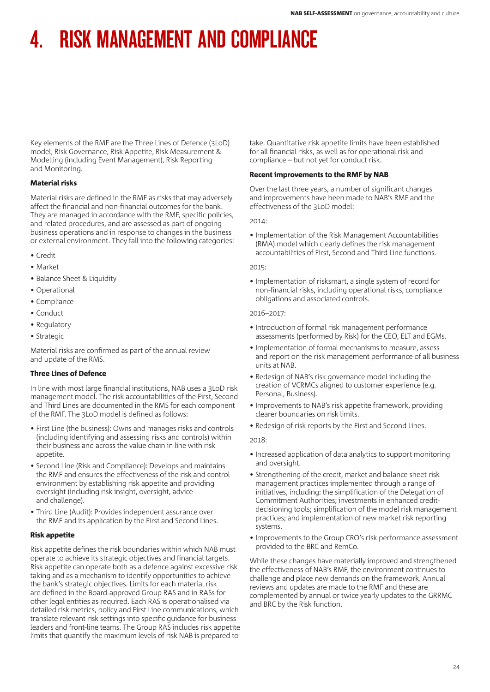Key elements of the RMF are the Three Lines of Defence (3LoD) model, Risk Governance, Risk Appetite, Risk Measurement & Modelling (including Event Management), Risk Reporting and Monitoring.

## Material risks

Material risks are defined in the RMF as risks that may adversely affect the financial and non-financial outcomes for the bank. They are managed in accordance with the RMF, specific policies, and related procedures, and are assessed as part of ongoing business operations and in response to changes in the business or external environment. They fall into the following categories:

- Credit
- Market
- Balance Sheet & Liquidity
- Operational
- Compliance
- Conduct
- Regulatory
- Strategic

Material risks are confirmed as part of the annual review and update of the RMS.

## Three Lines of Defence

In line with most large financial institutions, NAB uses a 3LoD risk management model. The risk accountabilities of the First, Second and Third Lines are documented in the RMS for each component of the RMF. The 3LoD model is defined as follows:

- First Line (the business): Owns and manages risks and controls (including identifying and assessing risks and controls) within their business and across the value chain in line with risk appetite.
- Second Line (Risk and Compliance): Develops and maintains the RMF and ensures the effectiveness of the risk and control environment by establishing risk appetite and providing oversight (including risk insight, oversight, advice and challenge).
- Third Line (Audit): Provides independent assurance over the RMF and its application by the First and Second Lines.

## Risk appetite

Risk appetite defines the risk boundaries within which NAB must operate to achieve its strategic objectives and financial targets. Risk appetite can operate both as a defence against excessive risk taking and as a mechanism to identify opportunities to achieve the bank's strategic objectives. Limits for each material risk are defined in the Board-approved Group RAS and in RASs for other legal entities as required. Each RAS is operationalised via detailed risk metrics, policy and First Line communications, which translate relevant risk settings into specific guidance for business leaders and front-line teams. The Group RAS includes risk appetite limits that quantify the maximum levels of risk NAB is prepared to

take. Quantitative risk appetite limits have been established for all financial risks, as well as for operational risk and compliance – but not yet for conduct risk.

## Recent improvements to the RMF by NAB

Over the last three years, a number of significant changes and improvements have been made to NAB's RMF and the effectiveness of the 3LoD model:

2014:

• Implementation of the Risk Management Accountabilities (RMA) model which clearly defines the risk management accountabilities of First, Second and Third Line functions.

## 2015:

• Implementation of risksmart, a single system of record for non-financial risks, including operational risks, compliance obligations and associated controls.

## 2016–2017:

- Introduction of formal risk management performance assessments (performed by Risk) for the CEO, ELT and EGMs.
- Implementation of formal mechanisms to measure, assess and report on the risk management performance of all business units at NAB.
- Redesign of NAB's risk governance model including the creation of VCRMCs aligned to customer experience (e.g. Personal, Business).
- Improvements to NAB's risk appetite framework, providing clearer boundaries on risk limits.
- Redesign of risk reports by the First and Second Lines.

## $2018$

- Increased application of data analytics to support monitoring and oversight.
- Strengthening of the credit, market and balance sheet risk management practices implemented through a range of initiatives, including: the simplification of the Delegation of Commitment Authorities; investments in enhanced creditdecisioning tools; simplification of the model risk management practices; and implementation of new market risk reporting systems.
- Improvements to the Group CRO's risk performance assessment provided to the BRC and RemCo.

While these changes have materially improved and strengthened the effectiveness of NAB's RMF, the environment continues to challenge and place new demands on the framework. Annual reviews and updates are made to the RMF and these are complemented by annual or twice yearly updates to the GRRMC and BRC by the Risk function.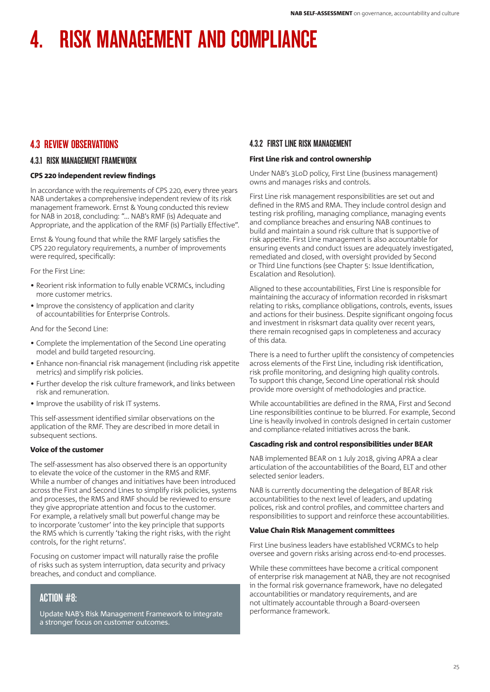# 4.3 REVIEW OBSERVATIONS

# 4.3.1 RISK MANAGEMENT FRAMEWORK

## CPS 220 independent review findings

In accordance with the requirements of CPS 220, every three years NAB undertakes a comprehensive independent review of its risk management framework. Ernst & Young conducted this review for NAB in 2018, concluding: "… NAB's RMF (is) Adequate and Appropriate, and the application of the RMF (is) Partially Effective".

Ernst & Young found that while the RMF largely satisfies the CPS 220 regulatory requirements, a number of improvements were required, specifically:

For the First Line:

- Reorient risk information to fully enable VCRMCs, including more customer metrics.
- Improve the consistency of application and clarity of accountabilities for Enterprise Controls.

And for the Second Line:

- Complete the implementation of the Second Line operating model and build targeted resourcing.
- Enhance non-financial risk management (including risk appetite metrics) and simplify risk policies.
- Further develop the risk culture framework, and links between risk and remuneration.
- Improve the usability of risk IT systems.

This self-assessment identified similar observations on the application of the RMF. They are described in more detail in subsequent sections.

## Voice of the customer

The self-assessment has also observed there is an opportunity to elevate the voice of the customer in the RMS and RMF. While a number of changes and initiatives have been introduced across the First and Second Lines to simplify risk policies, systems and processes, the RMS and RMF should be reviewed to ensure they give appropriate attention and focus to the customer. For example, a relatively small but powerful change may be to incorporate 'customer' into the key principle that supports the RMS which is currently 'taking the right risks, with the right controls, for the right returns'.

Focusing on customer impact will naturally raise the profile of risks such as system interruption, data security and privacy breaches, and conduct and compliance.

# ACTION #8:

Update NAB's Risk Management Framework to integrate a stronger focus on customer outcomes.

# 4.3.2 FIRST LINE RISK MANAGEMENT

## First Line risk and control ownership

Under NAB's 3LoD policy, First Line (business management) owns and manages risks and controls.

First Line risk management responsibilities are set out and defined in the RMS and RMA. They include control design and testing risk profiling, managing compliance, managing events and compliance breaches and ensuring NAB continues to build and maintain a sound risk culture that is supportive of risk appetite. First Line management is also accountable for ensuring events and conduct issues are adequately investigated, remediated and closed, with oversight provided by Second or Third Line functions (see Chapter 5: Issue Identification, Escalation and Resolution).

Aligned to these accountabilities, First Line is responsible for maintaining the accuracy of information recorded in risksmart relating to risks, compliance obligations, controls, events, issues and actions for their business. Despite significant ongoing focus and investment in risksmart data quality over recent years, there remain recognised gaps in completeness and accuracy of this data.

There is a need to further uplift the consistency of competencies across elements of the First Line, including risk identification, risk profile monitoring, and designing high quality controls. To support this change, Second Line operational risk should provide more oversight of methodologies and practice.

While accountabilities are defined in the RMA, First and Second Line responsibilities continue to be blurred. For example, Second Line is heavily involved in controls designed in certain customer and compliance-related initiatives across the bank.

## Cascading risk and control responsibilities under BEAR

NAB implemented BEAR on 1 July 2018, giving APRA a clear articulation of the accountabilities of the Board, ELT and other selected senior leaders.

NAB is currently documenting the delegation of BEAR risk accountabilities to the next level of leaders, and updating polices, risk and control profiles, and committee charters and responsibilities to support and reinforce these accountabilities.

## Value Chain Risk Management committees

First Line business leaders have established VCRMCs to help oversee and govern risks arising across end-to-end processes.

While these committees have become a critical component of enterprise risk management at NAB, they are not recognised in the formal risk governance framework, have no delegated accountabilities or mandatory requirements, and are not ultimately accountable through a Board-overseen performance framework.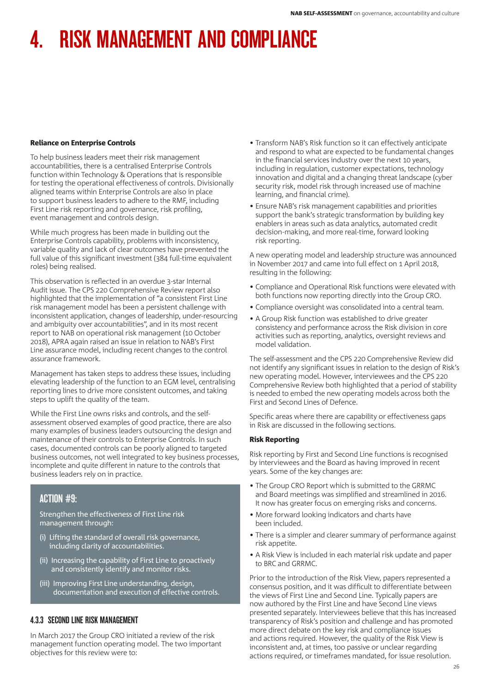## Reliance on Enterprise Controls

To help business leaders meet their risk management accountabilities, there is a centralised Enterprise Controls function within Technology & Operations that is responsible for testing the operational effectiveness of controls. Divisionally aligned teams within Enterprise Controls are also in place to support business leaders to adhere to the RMF, including First Line risk reporting and governance, risk profiling, event management and controls design.

While much progress has been made in building out the Enterprise Controls capability, problems with inconsistency, variable quality and lack of clear outcomes have prevented the full value of this significant investment (384 full-time equivalent roles) being realised.

This observation is reflected in an overdue 3-star Internal Audit issue. The CPS 220 Comprehensive Review report also highlighted that the implementation of "a consistent First Line risk management model has been a persistent challenge with inconsistent application, changes of leadership, under-resourcing and ambiguity over accountabilities", and in its most recent report to NAB on operational risk management (10 October 2018), APRA again raised an issue in relation to NAB's First Line assurance model, including recent changes to the control assurance framework.

Management has taken steps to address these issues, including elevating leadership of the function to an EGM level, centralising reporting lines to drive more consistent outcomes, and taking steps to uplift the quality of the team.

While the First Line owns risks and controls, and the selfassessment observed examples of good practice, there are also many examples of business leaders outsourcing the design and maintenance of their controls to Enterprise Controls. In such cases, documented controls can be poorly aligned to targeted business outcomes, not well integrated to key business processes, incomplete and quite different in nature to the controls that business leaders rely on in practice.

# ACTION #9:

Strengthen the effectiveness of First Line risk management through:

- (i) Lifting the standard of overall risk governance, including clarity of accountabilities.
- (ii) Increasing the capability of First Line to proactively and consistently identify and monitor risks.
- (iii) Improving First Line understanding, design, documentation and execution of effective controls.

# 4.3.3 SECOND LINE RISK MANAGEMENT

In March 2017 the Group CRO initiated a review of the risk management function operating model. The two important objectives for this review were to:

- Transform NAB's Risk function so it can effectively anticipate and respond to what are expected to be fundamental changes in the financial services industry over the next 10 years, including in regulation, customer expectations, technology innovation and digital and a changing threat landscape (cyber security risk, model risk through increased use of machine learning, and financial crime).
- Ensure NAB's risk management capabilities and priorities support the bank's strategic transformation by building key enablers in areas such as data analytics, automated credit decision-making, and more real-time, forward looking risk reporting.

A new operating model and leadership structure was announced in November 2017 and came into full effect on 1 April 2018, resulting in the following:

- Compliance and Operational Risk functions were elevated with both functions now reporting directly into the Group CRO.
- Compliance oversight was consolidated into a central team.
- A Group Risk function was established to drive greater consistency and performance across the Risk division in core activities such as reporting, analytics, oversight reviews and model validation.

The self-assessment and the CPS 220 Comprehensive Review did not identify any significant issues in relation to the design of Risk's new operating model. However, interviewees and the CPS 220 Comprehensive Review both highlighted that a period of stability is needed to embed the new operating models across both the First and Second Lines of Defence.

Specific areas where there are capability or effectiveness gaps in Risk are discussed in the following sections.

## Risk Reporting

Risk reporting by First and Second Line functions is recognised by interviewees and the Board as having improved in recent years. Some of the key changes are:

- The Group CRO Report which is submitted to the GRRMC and Board meetings was simplified and streamlined in 2016. It now has greater focus on emerging risks and concerns.
- More forward looking indicators and charts have been included.
- There is a simpler and clearer summary of performance against risk appetite.
- A Risk View is included in each material risk update and paper to BRC and GRRMC.

Prior to the introduction of the Risk View, papers represented a consensus position, and it was difficult to differentiate between the views of First Line and Second Line. Typically papers are now authored by the First Line and have Second Line views presented separately. Interviewees believe that this has increased transparency of Risk's position and challenge and has promoted more direct debate on the key risk and compliance issues and actions required. However, the quality of the Risk View is inconsistent and, at times, too passive or unclear regarding actions required, or timeframes mandated, for issue resolution.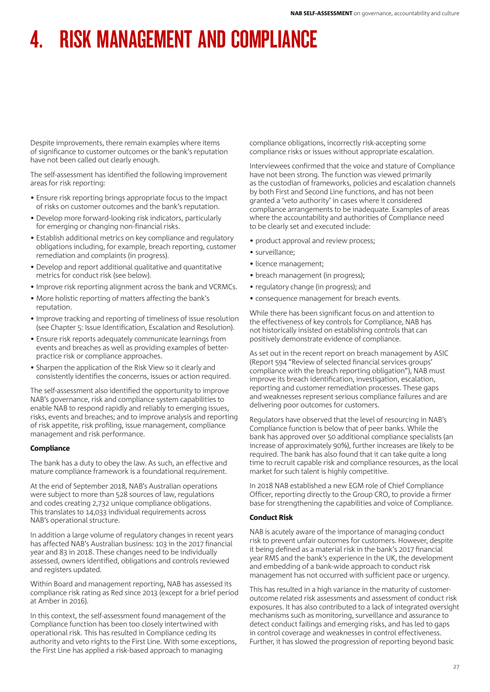Despite improvements, there remain examples where items of significance to customer outcomes or the bank's reputation have not been called out clearly enough.

The self-assessment has identified the following improvement areas for risk reporting:

- Ensure risk reporting brings appropriate focus to the impact of risks on customer outcomes and the bank's reputation.
- Develop more forward-looking risk indicators, particularly for emerging or changing non-financial risks.
- Establish additional metrics on key compliance and regulatory obligations including, for example, breach reporting, customer remediation and complaints (in progress).
- Develop and report additional qualitative and quantitative metrics for conduct risk (see below).
- Improve risk reporting alignment across the bank and VCRMCs.
- More holistic reporting of matters affecting the bank's reputation.
- Improve tracking and reporting of timeliness of issue resolution (see Chapter 5: Issue Identification, Escalation and Resolution).
- Ensure risk reports adequately communicate learnings from events and breaches as well as providing examples of betterpractice risk or compliance approaches.
- Sharpen the application of the Risk View so it clearly and consistently identifies the concerns, issues or action required.

The self-assessment also identified the opportunity to improve NAB's governance, risk and compliance system capabilities to enable NAB to respond rapidly and reliably to emerging issues, risks, events and breaches; and to improve analysis and reporting of risk appetite, risk profiling, issue management, compliance management and risk performance.

## **Compliance**

The bank has a duty to obey the law. As such, an effective and mature compliance framework is a foundational requirement.

At the end of September 2018, NAB's Australian operations were subject to more than 528 sources of law, regulations and codes creating 2,732 unique compliance obligations. This translates to 14,033 individual requirements across NAB's operational structure.

In addition a large volume of regulatory changes in recent years has affected NAB's Australian business: 103 in the 2017 financial year and 83 in 2018. These changes need to be individually assessed, owners identified, obligations and controls reviewed and registers updated.

Within Board and management reporting, NAB has assessed its compliance risk rating as Red since 2013 (except for a brief period at Amber in 2016).

In this context, the self-assessment found management of the Compliance function has been too closely intertwined with operational risk. This has resulted in Compliance ceding its authority and veto rights to the First Line. With some exceptions, the First Line has applied a risk-based approach to managing

compliance obligations, incorrectly risk-accepting some compliance risks or issues without appropriate escalation.

Interviewees confirmed that the voice and stature of Compliance have not been strong. The function was viewed primarily as the custodian of frameworks, policies and escalation channels by both First and Second Line functions, and has not been granted a 'veto authority' in cases where it considered compliance arrangements to be inadequate. Examples of areas where the accountability and authorities of Compliance need to be clearly set and executed include:

- product approval and review process;
- surveillance;
- licence management;
- breach management (in progress);
- regulatory change (in progress); and
- consequence management for breach events.

While there has been significant focus on and attention to the effectiveness of key controls for Compliance, NAB has not historically insisted on establishing controls that can positively demonstrate evidence of compliance.

As set out in the recent report on breach management by ASIC (Report 594 "Review of selected financial services groups' compliance with the breach reporting obligation"), NAB must improve its breach identification, investigation, escalation, reporting and customer remediation processes. These gaps and weaknesses represent serious compliance failures and are delivering poor outcomes for customers.

Regulators have observed that the level of resourcing in NAB's Compliance function is below that of peer banks. While the bank has approved over 50 additional compliance specialists (an increase of approximately 90%), further increases are likely to be required. The bank has also found that it can take quite a long time to recruit capable risk and compliance resources, as the local market for such talent is highly competitive.

In 2018 NAB established a new EGM role of Chief Compliance Officer, reporting directly to the Group CRO, to provide a firmer base for strengthening the capabilities and voice of Compliance.

# Conduct Risk

NAB is acutely aware of the importance of managing conduct risk to prevent unfair outcomes for customers. However, despite it being defined as a material risk in the bank's 2017 financial year RMS and the bank's experience in the UK, the development and embedding of a bank-wide approach to conduct risk management has not occurred with sufficient pace or urgency.

This has resulted in a high variance in the maturity of customeroutcome related risk assessments and assessment of conduct risk exposures. It has also contributed to a lack of integrated oversight mechanisms such as monitoring, surveillance and assurance to detect conduct failings and emerging risks, and has led to gaps in control coverage and weaknesses in control effectiveness. Further, it has slowed the progression of reporting beyond basic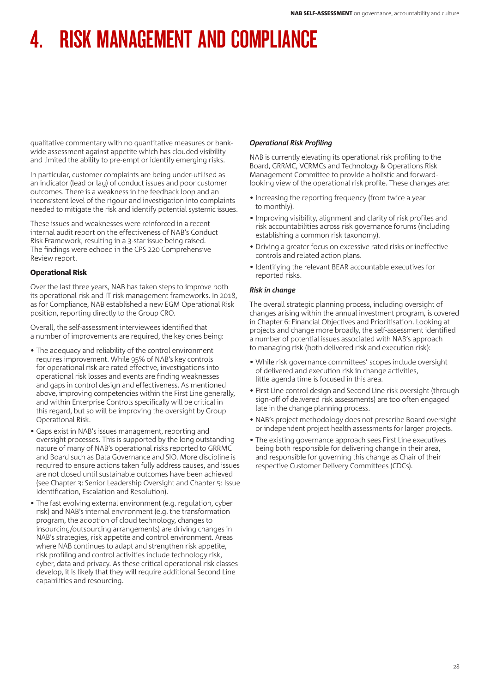qualitative commentary with no quantitative measures or bankwide assessment against appetite which has clouded visibility and limited the ability to pre-empt or identify emerging risks.

In particular, customer complaints are being under-utilised as an indicator (lead or lag) of conduct issues and poor customer outcomes. There is a weakness in the feedback loop and an inconsistent level of the rigour and investigation into complaints needed to mitigate the risk and identify potential systemic issues.

These issues and weaknesses were reinforced in a recent internal audit report on the effectiveness of NAB's Conduct Risk Framework, resulting in a 3-star issue being raised. The findings were echoed in the CPS 220 Comprehensive Review report.

# Operational Risk

Over the last three years, NAB has taken steps to improve both its operational risk and IT risk management frameworks. In 2018, as for Compliance, NAB established a new EGM Operational Risk position, reporting directly to the Group CRO.

Overall, the self-assessment interviewees identified that a number of improvements are required, the key ones being:

- The adequacy and reliability of the control environment requires improvement. While 95% of NAB's key controls for operational risk are rated effective, investigations into operational risk losses and events are finding weaknesses and gaps in control design and effectiveness. As mentioned above, improving competencies within the First Line generally, and within Enterprise Controls specifically will be critical in this regard, but so will be improving the oversight by Group Operational Risk.
- Gaps exist in NAB's issues management, reporting and oversight processes. This is supported by the long outstanding nature of many of NAB's operational risks reported to GRRMC and Board such as Data Governance and SIO. More discipline is required to ensure actions taken fully address causes, and issues are not closed until sustainable outcomes have been achieved (see Chapter 3: Senior Leadership Oversight and Chapter 5: Issue Identification, Escalation and Resolution).
- The fast evolving external environment (e.g. regulation, cyber risk) and NAB's internal environment (e.g. the transformation program, the adoption of cloud technology, changes to insourcing/outsourcing arrangements) are driving changes in NAB's strategies, risk appetite and control environment. Areas where NAB continues to adapt and strengthen risk appetite, risk profiling and control activities include technology risk, cyber, data and privacy. As these critical operational risk classes develop, it is likely that they will require additional Second Line capabilities and resourcing.

# *Operational Risk Profiling*

NAB is currently elevating its operational risk profiling to the Board, GRRMC, VCRMCs and Technology & Operations Risk Management Committee to provide a holistic and forwardlooking view of the operational risk profile. These changes are:

- Increasing the reporting frequency (from twice a year to monthly).
- Improving visibility, alignment and clarity of risk profiles and risk accountabilities across risk governance forums (including establishing a common risk taxonomy).
- Driving a greater focus on excessive rated risks or ineffective controls and related action plans.
- Identifying the relevant BEAR accountable executives for reported risks.

## *Risk in change*

The overall strategic planning process, including oversight of changes arising within the annual investment program, is covered in Chapter 6: Financial Objectives and Prioritisation. Looking at projects and change more broadly, the self-assessment identified a number of potential issues associated with NAB's approach to managing risk (both delivered risk and execution risk):

- While risk governance committees' scopes include oversight of delivered and execution risk in change activities, little agenda time is focused in this area.
- First Line control design and Second Line risk oversight (through sign-off of delivered risk assessments) are too often engaged late in the change planning process.
- NAB's project methodology does not prescribe Board oversight or independent project health assessments for larger projects.
- The existing governance approach sees First Line executives being both responsible for delivering change in their area, and responsible for governing this change as Chair of their respective Customer Delivery Committees (CDCs).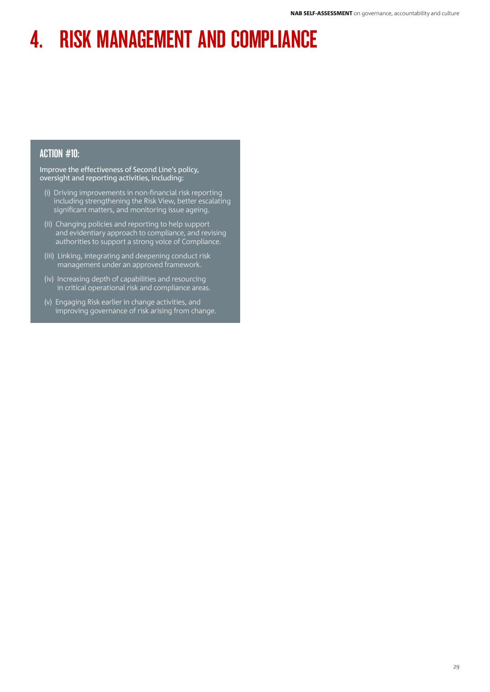# ACTION #10:

Improve the effectiveness of Second Line's policy, oversight and reporting activities, including:

- (i) Driving improvements in non-financial risk reporting including strengthening the Risk View, better escalating significant matters, and monitoring issue ageing.
- (ii) Changing policies and reporting to help support and evidentiary approach to compliance, and revising authorities to support a strong voice of Compliance.
- (iii) Linking, integrating and deepening conduct risk management under an approved framework.
- (iv) Increasing depth of capabilities and resourcing in critical operational risk and compliance areas.
- (v) Engaging Risk earlier in change activities, and improving governance of risk arising from change.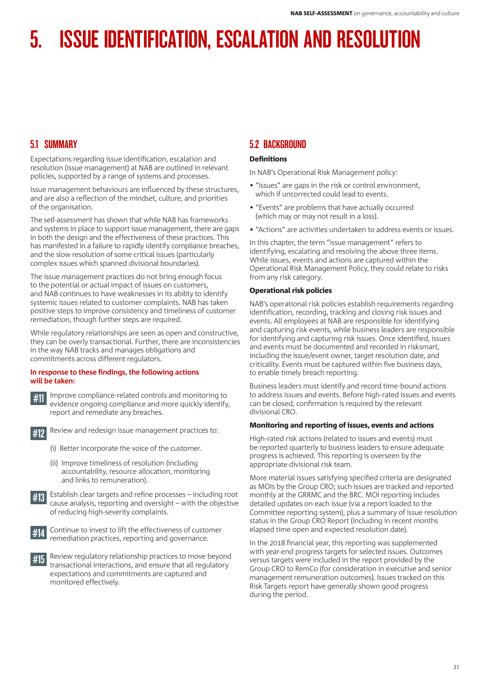# 5.1 SUMMARY

Expectations regarding issue identification, escalation and resolution (issue management) at NAB are outlined in relevant policies, supported by a range of systems and processes.

Issue management behaviours are influenced by these structures, and are also a reflection of the mindset, culture, and priorities of the organisation.

The self-assessment has shown that while NAB has frameworks and systems in place to support issue management, there are gaps in both the design and the effectiveness of these practices. This has manifested in a failure to rapidly identify compliance breaches, and the slow resolution of some critical issues (particularly complex issues which spanned divisional boundaries).

The issue management practices do not bring enough focus to the potential or actual impact of issues on customers, and NAB continues to have weaknesses in its ability to identify systemic issues related to customer complaints. NAB has taken positive steps to improve consistency and timeliness of customer remediation, though further steps are required.

While regulatory relationships are seen as open and constructive, they can be overly transactional. Further, there are inconsistencies in the way NAB tracks and manages obligations and commitments across different regulators.

## **In response to these findings, the following actions will be taken:**

- #11 Improve compliance-related controls and monitoring to evidence ongoing compliance and more quickly identify, report and remediate any breaches.
- 

#12 Review and redesign issue management practices to:

- (i) Better incorporate the voice of the customer.
- (ii) Improve timeliness of resolution (including accountability, resource allocation, monitoring and links to remuneration).
- #13 Establish clear targets and refine processes including root cause analysis, reporting and oversight – with the objective of reducing high-severity complaints.
- #14 Continue to invest to lift the effectiveness of customer remediation practices, reporting and governance.
- Review regulatory relationship practices to move beyond transactional interactions, and ensure that all regulatory expectations and commitments are captured and monitored effectively.

# 5.2 BACKGROUND

# **Definitions**

In NAB's Operational Risk Management policy:

- "Issues" are gaps in the risk or control environment, which if uncorrected could lead to events.
- "Events" are problems that have actually occurred (which may or may not result in a loss).
- "Actions" are activities undertaken to address events or issues.

In this chapter, the term "issue management" refers to identifying, escalating and resolving the above three items. While issues, events and actions are captured within the Operational Risk Management Policy, they could relate to risks from any risk category.

## Operational risk policies

NAB's operational risk policies establish requirements regarding identification, recording, tracking and closing risk issues and events. All employees at NAB are responsible for identifying and capturing risk events, while business leaders are responsible for identifying and capturing risk issues. Once identified, issues and events must be documented and recorded in risksmart, including the issue/event owner, target resolution date, and criticality. Events must be captured within five business days, to enable timely breach reporting.

Business leaders must identify and record time-bound actions to address issues and events. Before high-rated issues and events can be closed, confirmation is required by the relevant divisional CRO.

## Monitoring and reporting of issues, events and actions

High-rated risk actions (related to issues and events) must be reported quarterly to business leaders to ensure adequate progress is achieved. This reporting is overseen by the appropriate divisional risk team.

More material issues satisfying specified criteria are designated as MOIs by the Group CRO; such issues are tracked and reported monthly at the GRRMC and the BRC. MOI reporting includes detailed updates on each issue (via a report loaded to the Committee reporting system), plus a summary of issue resolution status in the Group CRO Report (including in recent months elapsed time open and expected resolution date).

In the 2018 financial year, this reporting was supplemented with year-end progress targets for selected issues. Outcomes versus targets were included in the report provided by the Group CRO to RemCo (for consideration in executive and senior management remuneration outcomes). Issues tracked on this Risk Targets report have generally shown good progress during the period.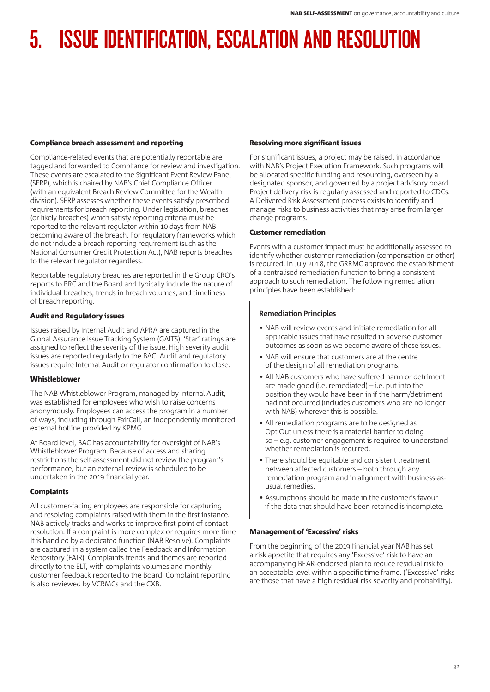# Compliance breach assessment and reporting

Compliance-related events that are potentially reportable are tagged and forwarded to Compliance for review and investigation. These events are escalated to the Significant Event Review Panel (SERP), which is chaired by NAB's Chief Compliance Officer (with an equivalent Breach Review Committee for the Wealth division). SERP assesses whether these events satisfy prescribed requirements for breach reporting. Under legislation, breaches (or likely breaches) which satisfy reporting criteria must be reported to the relevant regulator within 10 days from NAB becoming aware of the breach. For regulatory frameworks which do not include a breach reporting requirement (such as the National Consumer Credit Protection Act), NAB reports breaches to the relevant regulator regardless.

Reportable regulatory breaches are reported in the Group CRO's reports to BRC and the Board and typically include the nature of individual breaches, trends in breach volumes, and timeliness of breach reporting.

# Audit and Regulatory issues

Issues raised by Internal Audit and APRA are captured in the Global Assurance Issue Tracking System (GAITS). 'Star' ratings are assigned to reflect the severity of the issue. High severity audit issues are reported regularly to the BAC. Audit and regulatory issues require Internal Audit or regulator confirmation to close.

## Whistleblower

The NAB Whistleblower Program, managed by Internal Audit, was established for employees who wish to raise concerns anonymously. Employees can access the program in a number of ways, including through FairCall, an independently monitored external hotline provided by KPMG.

At Board level, BAC has accountability for oversight of NAB's Whistleblower Program. Because of access and sharing restrictions the self-assessment did not review the program's performance, but an external review is scheduled to be undertaken in the 2019 financial year.

# **Complaints**

All customer-facing employees are responsible for capturing and resolving complaints raised with them in the first instance. NAB actively tracks and works to improve first point of contact resolution. If a complaint is more complex or requires more time It is handled by a dedicated function (NAB Resolve). Complaints are captured in a system called the Feedback and Information Repository (FAIR). Complaints trends and themes are reported directly to the ELT, with complaints volumes and monthly customer feedback reported to the Board. Complaint reporting is also reviewed by VCRMCs and the CXB.

# Resolving more significant issues

For significant issues, a project may be raised, in accordance with NAB's Project Execution Framework. Such programs will be allocated specific funding and resourcing, overseen by a designated sponsor, and governed by a project advisory board. Project delivery risk is regularly assessed and reported to CDCs. A Delivered Risk Assessment process exists to identify and manage risks to business activities that may arise from larger change programs.

# Customer remediation

Events with a customer impact must be additionally assessed to identify whether customer remediation (compensation or other) is required. In July 2018, the GRRMC approved the establishment of a centralised remediation function to bring a consistent approach to such remediation. The following remediation principles have been established:

# **Remediation Principles**

- NAB will review events and initiate remediation for all applicable issues that have resulted in adverse customer outcomes as soon as we become aware of these issues.
- NAB will ensure that customers are at the centre of the design of all remediation programs.
- All NAB customers who have suffered harm or detriment are made good (i.e. remediated) – i.e. put into the position they would have been in if the harm/detriment had not occurred (includes customers who are no longer with NAB) wherever this is possible.
- All remediation programs are to be designed as Opt Out unless there is a material barrier to doing so – e.g. customer engagement is required to understand whether remediation is required.
- There should be equitable and consistent treatment between affected customers – both through any remediation program and in alignment with business-asusual remedies.
- Assumptions should be made in the customer's favour if the data that should have been retained is incomplete.

# Management of 'Excessive' risks

From the beginning of the 2019 financial year NAB has set a risk appetite that requires any 'Excessive' risk to have an accompanying BEAR-endorsed plan to reduce residual risk to an acceptable level within a specific time frame. ('Excessive' risks are those that have a high residual risk severity and probability).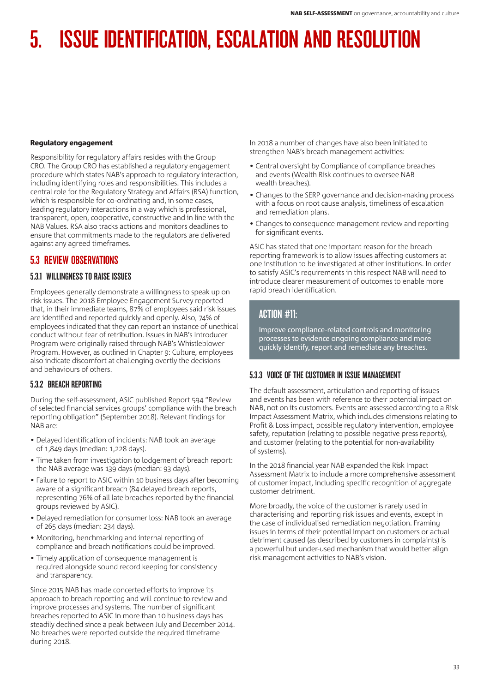## Regulatory engagement

Responsibility for regulatory affairs resides with the Group CRO. The Group CRO has established a regulatory engagement procedure which states NAB's approach to regulatory interaction, including identifying roles and responsibilities. This includes a central role for the Regulatory Strategy and Affairs (RSA) function, which is responsible for co-ordinating and, in some cases, leading regulatory interactions in a way which is professional, transparent, open, cooperative, constructive and in line with the NAB Values. RSA also tracks actions and monitors deadlines to ensure that commitments made to the regulators are delivered against any agreed timeframes.

# 5.3 REVIEW OBSERVATIONS

# 5.3.1 WILLINGNESS TO RAISE ISSUES

Employees generally demonstrate a willingness to speak up on risk issues. The 2018 Employee Engagement Survey reported that, in their immediate teams, 87% of employees said risk issues are identified and reported quickly and openly. Also, 74% of employees indicated that they can report an instance of unethical conduct without fear of retribution. Issues in NAB's Introducer Program were originally raised through NAB's Whistleblower Program. However, as outlined in Chapter 9: Culture, employees also indicate discomfort at challenging overtly the decisions and behaviours of others.

# 5.3.2 BREACH REPORTING

During the self-assessment, ASIC published Report 594 "Review of selected financial services groups' compliance with the breach reporting obligation" (September 2018). Relevant findings for NAB are:

- Delayed identification of incidents: NAB took an average of 1,849 days (median: 1,228 days).
- Time taken from investigation to lodgement of breach report: the NAB average was 139 days (median: 93 days).
- Failure to report to ASIC within 10 business days after becoming aware of a significant breach (84 delayed breach reports, representing 76% of all late breaches reported by the financial groups reviewed by ASIC).
- Delayed remediation for consumer loss: NAB took an average of 265 days (median: 234 days).
- Monitoring, benchmarking and internal reporting of compliance and breach notifications could be improved.
- Timely application of consequence management is required alongside sound record keeping for consistency and transparency.

Since 2015 NAB has made concerted efforts to improve its approach to breach reporting and will continue to review and improve processes and systems. The number of significant breaches reported to ASIC in more than 10 business days has steadily declined since a peak between July and December 2014. No breaches were reported outside the required timeframe during 2018.

In 2018 a number of changes have also been initiated to strengthen NAB's breach management activities:

- Central oversight by Compliance of compliance breaches and events (Wealth Risk continues to oversee NAB wealth breaches).
- Changes to the SERP governance and decision-making process with a focus on root cause analysis, timeliness of escalation and remediation plans.
- Changes to consequence management review and reporting for significant events.

ASIC has stated that one important reason for the breach reporting framework is to allow issues affecting customers at one institution to be investigated at other institutions. In order to satisfy ASIC's requirements in this respect NAB will need to introduce clearer measurement of outcomes to enable more rapid breach identification.

# ACTION #11:

Improve compliance-related controls and monitoring processes to evidence ongoing compliance and more quickly identify, report and remediate any breaches.

# 5.3.3 VOICE OF THE CUSTOMER IN ISSUE MANAGEMENT

The default assessment, articulation and reporting of issues and events has been with reference to their potential impact on NAB, not on its customers. Events are assessed according to a Risk Impact Assessment Matrix, which includes dimensions relating to Profit & Loss impact, possible regulatory intervention, employee safety, reputation (relating to possible negative press reports), and customer (relating to the potential for non-availability of systems).

In the 2018 financial year NAB expanded the Risk Impact Assessment Matrix to include a more comprehensive assessment of customer impact, including specific recognition of aggregate customer detriment.

More broadly, the voice of the customer is rarely used in characterising and reporting risk issues and events, except in the case of individualised remediation negotiation. Framing issues in terms of their potential impact on customers or actual detriment caused (as described by customers in complaints) is a powerful but under-used mechanism that would better align risk management activities to NAB's vision.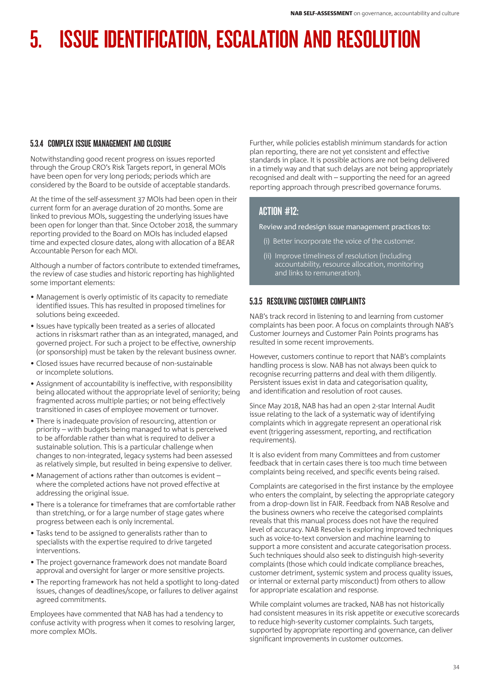# 5.3.4 COMPLEX ISSUE MANAGEMENT AND CLOSURE

Notwithstanding good recent progress on issues reported through the Group CRO's Risk Targets report, in general MOIs have been open for very long periods; periods which are considered by the Board to be outside of acceptable standards.

At the time of the self-assessment 37 MOIs had been open in their current form for an average duration of 20 months. Some are linked to previous MOIs, suggesting the underlying issues have been open for longer than that. Since October 2018, the summary reporting provided to the Board on MOIs has included elapsed time and expected closure dates, along with allocation of a BEAR Accountable Person for each MOI.

Although a number of factors contribute to extended timeframes, the review of case studies and historic reporting has highlighted some important elements:

- Management is overly optimistic of its capacity to remediate identified issues. This has resulted in proposed timelines for solutions being exceeded.
- Issues have typically been treated as a series of allocated actions in risksmart rather than as an integrated, managed, and governed project. For such a project to be effective, ownership (or sponsorship) must be taken by the relevant business owner.
- Closed issues have recurred because of non-sustainable or incomplete solutions.
- Assignment of accountability is ineffective, with responsibility being allocated without the appropriate level of seniority; being fragmented across multiple parties; or not being effectively transitioned in cases of employee movement or turnover.
- There is inadequate provision of resourcing, attention or priority – with budgets being managed to what is perceived to be affordable rather than what is required to deliver a sustainable solution. This is a particular challenge when changes to non-integrated, legacy systems had been assessed as relatively simple, but resulted in being expensive to deliver.
- Management of actions rather than outcomes is evident where the completed actions have not proved effective at addressing the original issue.
- There is a tolerance for timeframes that are comfortable rather than stretching, or for a large number of stage gates where progress between each is only incremental.
- Tasks tend to be assigned to generalists rather than to specialists with the expertise required to drive targeted interventions.
- The project governance framework does not mandate Board approval and oversight for larger or more sensitive projects.
- The reporting framework has not held a spotlight to long-dated issues, changes of deadlines/scope, or failures to deliver against agreed commitments.

Employees have commented that NAB has had a tendency to confuse activity with progress when it comes to resolving larger, more complex MOIs.

Further, while policies establish minimum standards for action plan reporting, there are not yet consistent and effective standards in place. It is possible actions are not being delivered in a timely way and that such delays are not being appropriately recognised and dealt with – supporting the need for an agreed reporting approach through prescribed governance forums.

# ACTION #12:

Review and redesign issue management practices to:

- (i) Better incorporate the voice of the customer.
- (ii) Improve timeliness of resolution (including accountability, resource allocation, monitoring and links to remuneration).

# 5.3.5 RESOLVING CUSTOMER COMPLAINTS

NAB's track record in listening to and learning from customer complaints has been poor. A focus on complaints through NAB's Customer Journeys and Customer Pain Points programs has resulted in some recent improvements.

However, customers continue to report that NAB's complaints handling process is slow. NAB has not always been quick to recognise recurring patterns and deal with them diligently. Persistent issues exist in data and categorisation quality, and identification and resolution of root causes.

Since May 2018, NAB has had an open 2-star Internal Audit issue relating to the lack of a systematic way of identifying complaints which in aggregate represent an operational risk event (triggering assessment, reporting, and rectification requirements).

It is also evident from many Committees and from customer feedback that in certain cases there is too much time between complaints being received, and specific events being raised.

Complaints are categorised in the first instance by the employee who enters the complaint, by selecting the appropriate category from a drop-down list in FAIR. Feedback from NAB Resolve and the business owners who receive the categorised complaints reveals that this manual process does not have the required level of accuracy. NAB Resolve is exploring improved techniques such as voice-to-text conversion and machine learning to support a more consistent and accurate categorisation process. Such techniques should also seek to distinguish high-severity complaints (those which could indicate compliance breaches, customer detriment, systemic system and process quality issues, or internal or external party misconduct) from others to allow for appropriate escalation and response.

While complaint volumes are tracked, NAB has not historically had consistent measures in its risk appetite or executive scorecards to reduce high-severity customer complaints. Such targets, supported by appropriate reporting and governance, can deliver significant improvements in customer outcomes.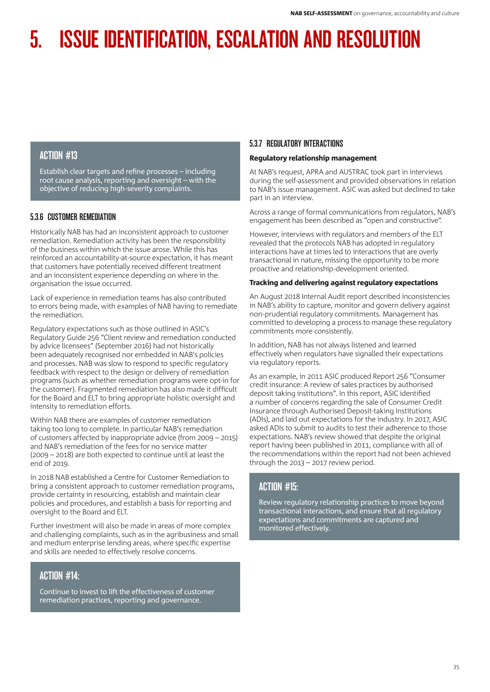# ACTION #13

Establish clear targets and refine processes – including root cause analysis, reporting and oversight – with the objective of reducing high-severity complaints.

# 5.3.6 CUSTOMER REMEDIATION

Historically NAB has had an inconsistent approach to customer remediation. Remediation activity has been the responsibility of the business within which the issue arose. While this has reinforced an accountability-at-source expectation, it has meant that customers have potentially received different treatment and an inconsistent experience depending on where in the organisation the issue occurred.

Lack of experience in remediation teams has also contributed to errors being made, with examples of NAB having to remediate the remediation.

Regulatory expectations such as those outlined in ASIC's Regulatory Guide 256 "Client review and remediation conducted by advice licensees" (September 2016) had not historically been adequately recognised nor embedded in NAB's policies and processes. NAB was slow to respond to specific regulatory feedback with respect to the design or delivery of remediation programs (such as whether remediation programs were opt-in for the customer). Fragmented remediation has also made it difficult for the Board and ELT to bring appropriate holistic oversight and intensity to remediation efforts.

Within NAB there are examples of customer remediation taking too long to complete. In particular NAB's remediation of customers affected by inappropriate advice (from 2009 – 2015) and NAB's remediation of the fees for no service matter (2009 – 2018) are both expected to continue until at least the end of 2019.

In 2018 NAB established a Centre for Customer Remediation to bring a consistent approach to customer remediation programs, provide certainty in resourcing, establish and maintain clear policies and procedures, and establish a basis for reporting and oversight to the Board and ELT.

Further investment will also be made in areas of more complex and challenging complaints, such as in the agribusiness and small and medium enterprise lending areas, where specific expertise and skills are needed to effectively resolve concerns.

# ACTION #14:

Continue to invest to lift the effectiveness of customer remediation practices, reporting and governance.

# 5.3.7 REGULATORY INTERACTIONS

# Regulatory relationship management

At NAB's request, APRA and AUSTRAC took part in interviews during the self-assessment and provided observations in relation to NAB's issue management. ASIC was asked but declined to take part in an interview.

Across a range of formal communications from regulators, NAB's engagement has been described as "open and constructive".

However, interviews with regulators and members of the ELT revealed that the protocols NAB has adopted in regulatory interactions have at times led to interactions that are overly transactional in nature, missing the opportunity to be more proactive and relationship-development oriented.

# Tracking and delivering against regulatory expectations

An August 2018 Internal Audit report described inconsistencies in NAB's ability to capture, monitor and govern delivery against non-prudential regulatory commitments. Management has committed to developing a process to manage these regulatory commitments more consistently.

In addition, NAB has not always listened and learned effectively when regulators have signalled their expectations via regulatory reports.

As an example, in 2011 ASIC produced Report 256 "Consumer credit insurance: A review of sales practices by authorised deposit taking institutions". In this report, ASIC identified a number of concerns regarding the sale of Consumer Credit Insurance through Authorised Deposit-taking Institutions (ADIs), and laid out expectations for the industry. In 2017, ASIC asked ADIs to submit to audits to test their adherence to those expectations. NAB's review showed that despite the original report having been published in 2011, compliance with all of the recommendations within the report had not been achieved through the 2013 – 2017 review period.

# ACTION #15:

Review regulatory relationship practices to move beyond transactional interactions, and ensure that all regulatory expectations and commitments are captured and monitored effectively.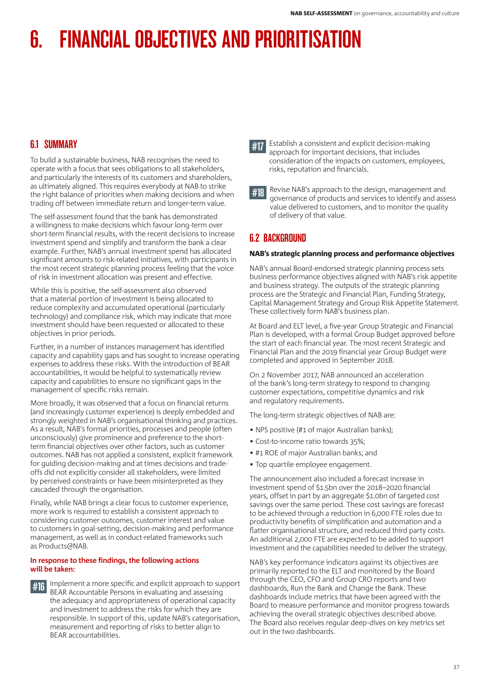# 6.1 SUMMARY

To build a sustainable business, NAB recognises the need to operate with a focus that sees obligations to all stakeholders, and particularly the interests of its customers and shareholders, as ultimately aligned. This requires everybody at NAB to strike the right balance of priorities when making decisions and when trading off between immediate return and longer-term value.

The self-assessment found that the bank has demonstrated a willingness to make decisions which favour long-term over short-term financial results, with the recent decisions to increase investment spend and simplify and transform the bank a clear example. Further, NAB's annual investment spend has allocated significant amounts to risk-related initiatives, with participants in the most recent strategic planning process feeling that the voice of risk in investment allocation was present and effective.

While this is positive, the self-assessment also observed that a material portion of investment is being allocated to reduce complexity and accumulated operational (particularly technology) and compliance risk, which may indicate that more investment should have been requested or allocated to these objectives in prior periods.

Further, in a number of instances management has identified capacity and capability gaps and has sought to increase operating expenses to address these risks. With the introduction of BEAR accountabilities, it would be helpful to systematically review capacity and capabilities to ensure no significant gaps in the management of specific risks remain.

More broadly, it was observed that a focus on financial returns (and increasingly customer experience) is deeply embedded and strongly weighted in NAB's organisational thinking and practices. As a result, NAB's formal priorities, processes and people (often unconsciously) give prominence and preference to the shortterm financial objectives over other factors, such as customer outcomes. NAB has not applied a consistent, explicit framework for guiding decision-making and at times decisions and tradeoffs did not explicitly consider all stakeholders, were limited by perceived constraints or have been misinterpreted as they cascaded through the organisation.

Finally, while NAB brings a clear focus to customer experience, more work is required to establish a consistent approach to considering customer outcomes, customer interest and value to customers in goal-setting, decision-making and performance management, as well as in conduct-related frameworks such as Products@NAB.

## **In response to these findings, the following actions will be taken:**

#16 Implement a more specific and explicit approach to support BEAR Accountable Persons in evaluating and assessing the adequacy and appropriateness of operational capacity and investment to address the risks for which they are responsible. In support of this, update NAB's categorisation, measurement and reporting of risks to better align to BEAR accountabilities.



#18 Revise NAB's approach to the design, management and governance of products and services to identify and assess value delivered to customers, and to monitor the quality of delivery of that value.

# 6.2 BACKGROUND

## NAB's strategic planning process and performance objectives

NAB's annual Board-endorsed strategic planning process sets business performance objectives aligned with NAB's risk appetite and business strategy. The outputs of the strategic planning process are the Strategic and Financial Plan, Funding Strategy, Capital Management Strategy and Group Risk Appetite Statement. These collectively form NAB's business plan.

At Board and ELT level, a five-year Group Strategic and Financial Plan is developed, with a formal Group Budget approved before the start of each financial year. The most recent Strategic and Financial Plan and the 2019 financial year Group Budget were completed and approved in September 2018.

On 2 November 2017, NAB announced an acceleration of the bank's long-term strategy to respond to changing customer expectations, competitive dynamics and risk and regulatory requirements.

The long-term strategic objectives of NAB are:

- NPS positive (#1 of major Australian banks);
- Cost-to-income ratio towards 35%;
- #1 ROE of major Australian banks; and
- Top quartile employee engagement.

The announcement also included a forecast increase in investment spend of \$1.5bn over the 2018–2020 financial years, offset in part by an aggregate \$1.0bn of targeted cost savings over the same period. These cost savings are forecast to be achieved through a reduction in 6,000 FTE roles due to productivity benefits of simplification and automation and a flatter organisational structure, and reduced third party costs. An additional 2,000 FTE are expected to be added to support investment and the capabilities needed to deliver the strategy.

NAB's key performance indicators against its objectives are primarily reported to the ELT and monitored by the Board through the CEO, CFO and Group CRO reports and two dashboards, Run the Bank and Change the Bank. These dashboards include metrics that have been agreed with the Board to measure performance and monitor progress towards achieving the overall strategic objectives described above. The Board also receives regular deep-dives on key metrics set out in the two dashboards.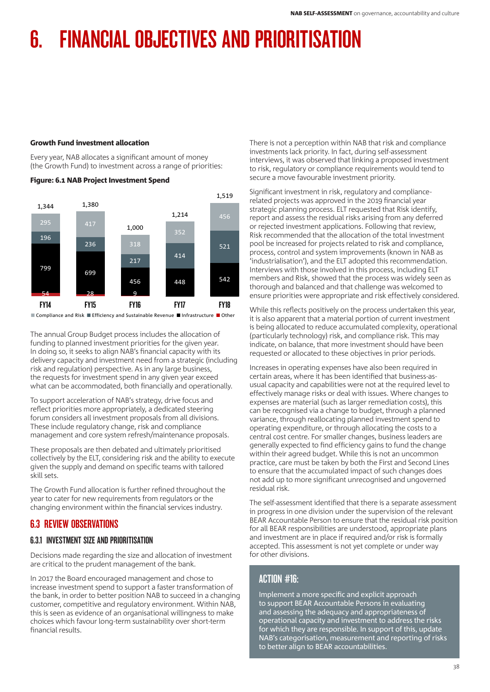## Growth Fund investment allocation

Every year, NAB allocates a significant amount of money (the Growth Fund) to investment across a range of priorities:



## Figure: 6.1 NAB Project Investment Spend

■ Compliance and Risk ■ Efficiency and Sustainable Revenue ■ Infrastructure ■ Other

The annual Group Budget process includes the allocation of funding to planned investment priorities for the given year. In doing so, it seeks to align NAB's financial capacity with its delivery capacity and investment need from a strategic (including risk and regulation) perspective. As in any large business, the requests for investment spend in any given year exceed what can be accommodated, both financially and operationally.

To support acceleration of NAB's strategy, drive focus and reflect priorities more appropriately, a dedicated steering forum considers all investment proposals from all divisions. These include regulatory change, risk and compliance management and core system refresh/maintenance proposals.

These proposals are then debated and ultimately prioritised collectively by the ELT, considering risk and the ability to execute given the supply and demand on specific teams with tailored skill sets.

The Growth Fund allocation is further refined throughout the year to cater for new requirements from regulators or the changing environment within the financial services industry.

# 6.3 REVIEW OBSERVATIONS

## 6.3.1 INVESTMENT SIZE AND PRIORITISATION

Decisions made regarding the size and allocation of investment are critical to the prudent management of the bank.

In 2017 the Board encouraged management and chose to increase investment spend to support a faster transformation of the bank, in order to better position NAB to succeed in a changing customer, competitive and regulatory environment. Within NAB, this is seen as evidence of an organisational willingness to make choices which favour long-term sustainability over short-term financial results.

There is not a perception within NAB that risk and compliance investments lack priority. In fact, during self-assessment interviews, it was observed that linking a proposed investment to risk, regulatory or compliance requirements would tend to secure a move favourable investment priority.

Significant investment in risk, regulatory and compliancerelated projects was approved in the 2019 financial year strategic planning process. ELT requested that Risk identify, report and assess the residual risks arising from any deferred or rejected investment applications. Following that review, Risk recommended that the allocation of the total investment pool be increased for projects related to risk and compliance, process, control and system improvements (known in NAB as 'industrialisation'), and the ELT adopted this recommendation. Interviews with those involved in this process, including ELT members and Risk, showed that the process was widely seen as thorough and balanced and that challenge was welcomed to ensure priorities were appropriate and risk effectively considered.

While this reflects positively on the process undertaken this year, it is also apparent that a material portion of current investment is being allocated to reduce accumulated complexity, operational (particularly technology) risk, and compliance risk. This may indicate, on balance, that more investment should have been requested or allocated to these objectives in prior periods.

Increases in operating expenses have also been required in certain areas, where it has been identified that business-asusual capacity and capabilities were not at the required level to effectively manage risks or deal with issues. Where changes to expenses are material (such as larger remediation costs), this can be recognised via a change to budget, through a planned variance, through reallocating planned investment spend to operating expenditure, or through allocating the costs to a central cost centre. For smaller changes, business leaders are generally expected to find efficiency gains to fund the change within their agreed budget. While this is not an uncommon practice, care must be taken by both the First and Second Lines to ensure that the accumulated impact of such changes does not add up to more significant unrecognised and ungoverned residual risk.

The self-assessment identified that there is a separate assessment in progress in one division under the supervision of the relevant BEAR Accountable Person to ensure that the residual risk position for all BEAR responsibilities are understood, appropriate plans and investment are in place if required and/or risk is formally accepted. This assessment is not yet complete or under way for other divisions.

# ACTION #16:

Implement a more specific and explicit approach to support BEAR Accountable Persons in evaluating and assessing the adequacy and appropriateness of operational capacity and investment to address the risks for which they are responsible. In support of this, update NAB's categorisation, measurement and reporting of risks to better align to BEAR accountabilities.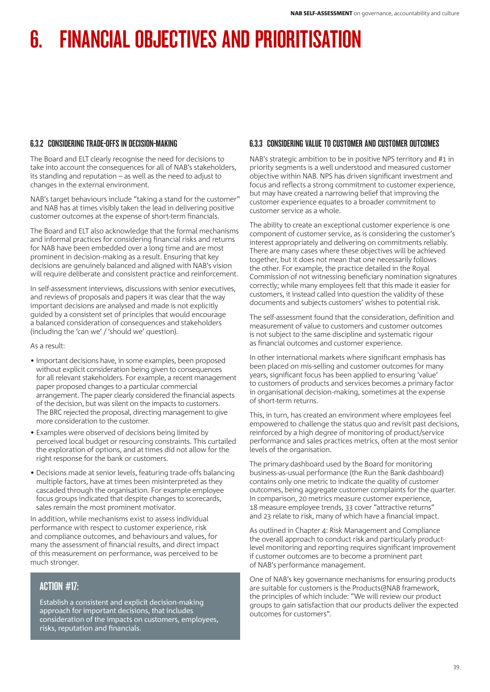# 6.3.2 CONSIDERING TRADE-OFFS IN DECISION-MAKING

The Board and ELT clearly recognise the need for decisions to take into account the consequences for all of NAB's stakeholders, its standing and reputation – as well as the need to adjust to changes in the external environment.

NAB's target behaviours include "taking a stand for the customer" and NAB has at times visibly taken the lead in delivering positive customer outcomes at the expense of short-term financials.

The Board and ELT also acknowledge that the formal mechanisms and informal practices for considering financial risks and returns for NAB have been embedded over a long time and are most prominent in decision-making as a result. Ensuring that key decisions are genuinely balanced and aligned with NAB's vision will require deliberate and consistent practice and reinforcement.

In self-assessment interviews, discussions with senior executives, and reviews of proposals and papers it was clear that the way important decisions are analysed and made is not explicitly guided by a consistent set of principles that would encourage a balanced consideration of consequences and stakeholders (including the 'can we' / 'should we' question).

As a result:

- Important decisions have, in some examples, been proposed without explicit consideration being given to consequences for all relevant stakeholders. For example, a recent management paper proposed changes to a particular commercial arrangement. The paper clearly considered the financial aspects of the decision, but was silent on the impacts to customers. The BRC rejected the proposal, directing management to give more consideration to the customer.
- Examples were observed of decisions being limited by perceived local budget or resourcing constraints. This curtailed the exploration of options, and at times did not allow for the right response for the bank or customers.
- Decisions made at senior levels, featuring trade-offs balancing multiple factors, have at times been misinterpreted as they cascaded through the organisation. For example employee focus groups indicated that despite changes to scorecards, sales remain the most prominent motivator.

In addition, while mechanisms exist to assess individual performance with respect to customer experience, risk and compliance outcomes, and behaviours and values, for many the assessment of financial results, and direct impact of this measurement on performance, was perceived to be much stronger.

# ACTION #17:

Establish a consistent and explicit decision-making approach for important decisions, that includes consideration of the impacts on customers, employees, risks, reputation and financials.

# 6.3.3 CONSIDERING VALUE TO CUSTOMER AND CUSTOMER OUTCOMES

NAB's strategic ambition to be in positive NPS territory and #1 in priority segments is a well understood and measured customer objective within NAB. NPS has driven significant investment and focus and reflects a strong commitment to customer experience, but may have created a narrowing belief that improving the customer experience equates to a broader commitment to customer service as a whole.

The ability to create an exceptional customer experience is one component of customer service, as is considering the customer's interest appropriately and delivering on commitments reliably. There are many cases where these objectives will be achieved together, but it does not mean that one necessarily follows the other. For example, the practice detailed in the Royal Commission of not witnessing beneficiary nomination signatures correctly; while many employees felt that this made it easier for customers, it instead called into question the validity of these documents and subjects customers' wishes to potential risk.

The self-assessment found that the consideration, definition and measurement of value to customers and customer outcomes is not subject to the same discipline and systematic rigour as financial outcomes and customer experience.

In other international markets where significant emphasis has been placed on mis-selling and customer outcomes for many years, significant focus has been applied to ensuring 'value' to customers of products and services becomes a primary factor in organisational decision-making, sometimes at the expense of short-term returns.

This, in turn, has created an environment where employees feel empowered to challenge the status quo and revisit past decisions, reinforced by a high degree of monitoring of product/service performance and sales practices metrics, often at the most senior levels of the organisation.

The primary dashboard used by the Board for monitoring business-as-usual performance (the Run the Bank dashboard) contains only one metric to indicate the quality of customer outcomes, being aggregate customer complaints for the quarter. In comparison, 20 metrics measure customer experience, 18 measure employee trends, 33 cover "attractive returns" and 23 relate to risk, many of which have a financial impact.

As outlined in Chapter 4: Risk Management and Compliance the overall approach to conduct risk and particularly productlevel monitoring and reporting requires significant improvement if customer outcomes are to become a prominent part of NAB's performance management.

One of NAB's key governance mechanisms for ensuring products are suitable for customers is the Products@NAB framework, the principles of which include: "We will review our product groups to gain satisfaction that our products deliver the expected outcomes for customers".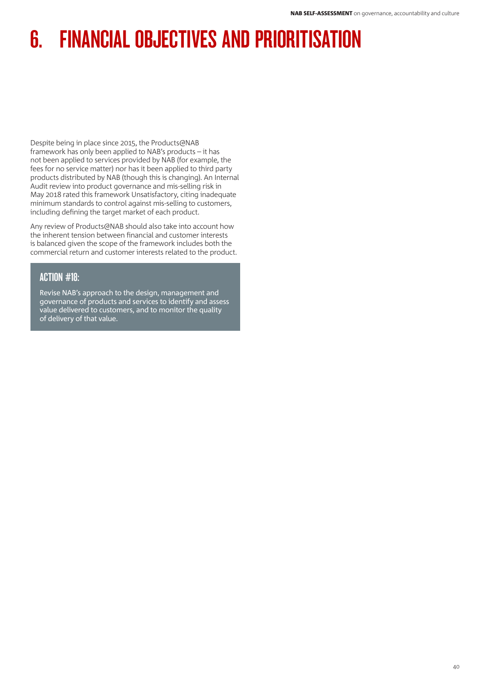Despite being in place since 2015, the Products@NAB framework has only been applied to NAB's products – it has not been applied to services provided by NAB (for example, the fees for no service matter) nor has it been applied to third party products distributed by NAB (though this is changing). An Internal Audit review into product governance and mis-selling risk in May 2018 rated this framework Unsatisfactory, citing inadequate minimum standards to control against mis-selling to customers, including defining the target market of each product.

Any review of Products@NAB should also take into account how the inherent tension between financial and customer interests is balanced given the scope of the framework includes both the commercial return and customer interests related to the product.

# ACTION #18:

Revise NAB's approach to the design, management and governance of products and services to identify and assess value delivered to customers, and to monitor the quality of delivery of that value.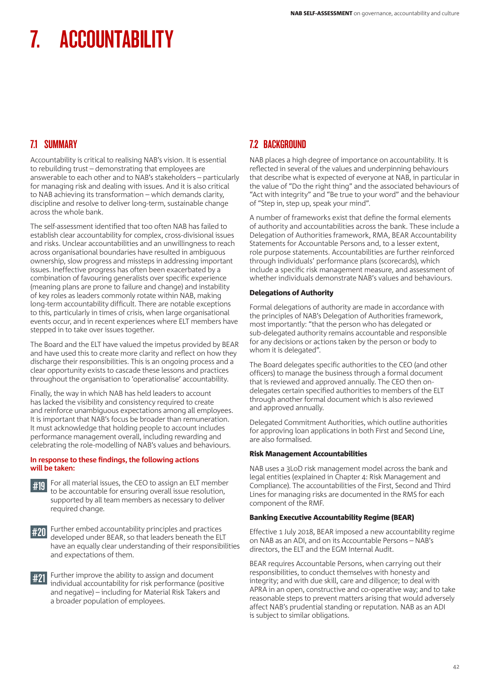# 7.1 SUMMARY

Accountability is critical to realising NAB's vision. It is essential to rebuilding trust – demonstrating that employees are answerable to each other and to NAB's stakeholders – particularly for managing risk and dealing with issues. And it is also critical to NAB achieving its transformation – which demands clarity, discipline and resolve to deliver long-term, sustainable change across the whole bank.

The self-assessment identified that too often NAB has failed to establish clear accountability for complex, cross-divisional issues and risks. Unclear accountabilities and an unwillingness to reach across organisational boundaries have resulted in ambiguous ownership, slow progress and missteps in addressing important issues. Ineffective progress has often been exacerbated by a combination of favouring generalists over specific experience (meaning plans are prone to failure and change) and instability of key roles as leaders commonly rotate within NAB, making long-term accountability difficult. There are notable exceptions to this, particularly in times of crisis, when large organisational events occur, and in recent experiences where ELT members have stepped in to take over issues together.

The Board and the ELT have valued the impetus provided by BEAR and have used this to create more clarity and reflect on how they discharge their responsibilities. This is an ongoing process and a clear opportunity exists to cascade these lessons and practices throughout the organisation to 'operationalise' accountability.

Finally, the way in which NAB has held leaders to account has lacked the visibility and consistency required to create and reinforce unambiguous expectations among all employees. It is important that NAB's focus be broader than remuneration. It must acknowledge that holding people to account includes performance management overall, including rewarding and celebrating the role-modelling of NAB's values and behaviours.

## **In response to these findings, the following actions will be taken:**





#20 Further embed accountability principles and practices developed under BEAR, so that leaders beneath the ELT have an equally clear understanding of their responsibilities and expectations of them.

#21 Further improve the ability to assign and document individual accountability for risk performance (positive and negative) – including for Material Risk Takers and a broader population of employees.

# 7.2 BACKGROUND

NAB places a high degree of importance on accountability. It is reflected in several of the values and underpinning behaviours that describe what is expected of everyone at NAB, in particular in the value of "Do the right thing" and the associated behaviours of "Act with integrity" and "Be true to your word" and the behaviour of "Step in, step up, speak your mind".

A number of frameworks exist that define the formal elements of authority and accountabilities across the bank. These include a Delegation of Authorities framework, RMA, BEAR Accountability Statements for Accountable Persons and, to a lesser extent, role purpose statements. Accountabilities are further reinforced through individuals' performance plans (scorecards), which include a specific risk management measure, and assessment of whether individuals demonstrate NAB's values and behaviours.

# Delegations of Authority

Formal delegations of authority are made in accordance with the principles of NAB's Delegation of Authorities framework, most importantly: "that the person who has delegated or sub-delegated authority remains accountable and responsible for any decisions or actions taken by the person or body to whom it is delegated".

The Board delegates specific authorities to the CEO (and other officers) to manage the business through a formal document that is reviewed and approved annually. The CEO then ondelegates certain specified authorities to members of the ELT through another formal document which is also reviewed and approved annually.

Delegated Commitment Authorities, which outline authorities for approving loan applications in both First and Second Line, are also formalised.

## Risk Management Accountabilities

NAB uses a 3LoD risk management model across the bank and legal entities (explained in Chapter 4: Risk Management and Compliance). The accountabilities of the First, Second and Third Lines for managing risks are documented in the RMS for each component of the RMF.

## Banking Executive Accountability Regime (BEAR)

Effective 1 July 2018, BEAR imposed a new accountability regime on NAB as an ADI, and on its Accountable Persons – NAB's directors, the ELT and the EGM Internal Audit.

BEAR requires Accountable Persons, when carrying out their responsibilities, to conduct themselves with honesty and integrity; and with due skill, care and diligence; to deal with APRA in an open, constructive and co-operative way; and to take reasonable steps to prevent matters arising that would adversely affect NAB's prudential standing or reputation. NAB as an ADI is subject to similar obligations.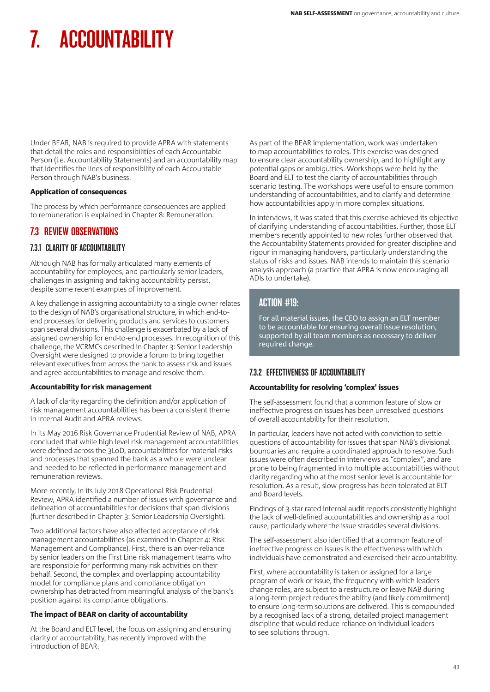Under BEAR, NAB is required to provide APRA with statements that detail the roles and responsibilities of each Accountable Person (i.e. Accountability Statements) and an accountability map that identifies the lines of responsibility of each Accountable Person through NAB's business.

## Application of consequences

The process by which performance consequences are applied to remuneration is explained in Chapter 8: Remuneration.

# 7.3 REVIEW OBSERVATIONS

# 7.3.1 CLARITY OF ACCOUNTABILITY

Although NAB has formally articulated many elements of accountability for employees, and particularly senior leaders, challenges in assigning and taking accountability persist, despite some recent examples of improvement.

A key challenge in assigning accountability to a single owner relates to the design of NAB's organisational structure, in which end-toend processes for delivering products and services to customers span several divisions. This challenge is exacerbated by a lack of assigned ownership for end-to-end processes. In recognition of this challenge, the VCRMCs described in Chapter 3: Senior Leadership Oversight were designed to provide a forum to bring together relevant executives from across the bank to assess risk and issues and agree accountabilities to manage and resolve them.

## Accountability for risk management

A lack of clarity regarding the definition and/or application of risk management accountabilities has been a consistent theme in Internal Audit and APRA reviews.

In its May 2016 Risk Governance Prudential Review of NAB, APRA concluded that while high level risk management accountabilities were defined across the 3LoD, accountabilities for material risks and processes that spanned the bank as a whole were unclear and needed to be reflected in performance management and remuneration reviews.

More recently, in its July 2018 Operational Risk Prudential Review, APRA identified a number of issues with governance and delineation of accountabilities for decisions that span divisions (further described in Chapter 3: Senior Leadership Oversight).

Two additional factors have also affected acceptance of risk management accountabilities (as examined in Chapter 4: Risk Management and Compliance). First, there is an over-reliance by senior leaders on the First Line risk management teams who are responsible for performing many risk activities on their behalf. Second, the complex and overlapping accountability model for compliance plans and compliance obligation ownership has detracted from meaningful analysis of the bank's position against its compliance obligations.

## The impact of BEAR on clarity of accountability

At the Board and ELT level, the focus on assigning and ensuring clarity of accountability, has recently improved with the introduction of BEAR.

As part of the BEAR implementation, work was undertaken to map accountabilities to roles. This exercise was designed to ensure clear accountability ownership, and to highlight any potential gaps or ambiguities. Workshops were held by the Board and ELT to test the clarity of accountabilities through scenario testing. The workshops were useful to ensure common understanding of accountabilities, and to clarify and determine how accountabilities apply in more complex situations.

In interviews, it was stated that this exercise achieved its objective of clarifying understanding of accountabilities. Further, those ELT members recently appointed to new roles further observed that the Accountability Statements provided for greater discipline and rigour in managing handovers, particularly understanding the status of risks and issues. NAB intends to maintain this scenario analysis approach (a practice that APRA is now encouraging all ADIs to undertake).

# ACTION #19:

For all material issues, the CEO to assign an ELT member to be accountable for ensuring overall issue resolution, supported by all team members as necessary to deliver required change.

# 7.3.2 EFFECTIVENESS OF ACCOUNTABILITY

## Accountability for resolving 'complex' issues

The self-assessment found that a common feature of slow or ineffective progress on issues has been unresolved questions of overall accountability for their resolution.

In particular, leaders have not acted with conviction to settle questions of accountability for issues that span NAB's divisional boundaries and require a coordinated approach to resolve. Such issues were often described in interviews as "complex", and are prone to being fragmented in to multiple accountabilities without clarity regarding who at the most senior level is accountable for resolution. As a result, slow progress has been tolerated at ELT and Board levels.

Findings of 3-star rated internal audit reports consistently highlight the lack of well-defined accountabilities and ownership as a root cause, particularly where the issue straddles several divisions.

The self-assessment also identified that a common feature of ineffective progress on issues is the effectiveness with which individuals have demonstrated and exercised their accountability.

First, where accountability is taken or assigned for a large program of work or issue, the frequency with which leaders change roles, are subject to a restructure or leave NAB during a long-term project reduces the ability (and likely commitment) to ensure long-term solutions are delivered. This is compounded by a recognised lack of a strong, detailed project management discipline that would reduce reliance on individual leaders to see solutions through.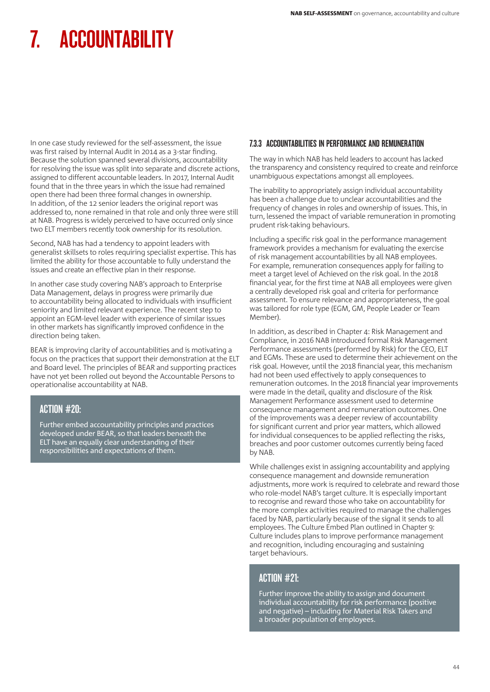In one case study reviewed for the self-assessment, the issue was first raised by Internal Audit in 2014 as a 3-star finding. Because the solution spanned several divisions, accountability for resolving the issue was split into separate and discrete actions, assigned to different accountable leaders. In 2017, Internal Audit found that in the three years in which the issue had remained open there had been three formal changes in ownership. In addition, of the 12 senior leaders the original report was addressed to, none remained in that role and only three were still at NAB. Progress is widely perceived to have occurred only since two ELT members recently took ownership for its resolution.

Second, NAB has had a tendency to appoint leaders with generalist skillsets to roles requiring specialist expertise. This has limited the ability for those accountable to fully understand the issues and create an effective plan in their response.

In another case study covering NAB's approach to Enterprise Data Management, delays in progress were primarily due to accountability being allocated to individuals with insufficient seniority and limited relevant experience. The recent step to appoint an EGM-level leader with experience of similar issues in other markets has significantly improved confidence in the direction being taken.

BEAR is improving clarity of accountabilities and is motivating a focus on the practices that support their demonstration at the ELT and Board level. The principles of BEAR and supporting practices have not yet been rolled out beyond the Accountable Persons to operationalise accountability at NAB.

# ACTION #20:

Further embed accountability principles and practices developed under BEAR, so that leaders beneath the ELT have an equally clear understanding of their responsibilities and expectations of them.

# 7.3.3 ACCOUNTABILITIES IN PERFORMANCE AND REMUNERATION

The way in which NAB has held leaders to account has lacked the transparency and consistency required to create and reinforce unambiguous expectations amongst all employees.

The inability to appropriately assign individual accountability has been a challenge due to unclear accountabilities and the frequency of changes in roles and ownership of issues. This, in turn, lessened the impact of variable remuneration in promoting prudent risk-taking behaviours.

Including a specific risk goal in the performance management framework provides a mechanism for evaluating the exercise of risk management accountabilities by all NAB employees. For example, remuneration consequences apply for failing to meet a target level of Achieved on the risk goal. In the 2018 financial year, for the first time at NAB all employees were given a centrally developed risk goal and criteria for performance assessment. To ensure relevance and appropriateness, the goal was tailored for role type (EGM, GM, People Leader or Team Member).

In addition, as described in Chapter 4: Risk Management and Compliance, in 2016 NAB introduced formal Risk Management Performance assessments (performed by Risk) for the CEO, ELT and EGMs. These are used to determine their achievement on the risk goal. However, until the 2018 financial year, this mechanism had not been used effectively to apply consequences to remuneration outcomes. In the 2018 financial year improvements were made in the detail, quality and disclosure of the Risk Management Performance assessment used to determine consequence management and remuneration outcomes. One of the improvements was a deeper review of accountability for significant current and prior year matters, which allowed for individual consequences to be applied reflecting the risks, breaches and poor customer outcomes currently being faced by NAB.

While challenges exist in assigning accountability and applying consequence management and downside remuneration adjustments, more work is required to celebrate and reward those who role-model NAB's target culture. It is especially important to recognise and reward those who take on accountability for the more complex activities required to manage the challenges faced by NAB, particularly because of the signal it sends to all employees. The Culture Embed Plan outlined in Chapter 9: Culture includes plans to improve performance management and recognition, including encouraging and sustaining target behaviours.

# ACTION #21:

Further improve the ability to assign and document individual accountability for risk performance (positive and negative) – including for Material Risk Takers and a broader population of employees.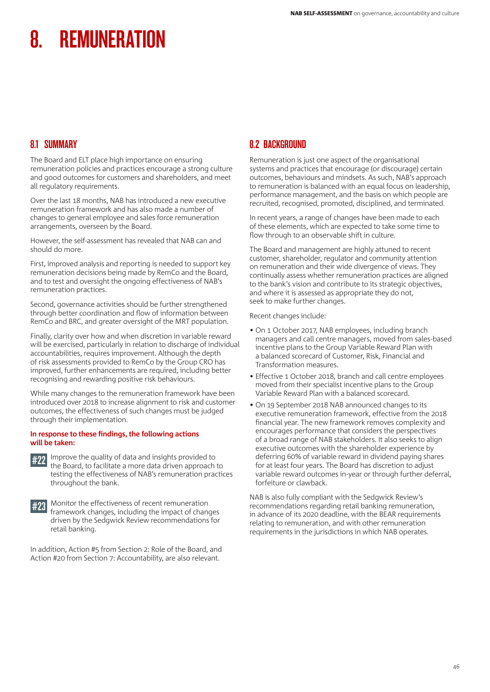# 8.1 SUMMARY

The Board and ELT place high importance on ensuring remuneration policies and practices encourage a strong culture and good outcomes for customers and shareholders, and meet all regulatory requirements.

Over the last 18 months, NAB has introduced a new executive remuneration framework and has also made a number of changes to general employee and sales force remuneration arrangements, overseen by the Board.

However, the self-assessment has revealed that NAB can and should do more.

First, improved analysis and reporting is needed to support key remuneration decisions being made by RemCo and the Board, and to test and oversight the ongoing effectiveness of NAB's remuneration practices.

Second, governance activities should be further strengthened through better coordination and flow of information between RemCo and BRC, and greater oversight of the MRT population.

Finally, clarity over how and when discretion in variable reward will be exercised, particularly in relation to discharge of individual accountabilities, requires improvement. Although the depth of risk assessments provided to RemCo by the Group CRO has improved, further enhancements are required, including better recognising and rewarding positive risk behaviours.

While many changes to the remuneration framework have been introduced over 2018 to increase alignment to risk and customer outcomes, the effectiveness of such changes must be judged through their implementation.

## **In response to these findings, the following actions will be taken:**



**#22** Improve the quality of data and insights provided to the Board, to facilitate a more data driven approach to testing the effectiveness of NAB's remuneration practices throughout the bank.



#23 Monitor the effectiveness of recent remuneration framework changes, including the impact of changes driven by the Sedgwick Review recommendations for retail banking.

In addition, Action #5 from Section 2: Role of the Board, and Action #20 from Section 7: Accountability, are also relevant.

# 8.2 BACKGROUND

Remuneration is just one aspect of the organisational systems and practices that encourage (or discourage) certain outcomes, behaviours and mindsets. As such, NAB's approach to remuneration is balanced with an equal focus on leadership, performance management, and the basis on which people are recruited, recognised, promoted, disciplined, and terminated.

In recent years, a range of changes have been made to each of these elements, which are expected to take some time to flow through to an observable shift in culture.

The Board and management are highly attuned to recent customer, shareholder, regulator and community attention on remuneration and their wide divergence of views. They continually assess whether remuneration practices are aligned to the bank's vision and contribute to its strategic objectives, and where it is assessed as appropriate they do not, seek to make further changes.

Recent changes include:

- On 1 October 2017, NAB employees, including branch managers and call centre managers, moved from sales-based incentive plans to the Group Variable Reward Plan with a balanced scorecard of Customer, Risk, Financial and Transformation measures.
- Effective 1 October 2018, branch and call centre employees moved from their specialist incentive plans to the Group Variable Reward Plan with a balanced scorecard.
- On 19 September 2018 NAB announced changes to its executive remuneration framework, effective from the 2018 financial year. The new framework removes complexity and encourages performance that considers the perspectives of a broad range of NAB stakeholders. It also seeks to align executive outcomes with the shareholder experience by deferring 60% of variable reward in dividend paying shares for at least four years. The Board has discretion to adjust variable reward outcomes in-year or through further deferral, forfeiture or clawback.

NAB is also fully compliant with the Sedgwick Review's recommendations regarding retail banking remuneration, in advance of its 2020 deadline, with the BEAR requirements relating to remuneration, and with other remuneration requirements in the jurisdictions in which NAB operates.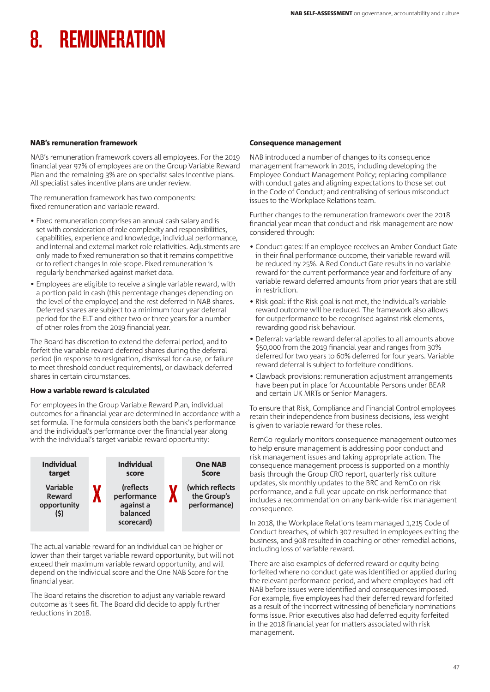## NAB's remuneration framework

NAB's remuneration framework covers all employees. For the 2019 financial year 97% of employees are on the Group Variable Reward Plan and the remaining 3% are on specialist sales incentive plans. All specialist sales incentive plans are under review.

The remuneration framework has two components: fixed remuneration and variable reward.

- Fixed remuneration comprises an annual cash salary and is set with consideration of role complexity and responsibilities, capabilities, experience and knowledge, individual performance, and internal and external market role relativities. Adjustments are only made to fixed remuneration so that it remains competitive or to reflect changes in role scope. Fixed remuneration is regularly benchmarked against market data.
- Employees are eligible to receive a single variable reward, with a portion paid in cash (this percentage changes depending on the level of the employee) and the rest deferred in NAB shares. Deferred shares are subject to a minimum four year deferral period for the ELT and either two or three years for a number of other roles from the 2019 financial year.

The Board has discretion to extend the deferral period, and to forfeit the variable reward deferred shares during the deferral period (in response to resignation, dismissal for cause, or failure to meet threshold conduct requirements), or clawback deferred shares in certain circumstances.

## How a variable reward is calculated

For employees in the Group Variable Reward Plan, individual outcomes for a financial year are determined in accordance with a set formula. The formula considers both the bank's performance and the individual's performance over the financial year along with the individual's target variable reward opportunity:



The actual variable reward for an individual can be higher or lower than their target variable reward opportunity, but will not exceed their maximum variable reward opportunity, and will depend on the individual score and the One NAB Score for the financial year.

The Board retains the discretion to adjust any variable reward outcome as it sees fit. The Board did decide to apply further reductions in 2018.

## Consequence management

NAB introduced a number of changes to its consequence management framework in 2015, including developing the Employee Conduct Management Policy; replacing compliance with conduct gates and aligning expectations to those set out in the Code of Conduct; and centralising of serious misconduct issues to the Workplace Relations team.

Further changes to the remuneration framework over the 2018 financial year mean that conduct and risk management are now considered through:

- Conduct gates: if an employee receives an Amber Conduct Gate in their final performance outcome, their variable reward will be reduced by 25%. A Red Conduct Gate results in no variable reward for the current performance year and forfeiture of any variable reward deferred amounts from prior years that are still in restriction.
- Risk goal: if the Risk goal is not met, the individual's variable reward outcome will be reduced. The framework also allows for outperformance to be recognised against risk elements, rewarding good risk behaviour.
- Deferral: variable reward deferral applies to all amounts above \$50,000 from the 2019 financial year and ranges from 30% deferred for two years to 60% deferred for four years. Variable reward deferral is subject to forfeiture conditions.
- Clawback provisions: remuneration adjustment arrangements have been put in place for Accountable Persons under BEAR and certain UK MRTs or Senior Managers.

To ensure that Risk, Compliance and Financial Control employees retain their independence from business decisions, less weight is given to variable reward for these roles.

RemCo regularly monitors consequence management outcomes to help ensure management is addressing poor conduct and risk management issues and taking appropriate action. The consequence management process is supported on a monthly basis through the Group CRO report, quarterly risk culture updates, six monthly updates to the BRC and RemCo on risk performance, and a full year update on risk performance that includes a recommendation on any bank-wide risk management consequence.

In 2018, the Workplace Relations team managed 1,215 Code of Conduct breaches, of which 307 resulted in employees exiting the business, and 908 resulted in coaching or other remedial actions, including loss of variable reward.

There are also examples of deferred reward or equity being forfeited where no conduct gate was identified or applied during the relevant performance period, and where employees had left NAB before issues were identified and consequences imposed. For example, five employees had their deferred reward forfeited as a result of the incorrect witnessing of beneficiary nominations forms issue. Prior executives also had deferred equity forfeited in the 2018 financial year for matters associated with risk management.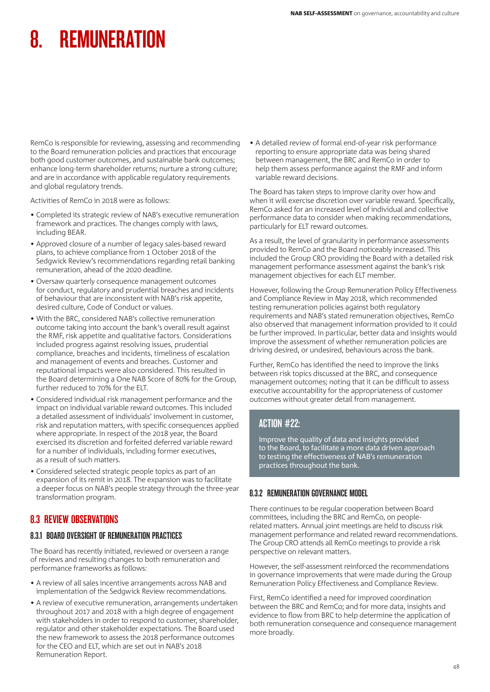RemCo is responsible for reviewing, assessing and recommending to the Board remuneration policies and practices that encourage both good customer outcomes, and sustainable bank outcomes; enhance long-term shareholder returns; nurture a strong culture; and are in accordance with applicable regulatory requirements and global regulatory trends.

Activities of RemCo in 2018 were as follows:

- Completed its strategic review of NAB's executive remuneration framework and practices. The changes comply with laws, including BEAR.
- Approved closure of a number of legacy sales-based reward plans, to achieve compliance from 1 October 2018 of the Sedgwick Review's recommendations regarding retail banking remuneration, ahead of the 2020 deadline.
- Oversaw quarterly consequence management outcomes for conduct, regulatory and prudential breaches and incidents of behaviour that are inconsistent with NAB's risk appetite, desired culture, Code of Conduct or values.
- With the BRC, considered NAB's collective remuneration outcome taking into account the bank's overall result against the RMF, risk appetite and qualitative factors. Considerations included progress against resolving issues, prudential compliance, breaches and incidents, timeliness of escalation and management of events and breaches. Customer and reputational impacts were also considered. This resulted in the Board determining a One NAB Score of 80% for the Group, further reduced to 70% for the ELT.
- Considered individual risk management performance and the impact on individual variable reward outcomes. This included a detailed assessment of individuals' involvement in customer, risk and reputation matters, with specific consequences applied where appropriate. In respect of the 2018 year, the Board exercised its discretion and forfeited deferred variable reward for a number of individuals, including former executives, as a result of such matters.
- Considered selected strategic people topics as part of an expansion of its remit in 2018. The expansion was to facilitate a deeper focus on NAB's people strategy through the three-year transformation program.

# 8.3 REVIEW OBSERVATIONS

## 8.3.1 BOARD OVERSIGHT OF REMUNERATION PRACTICES

The Board has recently initiated, reviewed or overseen a range of reviews and resulting changes to both remuneration and performance frameworks as follows:

- A review of all sales incentive arrangements across NAB and implementation of the Sedgwick Review recommendations.
- A review of executive remuneration, arrangements undertaken throughout 2017 and 2018 with a high degree of engagement with stakeholders in order to respond to customer, shareholder, regulator and other stakeholder expectations. The Board used the new framework to assess the 2018 performance outcomes for the CEO and ELT, which are set out in NAB's 2018 Remuneration Report.

• A detailed review of formal end-of-year risk performance reporting to ensure appropriate data was being shared between management, the BRC and RemCo in order to help them assess performance against the RMF and inform variable reward decisions.

The Board has taken steps to improve clarity over how and when it will exercise discretion over variable reward. Specifically, RemCo asked for an increased level of individual and collective performance data to consider when making recommendations, particularly for ELT reward outcomes.

As a result, the level of granularity in performance assessments provided to RemCo and the Board noticeably increased. This included the Group CRO providing the Board with a detailed risk management performance assessment against the bank's risk management objectives for each ELT member.

However, following the Group Remuneration Policy Effectiveness and Compliance Review in May 2018, which recommended testing remuneration policies against both regulatory requirements and NAB's stated remuneration objectives, RemCo also observed that management information provided to it could be further improved. In particular, better data and insights would improve the assessment of whether remuneration policies are driving desired, or undesired, behaviours across the bank.

Further, RemCo has identified the need to improve the links between risk topics discussed at the BRC, and consequence management outcomes; noting that it can be difficult to assess executive accountability for the appropriateness of customer outcomes without greater detail from management.

# ACTION #22:

Improve the quality of data and insights provided to the Board, to facilitate a more data driven approach to testing the effectiveness of NAB's remuneration practices throughout the bank.

## 8.3.2 REMUNERATION GOVERNANCE MODEL

There continues to be regular cooperation between Board committees, including the BRC and RemCo, on peoplerelated matters. Annual joint meetings are held to discuss risk management performance and related reward recommendations. The Group CRO attends all RemCo meetings to provide a risk perspective on relevant matters.

However, the self-assessment reinforced the recommendations in governance improvements that were made during the Group Remuneration Policy Effectiveness and Compliance Review.

First, RemCo identified a need for improved coordination between the BRC and RemCo; and for more data, insights and evidence to flow from BRC to help determine the application of both remuneration consequence and consequence management more broadly.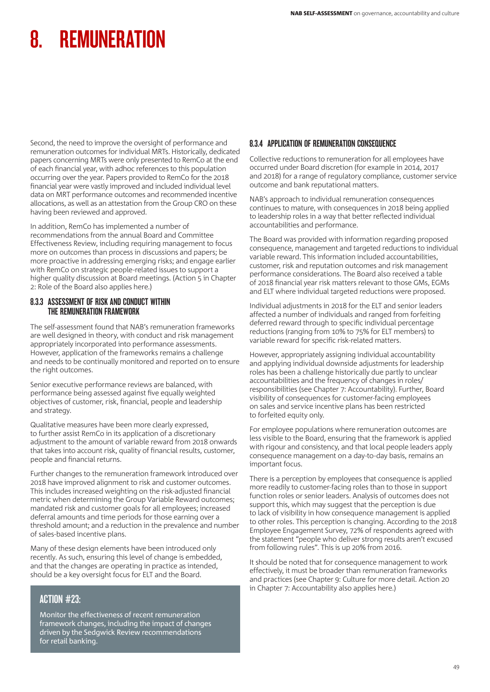Second, the need to improve the oversight of performance and remuneration outcomes for individual MRTs. Historically, dedicated papers concerning MRTs were only presented to RemCo at the end of each financial year, with adhoc references to this population occurring over the year. Papers provided to RemCo for the 2018 financial year were vastly improved and included individual level data on MRT performance outcomes and recommended incentive allocations, as well as an attestation from the Group CRO on these having been reviewed and approved.

In addition, RemCo has implemented a number of recommendations from the annual Board and Committee Effectiveness Review, including requiring management to focus more on outcomes than process in discussions and papers; be more proactive in addressing emerging risks; and engage earlier with RemCo on strategic people-related issues to support a higher quality discussion at Board meetings. (Action 5 in Chapter 2: Role of the Board also applies here.)

# 8.3.3 ASSESSMENT OF RISK AND CONDUCT WITHIN THE REMUNERATION FRAMEWORK

The self-assessment found that NAB's remuneration frameworks are well designed in theory, with conduct and risk management appropriately incorporated into performance assessments. However, application of the frameworks remains a challenge and needs to be continually monitored and reported on to ensure the right outcomes.

Senior executive performance reviews are balanced, with performance being assessed against five equally weighted objectives of customer, risk, financial, people and leadership and strategy.

Qualitative measures have been more clearly expressed, to further assist RemCo in its application of a discretionary adjustment to the amount of variable reward from 2018 onwards that takes into account risk, quality of financial results, customer, people and financial returns.

Further changes to the remuneration framework introduced over 2018 have improved alignment to risk and customer outcomes. This includes increased weighting on the risk-adjusted financial metric when determining the Group Variable Reward outcomes; mandated risk and customer goals for all employees; increased deferral amounts and time periods for those earning over a threshold amount; and a reduction in the prevalence and number of sales-based incentive plans.

Many of these design elements have been introduced only recently. As such, ensuring this level of change is embedded, and that the changes are operating in practice as intended, should be a key oversight focus for ELT and the Board.

# ACTION #23:

Monitor the effectiveness of recent remuneration framework changes, including the impact of changes driven by the Sedgwick Review recommendations for retail banking.

# 8.3.4 APPLICATION OF REMUNERATION CONSEQUENCE

Collective reductions to remuneration for all employees have occurred under Board discretion (for example in 2014, 2017 and 2018) for a range of regulatory compliance, customer service outcome and bank reputational matters.

NAB's approach to individual remuneration consequences continues to mature, with consequences in 2018 being applied to leadership roles in a way that better reflected individual accountabilities and performance.

The Board was provided with information regarding proposed consequence, management and targeted reductions to individual variable reward. This information included accountabilities, customer, risk and reputation outcomes and risk management performance considerations. The Board also received a table of 2018 financial year risk matters relevant to those GMs, EGMs and ELT where individual targeted reductions were proposed.

Individual adjustments in 2018 for the ELT and senior leaders affected a number of individuals and ranged from forfeiting deferred reward through to specific individual percentage reductions (ranging from 10% to 75% for ELT members) to variable reward for specific risk-related matters.

However, appropriately assigning individual accountability and applying individual downside adjustments for leadership roles has been a challenge historically due partly to unclear accountabilities and the frequency of changes in roles/ responsibilities (see Chapter 7: Accountability). Further, Board visibility of consequences for customer-facing employees on sales and service incentive plans has been restricted to forfeited equity only.

For employee populations where remuneration outcomes are less visible to the Board, ensuring that the framework is applied with rigour and consistency, and that local people leaders apply consequence management on a day-to-day basis, remains an important focus.

There is a perception by employees that consequence is applied more readily to customer-facing roles than to those in support function roles or senior leaders. Analysis of outcomes does not support this, which may suggest that the perception is due to lack of visibility in how consequence management is applied to other roles. This perception is changing. According to the 2018 Employee Engagement Survey, 72% of respondents agreed with the statement "people who deliver strong results aren't excused from following rules". This is up 20% from 2016.

It should be noted that for consequence management to work effectively, it must be broader than remuneration frameworks and practices (see Chapter 9: Culture for more detail. Action 20 in Chapter 7: Accountability also applies here.)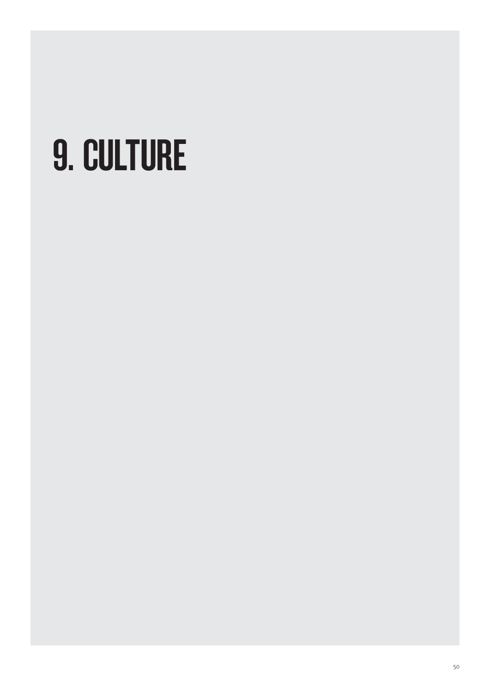# 9. CULTURE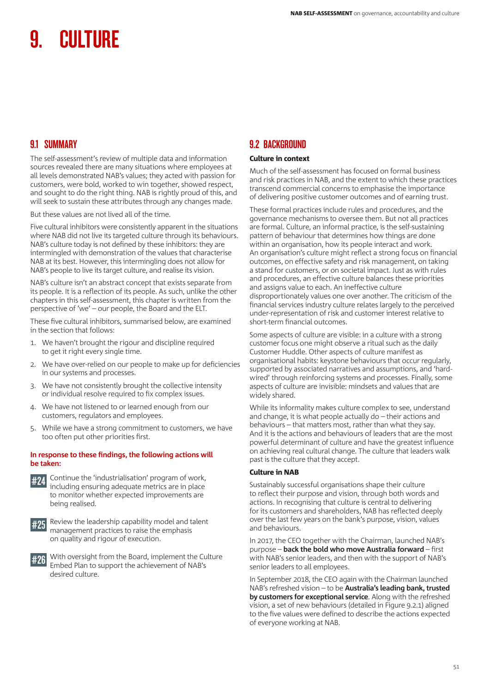# 9.1 SUMMARY

The self-assessment's review of multiple data and information sources revealed there are many situations where employees at all levels demonstrated NAB's values; they acted with passion for customers, were bold, worked to win together, showed respect, and sought to do the right thing. NAB is rightly proud of this, and will seek to sustain these attributes through any changes made.

But these values are not lived all of the time.

Five cultural inhibitors were consistently apparent in the situations where NAB did not live its targeted culture through its behaviours. NAB's culture today is not defined by these inhibitors: they are intermingled with demonstration of the values that characterise NAB at its best. However, this intermingling does not allow for NAB's people to live its target culture, and realise its vision.

NAB's culture isn't an abstract concept that exists separate from its people. It is a reflection of its people. As such, unlike the other chapters in this self-assessment, this chapter is written from the perspective of 'we' – our people, the Board and the ELT.

These five cultural inhibitors, summarised below, are examined in the section that follows:

- 1. We haven't brought the rigour and discipline required to get it right every single time.
- 2. We have over-relied on our people to make up for deficiencies in our systems and processes.
- 3. We have not consistently brought the collective intensity or individual resolve required to fix complex issues.
- 4. We have not listened to or learned enough from our customers, regulators and employees.
- 5. While we have a strong commitment to customers, we have too often put other priorities first.

#### **In response to these findings, the following actions will be taken:**



#24 Continue the 'industrialisation' program of work, including ensuring adequate metrics are in place to monitor whether expected improvements are being realised.



#25 Review the leadership capability model and talent management practices to raise the emphasis on quality and rigour of execution.



# 9.2 BACKGROUND

## Culture in context

Much of the self-assessment has focused on formal business and risk practices in NAB, and the extent to which these practices transcend commercial concerns to emphasise the importance of delivering positive customer outcomes and of earning trust.

These formal practices include rules and procedures, and the governance mechanisms to oversee them. But not all practices are formal. Culture, an informal practice, is the self-sustaining pattern of behaviour that determines how things are done within an organisation, how its people interact and work. An organisation's culture might reflect a strong focus on financial outcomes, on effective safety and risk management, on taking a stand for customers, or on societal impact. Just as with rules and procedures, an effective culture balances these priorities and assigns value to each. An ineffective culture disproportionately values one over another. The criticism of the financial services industry culture relates largely to the perceived under-representation of risk and customer interest relative to short-term financial outcomes.

Some aspects of culture are visible: in a culture with a strong customer focus one might observe a ritual such as the daily Customer Huddle. Other aspects of culture manifest as organisational habits: keystone behaviours that occur regularly, supported by associated narratives and assumptions, and 'hardwired' through reinforcing systems and processes. Finally, some aspects of culture are invisible: mindsets and values that are widely shared.

While its informality makes culture complex to see, understand and change, it is what people actually do – their actions and behaviours – that matters most, rather than what they say. And it is the actions and behaviours of leaders that are the most powerful determinant of culture and have the greatest influence on achieving real cultural change. The culture that leaders walk past is the culture that they accept.

## Culture in NAB

Sustainably successful organisations shape their culture to reflect their purpose and vision, through both words and actions. In recognising that culture is central to delivering for its customers and shareholders, NAB has reflected deeply over the last few years on the bank's purpose, vision, values and behaviours.

In 2017, the CEO together with the Chairman, launched NAB's purpose – **back the bold who move Australia forward** – first with NAB's senior leaders, and then with the support of NAB's senior leaders to all employees.

In September 2018, the CEO again with the Chairman launched NAB's refreshed vision – to be **Australia's leading bank, trusted by customers for exceptional service**. Along with the refreshed vision, a set of new behaviours (detailed in Figure 9.2.1) aligned to the five values were defined to describe the actions expected of everyone working at NAB.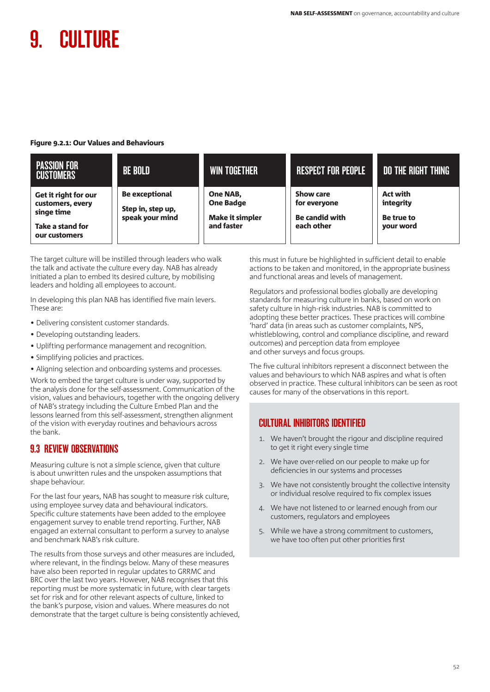#### Figure 9.2.1: Our Values and Behaviours

| <b>PASSION FOR</b><br><b>CUSTOMERS</b>                                                      | <b>BE BOLD</b>                                                | <b>WIN TOGETHER</b>                                                         | <b>RESPECT FOR PEOPLE</b>                                               | <b>DO THE RIGHT THING</b>                               |
|---------------------------------------------------------------------------------------------|---------------------------------------------------------------|-----------------------------------------------------------------------------|-------------------------------------------------------------------------|---------------------------------------------------------|
| Get it right for our<br>customers, every<br>singe time<br>Take a stand for<br>our customers | <b>Be exceptional</b><br>Step in, step up,<br>speak your mind | <b>One NAB,</b><br><b>One Badge</b><br><b>Make it simpler</b><br>and faster | <b>Show care</b><br>for everyone<br><b>Be candid with</b><br>each other | <b>Act with</b><br>integrity<br>Be true to<br>your word |

The target culture will be instilled through leaders who walk the talk and activate the culture every day. NAB has already initiated a plan to embed its desired culture, by mobilising leaders and holding all employees to account.

In developing this plan NAB has identified five main levers. These are:

- Delivering consistent customer standards.
- Developing outstanding leaders.
- Uplifting performance management and recognition.
- Simplifying policies and practices.
- Aligning selection and onboarding systems and processes.

Work to embed the target culture is under way, supported by the analysis done for the self-assessment. Communication of the vision, values and behaviours, together with the ongoing delivery of NAB's strategy including the Culture Embed Plan and the lessons learned from this self-assessment, strengthen alignment of the vision with everyday routines and behaviours across the bank.

# 9.3 REVIEW OBSERVATIONS

Measuring culture is not a simple science, given that culture is about unwritten rules and the unspoken assumptions that shape behaviour.

For the last four years, NAB has sought to measure risk culture, using employee survey data and behavioural indicators. Specific culture statements have been added to the employee engagement survey to enable trend reporting. Further, NAB engaged an external consultant to perform a survey to analyse and benchmark NAB's risk culture.

The results from those surveys and other measures are included, where relevant, in the findings below. Many of these measures have also been reported in regular updates to GRRMC and BRC over the last two years. However, NAB recognises that this reporting must be more systematic in future, with clear targets set for risk and for other relevant aspects of culture, linked to the bank's purpose, vision and values. Where measures do not demonstrate that the target culture is being consistently achieved, this must in future be highlighted in sufficient detail to enable actions to be taken and monitored, in the appropriate business and functional areas and levels of management.

Regulators and professional bodies globally are developing standards for measuring culture in banks, based on work on safety culture in high-risk industries. NAB is committed to adopting these better practices. These practices will combine 'hard' data (in areas such as customer complaints, NPS, whistleblowing, control and compliance discipline, and reward outcomes) and perception data from employee and other surveys and focus groups.

The five cultural inhibitors represent a disconnect between the values and behaviours to which NAB aspires and what is often observed in practice. These cultural inhibitors can be seen as root causes for many of the observations in this report.

# CULTURAL INHIBITORS IDENTIFIED

- 1. We haven't brought the rigour and discipline required to get it right every single time
- 2. We have over-relied on our people to make up for deficiencies in our systems and processes
- 3. We have not consistently brought the collective intensity or individual resolve required to fix complex issues
- 4. We have not listened to or learned enough from our customers, regulators and employees
- 5. While we have a strong commitment to customers, we have too often put other priorities first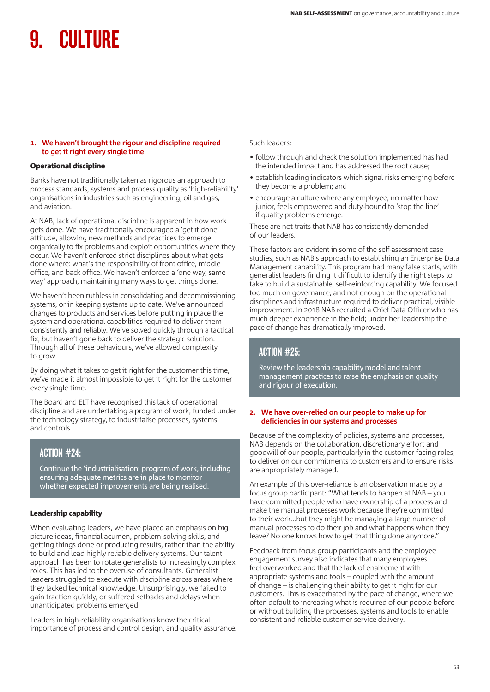#### **1. We haven't brought the rigour and discipline required to get it right every single time**

#### Operational discipline

Banks have not traditionally taken as rigorous an approach to process standards, systems and process quality as 'high-reliability' organisations in industries such as engineering, oil and gas, and aviation.

At NAB, lack of operational discipline is apparent in how work gets done. We have traditionally encouraged a 'get it done' attitude, allowing new methods and practices to emerge organically to fix problems and exploit opportunities where they occur. We haven't enforced strict disciplines about what gets done where: what's the responsibility of front office, middle office, and back office. We haven't enforced a 'one way, same way' approach, maintaining many ways to get things done.

We haven't been ruthless in consolidating and decommissioning systems, or in keeping systems up to date. We've announced changes to products and services before putting in place the system and operational capabilities required to deliver them consistently and reliably. We've solved quickly through a tactical fix, but haven't gone back to deliver the strategic solution. Through all of these behaviours, we've allowed complexity to grow.

By doing what it takes to get it right for the customer this time, we've made it almost impossible to get it right for the customer every single time.

The Board and ELT have recognised this lack of operational discipline and are undertaking a program of work, funded under the technology strategy, to industrialise processes, systems and controls.

# ACTION #24:

Continue the 'industrialisation' program of work, including ensuring adequate metrics are in place to monitor whether expected improvements are being realised.

#### Leadership capability

When evaluating leaders, we have placed an emphasis on big picture ideas, financial acumen, problem-solving skills, and getting things done or producing results, rather than the ability to build and lead highly reliable delivery systems. Our talent approach has been to rotate generalists to increasingly complex roles. This has led to the overuse of consultants. Generalist leaders struggled to execute with discipline across areas where they lacked technical knowledge. Unsurprisingly, we failed to gain traction quickly, or suffered setbacks and delays when unanticipated problems emerged.

Leaders in high-reliability organisations know the critical importance of process and control design, and quality assurance.

#### Such leaders:

- follow through and check the solution implemented has had the intended impact and has addressed the root cause;
- establish leading indicators which signal risks emerging before they become a problem; and
- encourage a culture where any employee, no matter how junior, feels empowered and duty-bound to 'stop the line' if quality problems emerge.

These are not traits that NAB has consistently demanded of our leaders.

These factors are evident in some of the self-assessment case studies, such as NAB's approach to establishing an Enterprise Data Management capability. This program had many false starts, with generalist leaders finding it difficult to identify the right steps to take to build a sustainable, self-reinforcing capability. We focused too much on governance, and not enough on the operational disciplines and infrastructure required to deliver practical, visible improvement. In 2018 NAB recruited a Chief Data Officer who has much deeper experience in the field; under her leadership the pace of change has dramatically improved.

# ACTION #25:

Review the leadership capability model and talent management practices to raise the emphasis on quality and rigour of execution.

#### **2. We have over-relied on our people to make up for deficiencies in our systems and processes**

Because of the complexity of policies, systems and processes, NAB depends on the collaboration, discretionary effort and goodwill of our people, particularly in the customer-facing roles, to deliver on our commitments to customers and to ensure risks are appropriately managed.

An example of this over-reliance is an observation made by a focus group participant: "What tends to happen at NAB – you have committed people who have ownership of a process and make the manual processes work because they're committed to their work...but they might be managing a large number of manual processes to do their job and what happens when they leave? No one knows how to get that thing done anymore."

Feedback from focus group participants and the employee engagement survey also indicates that many employees feel overworked and that the lack of enablement with appropriate systems and tools – coupled with the amount of change – is challenging their ability to get it right for our customers. This is exacerbated by the pace of change, where we often default to increasing what is required of our people before or without building the processes, systems and tools to enable consistent and reliable customer service delivery.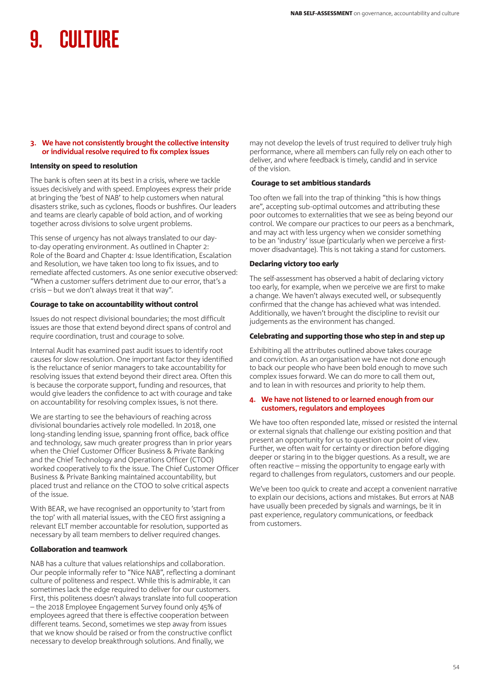#### **3. We have not consistently brought the collective intensity or individual resolve required to fix complex issues**

#### Intensity on speed to resolution

The bank is often seen at its best in a crisis, where we tackle issues decisively and with speed. Employees express their pride at bringing the 'best of NAB' to help customers when natural disasters strike, such as cyclones, floods or bushfires. Our leaders and teams are clearly capable of bold action, and of working together across divisions to solve urgent problems.

This sense of urgency has not always translated to our dayto-day operating environment. As outlined in Chapter 2: Role of the Board and Chapter 4: Issue Identification, Escalation and Resolution, we have taken too long to fix issues, and to remediate affected customers. As one senior executive observed: "When a customer suffers detriment due to our error, that's a crisis – but we don't always treat it that way".

#### Courage to take on accountability without control

Issues do not respect divisional boundaries; the most difficult issues are those that extend beyond direct spans of control and require coordination, trust and courage to solve.

Internal Audit has examined past audit issues to identify root causes for slow resolution. One important factor they identified is the reluctance of senior managers to take accountability for resolving issues that extend beyond their direct area. Often this is because the corporate support, funding and resources, that would give leaders the confidence to act with courage and take on accountability for resolving complex issues, is not there.

We are starting to see the behaviours of reaching across divisional boundaries actively role modelled. In 2018, one long-standing lending issue, spanning front office, back office and technology, saw much greater progress than in prior years when the Chief Customer Officer Business & Private Banking and the Chief Technology and Operations Officer (CTOO) worked cooperatively to fix the issue. The Chief Customer Officer Business & Private Banking maintained accountability, but placed trust and reliance on the CTOO to solve critical aspects of the issue.

With BEAR, we have recognised an opportunity to 'start from the top' with all material issues, with the CEO first assigning a relevant ELT member accountable for resolution, supported as necessary by all team members to deliver required changes.

## Collaboration and teamwork

NAB has a culture that values relationships and collaboration. Our people informally refer to "Nice NAB", reflecting a dominant culture of politeness and respect. While this is admirable, it can sometimes lack the edge required to deliver for our customers. First, this politeness doesn't always translate into full cooperation – the 2018 Employee Engagement Survey found only 45% of employees agreed that there is effective cooperation between different teams. Second, sometimes we step away from issues that we know should be raised or from the constructive conflict necessary to develop breakthrough solutions. And finally, we

may not develop the levels of trust required to deliver truly high performance, where all members can fully rely on each other to deliver, and where feedback is timely, candid and in service of the vision.

#### Courage to set ambitious standards

Too often we fall into the trap of thinking "this is how things are", accepting sub-optimal outcomes and attributing these poor outcomes to externalities that we see as being beyond our control. We compare our practices to our peers as a benchmark, and may act with less urgency when we consider something to be an 'industry' issue (particularly when we perceive a firstmover disadvantage). This is not taking a stand for customers.

#### Declaring victory too early

The self-assessment has observed a habit of declaring victory too early, for example, when we perceive we are first to make a change. We haven't always executed well, or subsequently confirmed that the change has achieved what was intended. Additionally, we haven't brought the discipline to revisit our judgements as the environment has changed.

## Celebrating and supporting those who step in and step up

Exhibiting all the attributes outlined above takes courage and conviction. As an organisation we have not done enough to back our people who have been bold enough to move such complex issues forward. We can do more to call them out, and to lean in with resources and priority to help them.

#### **4. We have not listened to or learned enough from our customers, regulators and employees**

We have too often responded late, missed or resisted the internal or external signals that challenge our existing position and that present an opportunity for us to question our point of view. Further, we often wait for certainty or direction before digging deeper or staring in to the bigger questions. As a result, we are often reactive – missing the opportunity to engage early with regard to challenges from regulators, customers and our people.

We've been too quick to create and accept a convenient narrative to explain our decisions, actions and mistakes. But errors at NAB have usually been preceded by signals and warnings, be it in past experience, regulatory communications, or feedback from customers.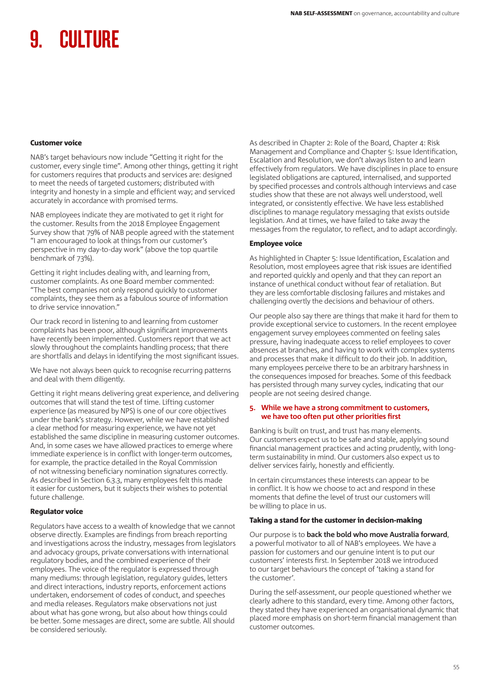#### Customer voice

NAB's target behaviours now include "Getting it right for the customer, every single time". Among other things, getting it right for customers requires that products and services are: designed to meet the needs of targeted customers; distributed with integrity and honesty in a simple and efficient way; and serviced accurately in accordance with promised terms.

NAB employees indicate they are motivated to get it right for the customer. Results from the 2018 Employee Engagement Survey show that 79% of NAB people agreed with the statement "I am encouraged to look at things from our customer's perspective in my day-to-day work" (above the top quartile benchmark of 73%).

Getting it right includes dealing with, and learning from, customer complaints. As one Board member commented: "The best companies not only respond quickly to customer complaints, they see them as a fabulous source of information to drive service innovation."

Our track record in listening to and learning from customer complaints has been poor, although significant improvements have recently been implemented. Customers report that we act slowly throughout the complaints handling process; that there are shortfalls and delays in identifying the most significant issues.

We have not always been quick to recognise recurring patterns and deal with them diligently.

Getting it right means delivering great experience, and delivering outcomes that will stand the test of time. Lifting customer experience (as measured by NPS) is one of our core objectives under the bank's strategy. However, while we have established a clear method for measuring experience, we have not yet established the same discipline in measuring customer outcomes. And, in some cases we have allowed practices to emerge where immediate experience is in conflict with longer-term outcomes, for example, the practice detailed in the Royal Commission of not witnessing beneficiary nomination signatures correctly. As described in Section 6.3.3, many employees felt this made it easier for customers, but it subjects their wishes to potential future challenge.

## Regulator voice

Regulators have access to a wealth of knowledge that we cannot observe directly. Examples are findings from breach reporting and investigations across the industry, messages from legislators and advocacy groups, private conversations with international regulatory bodies, and the combined experience of their employees. The voice of the regulator is expressed through many mediums: through legislation, regulatory guides, letters and direct interactions, industry reports, enforcement actions undertaken, endorsement of codes of conduct, and speeches and media releases. Regulators make observations not just about what has gone wrong, but also about how things could be better. Some messages are direct, some are subtle. All should be considered seriously.

As described in Chapter 2: Role of the Board, Chapter 4: Risk Management and Compliance and Chapter 5: Issue Identification, Escalation and Resolution, we don't always listen to and learn effectively from regulators. We have disciplines in place to ensure legislated obligations are captured, internalised, and supported by specified processes and controls although interviews and case studies show that these are not always well understood, well integrated, or consistently effective. We have less established disciplines to manage regulatory messaging that exists outside legislation. And at times, we have failed to take away the messages from the regulator, to reflect, and to adapt accordingly.

## Employee voice

As highlighted in Chapter 5: Issue Identification, Escalation and Resolution, most employees agree that risk issues are identified and reported quickly and openly and that they can report an instance of unethical conduct without fear of retaliation. But they are less comfortable disclosing failures and mistakes and challenging overtly the decisions and behaviour of others.

Our people also say there are things that make it hard for them to provide exceptional service to customers. In the recent employee engagement survey employees commented on feeling sales pressure, having inadequate access to relief employees to cover absences at branches, and having to work with complex systems and processes that make it difficult to do their job. In addition, many employees perceive there to be an arbitrary harshness in the consequences imposed for breaches. Some of this feedback has persisted through many survey cycles, indicating that our people are not seeing desired change.

#### **5. While we have a strong commitment to customers, we have too often put other priorities first**

Banking is built on trust, and trust has many elements. Our customers expect us to be safe and stable, applying sound financial management practices and acting prudently, with longterm sustainability in mind. Our customers also expect us to deliver services fairly, honestly and efficiently.

In certain circumstances these interests can appear to be in conflict. It is how we choose to act and respond in these moments that define the level of trust our customers will be willing to place in us.

## Taking a stand for the customer in decision-making

Our purpose is to **back the bold who move Australia forward**, a powerful motivator to all of NAB's employees. We have a passion for customers and our genuine intent is to put our customers' interests first. In September 2018 we introduced to our target behaviours the concept of 'taking a stand for the customer'.

During the self-assessment, our people questioned whether we clearly adhere to this standard, every time. Among other factors, they stated they have experienced an organisational dynamic that placed more emphasis on short-term financial management than customer outcomes.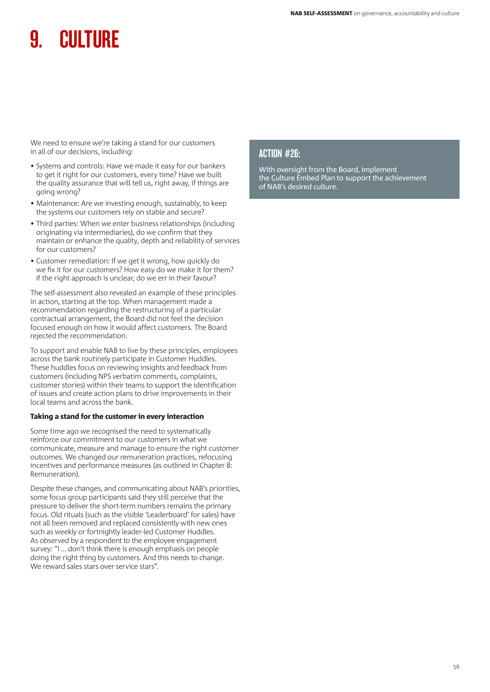We need to ensure we're taking a stand for our customers in all of our decisions, including:

- Systems and controls: Have we made it easy for our bankers to get it right for our customers, every time? Have we built the quality assurance that will tell us, right away, if things are going wrong?
- Maintenance: Are we investing enough, sustainably, to keep the systems our customers rely on stable and secure?
- Third parties: When we enter business relationships (including originating via intermediaries), do we confirm that they maintain or enhance the quality, depth and reliability of services for our customers?
- Customer remediation: If we get it wrong, how quickly do we fix it for our customers? How easy do we make it for them? If the right approach is unclear, do we err in their favour?

The self-assessment also revealed an example of these principles in action, starting at the top. When management made a recommendation regarding the restructuring of a particular contractual arrangement, the Board did not feel the decision focused enough on how it would affect customers. The Board rejected the recommendation.

To support and enable NAB to live by these principles, employees across the bank routinely participate in Customer Huddles. These huddles focus on reviewing insights and feedback from customers (including NPS verbatim comments, complaints, customer stories) within their teams to support the identification of issues and create action plans to drive improvements in their local teams and across the bank.

## Taking a stand for the customer in every interaction

Some time ago we recognised the need to systematically reinforce our commitment to our customers in what we communicate, measure and manage to ensure the right customer outcomes. We changed our remuneration practices, refocusing incentives and performance measures (as outlined in Chapter 8: Remuneration).

Despite these changes, and communicating about NAB's priorities, some focus group participants said they still perceive that the pressure to deliver the short-term numbers remains the primary focus. Old rituals (such as the visible 'Leaderboard' for sales) have not all been removed and replaced consistently with new ones such as weekly or fortnightly leader-led Customer Huddles. As observed by a respondent to the employee engagement survey: "I ... don't think there is enough emphasis on people doing the right thing by customers. And this needs to change. We reward sales stars over service stars".

# ACTION #26:

With oversight from the Board, implement the Culture Embed Plan to support the achievement of NAB's desired culture.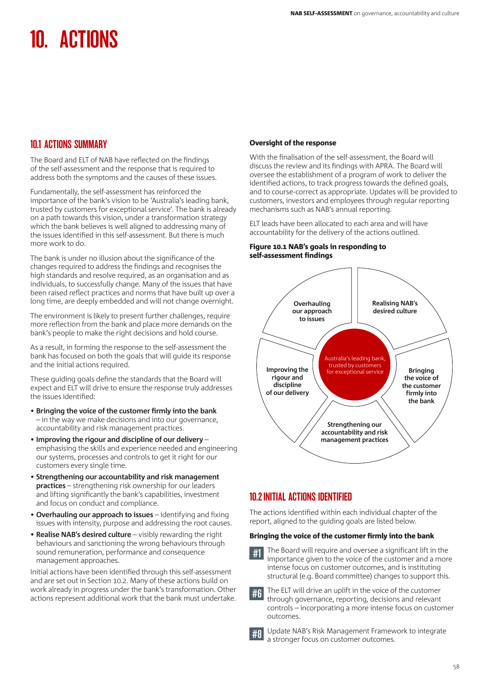# 10.1 ACTIONS SUMMARY

The Board and ELT of NAB have reflected on the findings of the self-assessment and the response that is required to address both the symptoms and the causes of these issues.

Fundamentally, the self-assessment has reinforced the importance of the bank's vision to be 'Australia's leading bank, trusted by customers for exceptional service'. The bank is already on a path towards this vision, under a transformation strategy which the bank believes is well aligned to addressing many of the issues identified in this self-assessment. But there is much more work to do.

The bank is under no illusion about the significance of the changes required to address the findings and recognises the high standards and resolve required, as an organisation and as individuals, to successfully change. Many of the issues that have been raised reflect practices and norms that have built up over a long time, are deeply embedded and will not change overnight.

The environment is likely to present further challenges, require more reflection from the bank and place more demands on the bank's people to make the right decisions and hold course.

As a result, in forming the response to the self-assessment the bank has focused on both the goals that will guide its response and the initial actions required.

These guiding goals define the standards that the Board will expect and ELT will drive to ensure the response truly addresses the issues identified:

- **Bringing the voice of the customer firmly into the bank** – in the way we make decisions and into our governance, accountability and risk management practices.
- **Improving the rigour and discipline of our delivery** emphasising the skills and experience needed and engineering our systems, processes and controls to get it right for our customers every single time.
- **Strengthening our accountability and risk management practices** – strengthening risk ownership for our leaders and lifting significantly the bank's capabilities, investment and focus on conduct and compliance.
- **Overhauling our approach to issues** identifying and fixing issues with intensity, purpose and addressing the root causes.
- **Realise NAB's desired culture** visibly rewarding the right behaviours and sanctioning the wrong behaviours through sound remuneration, performance and consequence management approaches.

Initial actions have been identified through this self-assessment and are set out in Section 10.2. Many of these actions build on work already in progress under the bank's transformation. Other actions represent additional work that the bank must undertake.

## Oversight of the response

With the finalisation of the self-assessment, the Board will discuss the review and its findings with APRA. The Board will oversee the establishment of a program of work to deliver the identified actions, to track progress towards the defined goals, and to course-correct as appropriate. Updates will be provided to customers, investors and employees through regular reporting mechanisms such as NAB's annual reporting.

ELT leads have been allocated to each area and will have accountability for the delivery of the actions outlined.

#### Figure 10.1 NAB's goals in responding to self-assessment findings



# 10.2INITIAL ACTIONS IDENTIFIED

The actions identified within each individual chapter of the report, aligned to the guiding goals are listed below.

## Bringing the voice of the customer firmly into the bank

#1 The Board will require and oversee a significant lift in the importance given to the voice of the customer and a more intense focus on customer outcomes, and is instituting structural (e.g. Board committee) changes to support this.

#6 The ELT will drive an uplift in the voice of the customer through governance, reporting, decisions and relevant controls – incorporating a more intense focus on customer outcomes.

Update NAB's Risk Management Framework to integrate a stronger focus on customer outcomes.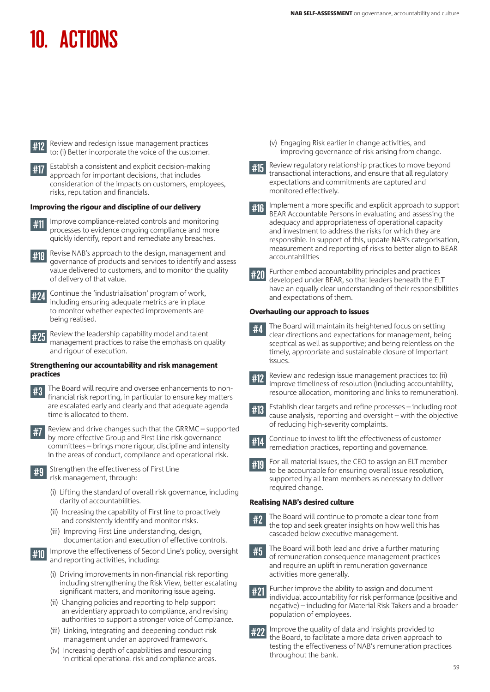

#12 Review and redesign issue management practices to: (i) Better incorporate the voice of the customer.



Establish a consistent and explicit decision-making approach for important decisions, that includes consideration of the impacts on customers, employees, risks, reputation and financials.

#### Improving the rigour and discipline of our delivery

- #11 Improve compliance-related controls and monitoring processes to evidence ongoing compliance and more quickly identify, report and remediate any breaches.
- #18 Revise NAB's approach to the design, management and governance of products and services to identify and assess value delivered to customers, and to monitor the quality of delivery of that value.
- #24 Continue the 'industrialisation' program of work, including ensuring adequate metrics are in place to monitor whether expected improvements are being realised.
- #25 Review the leadership capability model and talent management practices to raise the emphasis on quality and rigour of execution.

#### Strengthening our accountability and risk management practices

- The Board will require and oversee enhancements to nonfinancial risk reporting, in particular to ensure key matters are escalated early and clearly and that adequate agenda time is allocated to them.
- #7 Review and drive changes such that the GRRMC supported by more effective Group and First Line risk governance committees – brings more rigour, discipline and intensity in the areas of conduct, compliance and operational risk.
- **#9** Strengthen the effectiveness of First Line risk management, through:
	- (i) Lifting the standard of overall risk governance, including clarity of accountabilities.
	- (ii) Increasing the capability of First line to proactively and consistently identify and monitor risks.
	- (iii) Improving First Line understanding, design, documentation and execution of effective controls.
- **#10** Improve the effectiveness of Second Line's policy, oversight and reporting activities, including:
	- (i) Driving improvements in non-financial risk reporting including strengthening the Risk View, better escalating significant matters, and monitoring issue ageing.
	- (ii) Changing policies and reporting to help support an evidentiary approach to compliance, and revising authorities to support a stronger voice of Compliance.
	- (iii) Linking, integrating and deepening conduct risk management under an approved framework.
	- (iv) Increasing depth of capabilities and resourcing in critical operational risk and compliance areas.

(v) Engaging Risk earlier in change activities, and improving governance of risk arising from change.



**#15** Review regulatory relationship practices to move beyond transactional interactions, and ensure that all regulatory expectations and commitments are captured and monitored effectively.

#16 Implement a more specific and explicit approach to support BEAR Accountable Persons in evaluating and assessing the adequacy and appropriateness of operational capacity and investment to address the risks for which they are responsible. In support of this, update NAB's categorisation, measurement and reporting of risks to better align to BEAR accountabilities



#20 Further embed accountability principles and practices developed under BEAR, so that leaders beneath the ELT have an equally clear understanding of their responsibilities and expectations of them.

#### Overhauling our approach to issues

- $#4$  The Board will maintain its heightened focus on setting clear directions and expectations for management, being sceptical as well as supportive; and being relentless on the timely, appropriate and sustainable closure of important issues.
- 
- **#12** Review and redesign issue management practices to: (ii) Improve timeliness of resolution (including accountability, resource allocation, monitoring and links to remuneration).



#13 Establish clear targets and refine processes – including root cause analysis, reporting and oversight – with the objective of reducing high-severity complaints.



- #14 Continue to invest to lift the effectiveness of customer remediation practices, reporting and governance.
- #10 For all material issues, the CEO to assign an ELT member to be accountable for ensuring overall issue resolution, supported by all team members as necessary to deliver required change.

## Realising NAB's desired culture

- #2 The Board will continue to promote a clear tone from the top and seek greater insights on how well this has cascaded below executive management.
- #5 The Board will both lead and drive a further maturing of remuneration consequence management practices and require an uplift in remuneration governance activities more generally.



**#22** Improve the quality of data and insights provided to the Board, to facilitate a more data driven approach to testing the effectiveness of NAB's remuneration practices throughout the bank.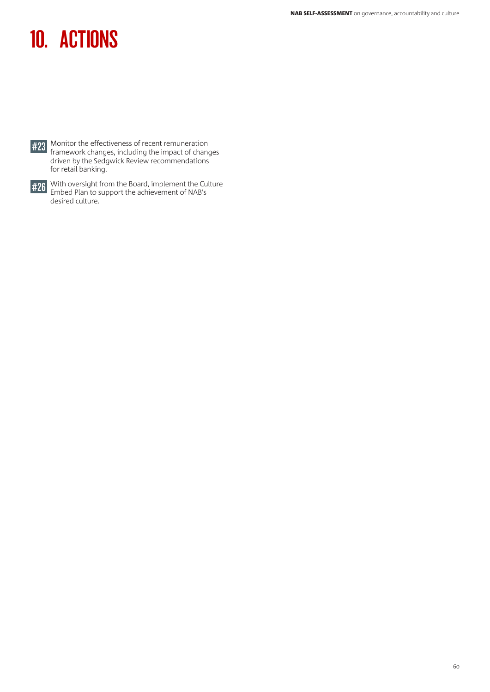

**#23** Monitor the effectiveness of recent remuneration<br>framework changes, including the impact of changes driven by the Sedgwick Review recommendations for retail banking.



#26 With oversight from the Board, implement the Culture Embed Plan to support the achievement of NAB's desired culture.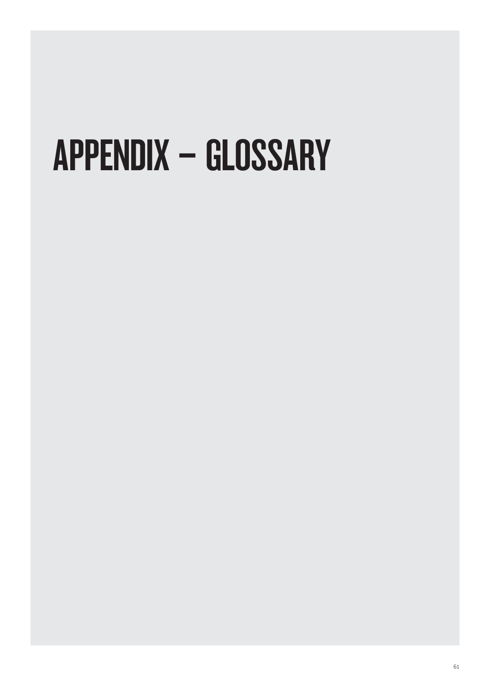# APPENDIX – GLOSSARY